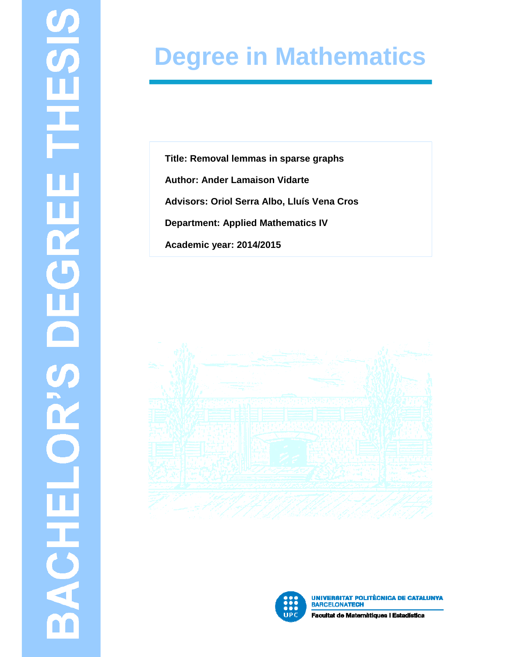# **Degree in Mathematics**

**Title: Removal lemmas in sparse graphs Author: Ander Lamaison Vidarte Advisors: Oriol Serra Albo, Lluís Vena Cros Department: Applied Mathematics IV Academic year: 2014/2015** 





UNIVERSITAT POLITÈGNICA DE CATALUNYA **BARCELONATECH** 

Facultat de Matemàtiques i Estadística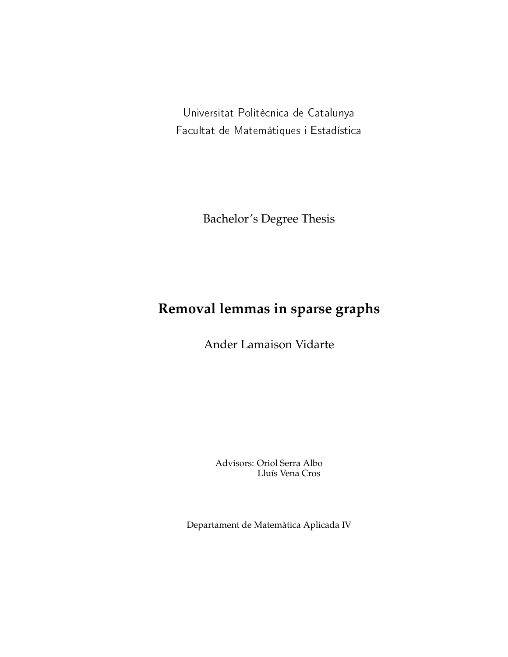Universitat Politècnica de Catalunya Facultat de Matemàtiques i Estadística

Bachelor's Degree Thesis

### **Removal lemmas in sparse graphs**

Ander Lamaison Vidarte

Advisors: Oriol Serra Albo Lluís Vena Cros

Departament de Matemàtica Aplicada IV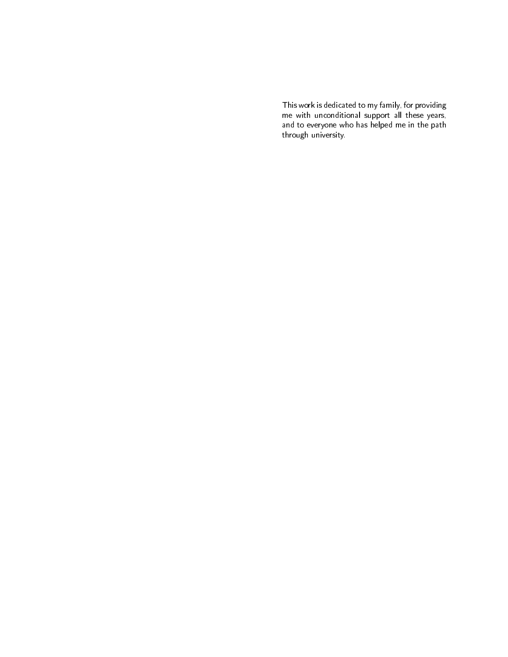This work is dedicated to my family, for providing me with unconditional support all these years, and to everyone who has helped me in the path through university.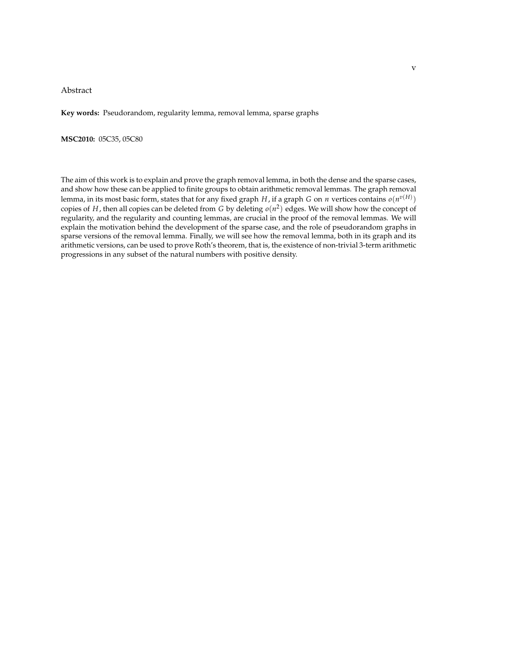#### Abstract

**Key words:** Pseudorandom, regularity lemma, removal lemma, sparse graphs

**MSC2010:** 05C35, 05C80

The aim of this work is to explain and prove the graph removal lemma, in both the dense and the sparse cases, and show how these can be applied to finite groups to obtain arithmetic removal lemmas. The graph removal lemma, in its most basic form, states that for any fixed graph *H*, if a graph *G* on *n* vertices contains  $o(n^{v(H)})$ copies of *H*, then all copies can be deleted from *G* by deleting *o*(*n* 2 ) edges. We will show how the concept of regularity, and the regularity and counting lemmas, are crucial in the proof of the removal lemmas. We will explain the motivation behind the development of the sparse case, and the role of pseudorandom graphs in sparse versions of the removal lemma. Finally, we will see how the removal lemma, both in its graph and its arithmetic versions, can be used to prove Roth's theorem, that is, the existence of non-trivial 3-term arithmetic progressions in any subset of the natural numbers with positive density.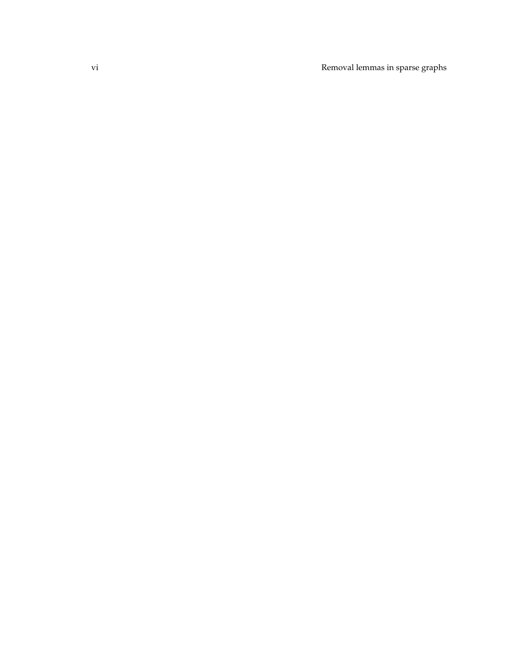vi Removal lemmas in sparse graphs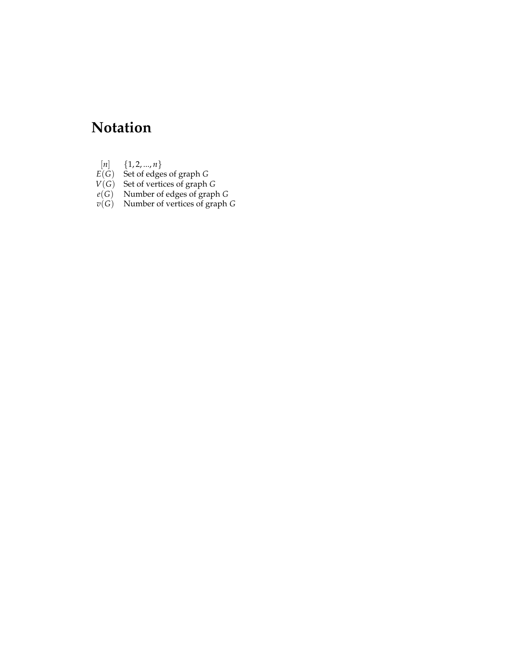### **Notation**

- $[n]$  {1, 2, ..., *n*}
- *E*(*G*) Set of edges of graph *G*
- *V*(*G*) Set of vertices of graph *G*
- *e*(*G*) Number of edges of graph *G*
- *v*(*G*) Number of vertices of graph *G*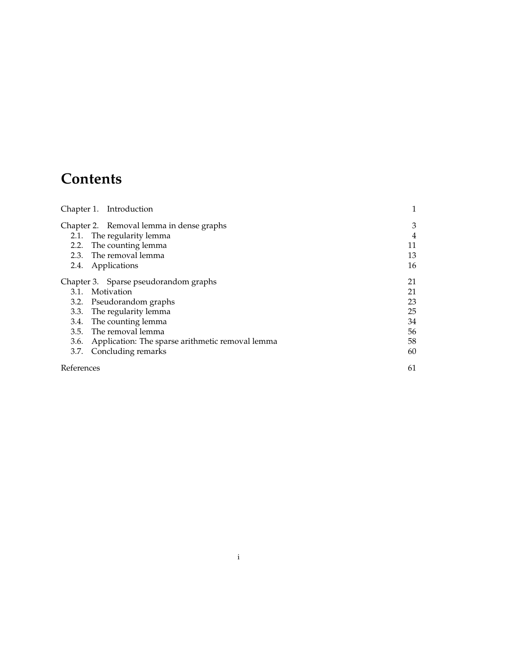### **Contents**

| Chapter 1. Introduction                                  |    |
|----------------------------------------------------------|----|
| Chapter 2. Removal lemma in dense graphs                 | 3  |
| The regularity lemma<br>2.1.                             | 4  |
| 2.2. The counting lemma                                  | 11 |
| 2.3. The removal lemma                                   | 13 |
| 2.4. Applications                                        | 16 |
| Chapter 3. Sparse pseudorandom graphs                    | 21 |
| Motivation<br>3.1.                                       | 21 |
| Pseudorandom graphs<br>3.2.                              | 23 |
| The regularity lemma<br>3.3.                             | 25 |
| The counting lemma<br>3.4.                               | 34 |
| 3.5. The removal lemma                                   | 56 |
| Application: The sparse arithmetic removal lemma<br>3.6. | 58 |
| Concluding remarks<br>3.7.                               | 60 |
| References                                               | 61 |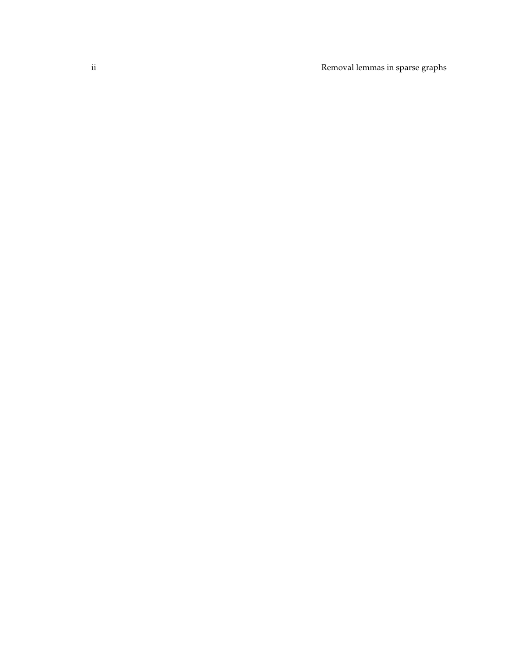ii Removal lemmas in sparse graphs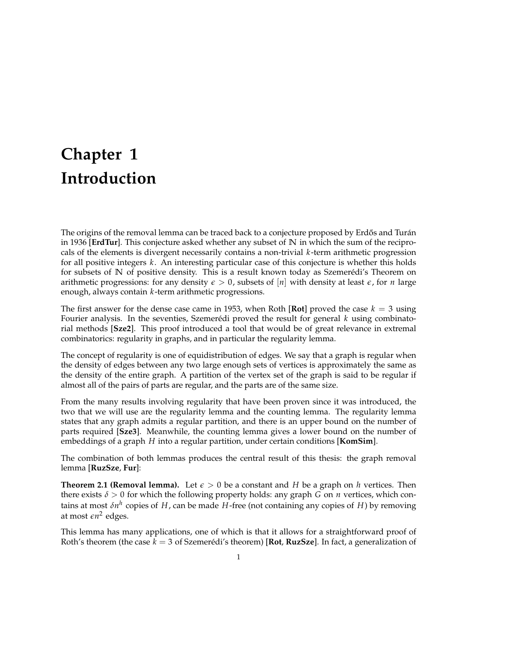### <span id="page-8-0"></span>**Chapter 1 Introduction**

The origins of the removal lemma can be traced back to a conjecture proposed by Erdős and Turán in 1936 [**ErdTur**]. This conjecture asked whether any subset of **N** in which the sum of the reciprocals of the elements is divergent necessarily contains a non-trivial *k*-term arithmetic progression for all positive integers *k*. An interesting particular case of this conjecture is whether this holds for subsets of **N** of positive density. This is a result known today as Szemerédi's Theorem on arithmetic progressions: for any density  $\epsilon > 0$ , subsets of  $[n]$  with density at least  $\epsilon$ , for *n* large enough, always contain *k*-term arithmetic progressions.

The first answer for the dense case came in 1953, when Roth [Rot] proved the case  $k = 3$  using Fourier analysis. In the seventies, Szemerédi proved the result for general *k* using combinatorial methods [**Sze2**]. This proof introduced a tool that would be of great relevance in extremal combinatorics: regularity in graphs, and in particular the regularity lemma.

The concept of regularity is one of equidistribution of edges. We say that a graph is regular when the density of edges between any two large enough sets of vertices is approximately the same as the density of the entire graph. A partition of the vertex set of the graph is said to be regular if almost all of the pairs of parts are regular, and the parts are of the same size.

From the many results involving regularity that have been proven since it was introduced, the two that we will use are the regularity lemma and the counting lemma. The regularity lemma states that any graph admits a regular partition, and there is an upper bound on the number of parts required [**Sze3**]. Meanwhile, the counting lemma gives a lower bound on the number of embeddings of a graph *H* into a regular partition, under certain conditions [**KomSim**].

The combination of both lemmas produces the central result of this thesis: the graph removal lemma [**RuzSze**, **Fur**]:

**Theorem [2.1](#page-10-1) (Removal lemma).** Let  $\epsilon > 0$  be a constant and *H* be a graph on *h* vertices. Then there exists  $\delta > 0$  for which the following property holds: any graph *G* on *n* vertices, which contains at most *δn h* copies of *H*, can be made *H*-free (not containing any copies of *H*) by removing at most  $\epsilon n^2$  edges.

This lemma has many applications, one of which is that it allows for a straightforward proof of Roth's theorem (the case  $k = 3$  of Szemerédi's theorem) [**Rot**, **RuzSze**]. In fact, a generalization of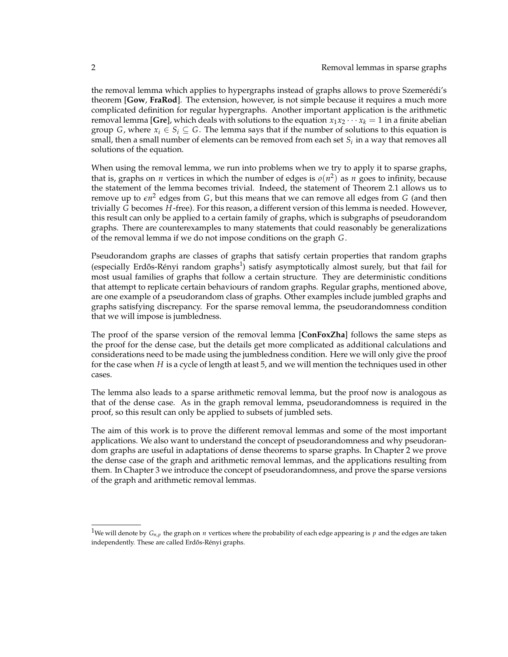the removal lemma which applies to hypergraphs instead of graphs allows to prove Szemerédi's theorem [**Gow**, **FraRod**]. The extension, however, is not simple because it requires a much more complicated definition for regular hypergraphs. Another important application is the arithmetic removal lemma [**Gre**], which deals with solutions to the equation  $x_1x_2 \cdots x_k = 1$  in a finite abelian group *G*, where  $x_i \in S_i \subseteq G$ . The lemma says that if the number of solutions to this equation is small, then a small number of elements can be removed from each set  $S_i$  in a way that removes all solutions of the equation.

When using the removal lemma, we run into problems when we try to apply it to sparse graphs, that is, graphs on *n* vertices in which the number of edges is  $o(n^2)$  as *n* goes to infinity, because the statement of the lemma becomes trivial. Indeed, the statement of Theorem [2.1](#page-10-1) allows us to remove up to  $\epsilon n^2$  edges from *G*, but this means that we can remove all edges from *G* (and then trivially *G* becomes *H*-free). For this reason, a different version of this lemma is needed. However, this result can only be applied to a certain family of graphs, which is subgraphs of pseudorandom graphs. There are counterexamples to many statements that could reasonably be generalizations of the removal lemma if we do not impose conditions on the graph *G*.

Pseudorandom graphs are classes of graphs that satisfy certain properties that random graphs (especially Erdős-Rényi random graphs<sup>[1](#page-9-0)</sup>) satisfy asymptotically almost surely, but that fail for most usual families of graphs that follow a certain structure. They are deterministic conditions that attempt to replicate certain behaviours of random graphs. Regular graphs, mentioned above, are one example of a pseudorandom class of graphs. Other examples include jumbled graphs and graphs satisfying discrepancy. For the sparse removal lemma, the pseudorandomness condition that we will impose is jumbledness.

The proof of the sparse version of the removal lemma [**ConFoxZha**] follows the same steps as the proof for the dense case, but the details get more complicated as additional calculations and considerations need to be made using the jumbledness condition. Here we will only give the proof for the case when *H* is a cycle of length at least 5, and we will mention the techniques used in other cases.

The lemma also leads to a sparse arithmetic removal lemma, but the proof now is analogous as that of the dense case. As in the graph removal lemma, pseudorandomness is required in the proof, so this result can only be applied to subsets of jumbled sets.

The aim of this work is to prove the different removal lemmas and some of the most important applications. We also want to understand the concept of pseudorandomness and why pseudorandom graphs are useful in adaptations of dense theorems to sparse graphs. In Chapter [2](#page-10-0) we prove the dense case of the graph and arithmetic removal lemmas, and the applications resulting from them. In Chapter [3](#page-28-0) we introduce the concept of pseudorandomness, and prove the sparse versions of the graph and arithmetic removal lemmas.

<span id="page-9-0"></span><sup>&</sup>lt;sup>1</sup>We will denote by  $G_{n,p}$  the graph on *n* vertices where the probability of each edge appearing is *p* and the edges are taken independently. These are called Erdős-Rényi graphs.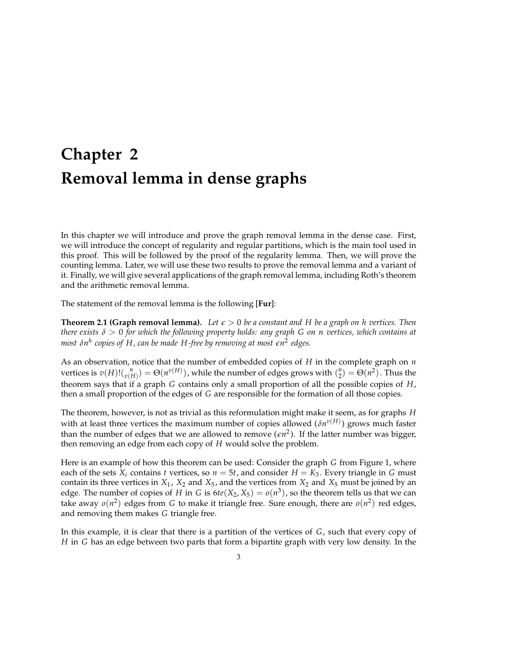### <span id="page-10-0"></span>**Chapter 2 Removal lemma in dense graphs**

In this chapter we will introduce and prove the graph removal lemma in the dense case. First, we will introduce the concept of regularity and regular partitions, which is the main tool used in this proof. This will be followed by the proof of the regularity lemma. Then, we will prove the counting lemma. Later, we will use these two results to prove the removal lemma and a variant of it. Finally, we will give several applications of the graph removal lemma, including Roth's theorem and the arithmetic removal lemma.

The statement of the removal lemma is the following [**Fur**]:

<span id="page-10-1"></span>**Theorem 2.1 (Graph removal lemma).** Let  $\epsilon > 0$  be a constant and H be a graph on h vertices. Then *there exists δ* > 0 *for which the following property holds: any graph G on n vertices, which contains at most δn h copies of H, can be made H -free by removing at most en* 2 *edges.*

As an observation, notice that the number of embedded copies of *H* in the complete graph on *n* vertices is  $v(H)!(\binom{n}{v(H)}) = \Theta(n^{v(H)})$ , while the number of edges grows with  $\binom{n}{2} = \Theta(n^2)$ . Thus the theorem says that if a graph *G* contains only a small proportion of all the possible copies of *H*, then a small proportion of the edges of *G* are responsible for the formation of all those copies.

The theorem, however, is not as trivial as this reformulation might make it seem, as for graphs *H* with at least three vertices the maximum number of copies allowed  $(\delta n^{v(H)})$  grows much faster than the number of edges that we are allowed to remove  $(\epsilon n^2)$ . If the latter number was bigger, then removing an edge from each copy of *H* would solve the problem.

Here is an example of how this theorem can be used: Consider the graph *G* from Figure [1,](#page-11-1) where each of the sets  $X_i$  contains *t* vertices, so  $n = 5t$ , and consider  $H = K_3$ . Every triangle in *G* must contain its three vertices in  $X_1$ ,  $X_2$  and  $X_5$ , and the vertices from  $X_2$  and  $X_5$  must be joined by an edge. The number of copies of *H* in *G* is  $6te(X_2, X_5) = o(n^3)$ , so the theorem tells us that we can take away  $o(n^2)$  edges from *G* to make it triangle free. Sure enough, there are  $o(n^2)$  red edges, and removing them makes *G* triangle free.

In this example, it is clear that there is a partition of the vertices of *G*, such that every copy of *H* in *G* has an edge between two parts that form a bipartite graph with very low density. In the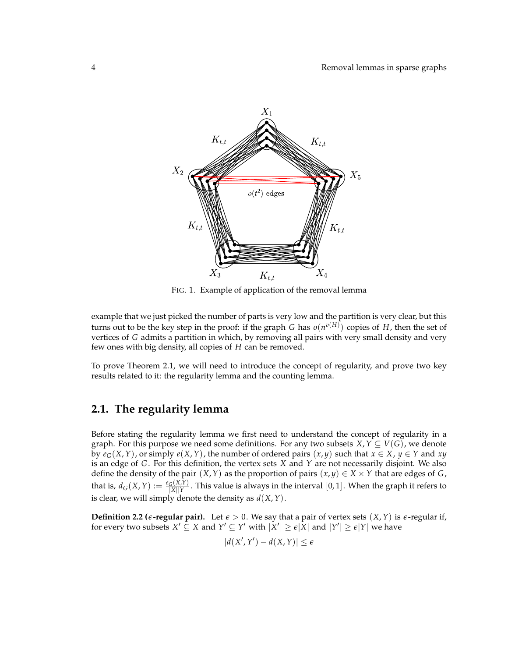<span id="page-11-1"></span>

FIG. 1. Example of application of the removal lemma

example that we just picked the number of parts is very low and the partition is very clear, but this turns out to be the key step in the proof: if the graph *G* has  $o(n^{v(H)})$  copies of *H*, then the set of vertices of *G* admits a partition in which, by removing all pairs with very small density and very few ones with big density, all copies of *H* can be removed.

To prove Theorem [2.1,](#page-10-1) we will need to introduce the concept of regularity, and prove two key results related to it: the regularity lemma and the counting lemma.

#### <span id="page-11-0"></span>**2.1. The regularity lemma**

Before stating the regularity lemma we first need to understand the concept of regularity in a graph. For this purpose we need some definitions. For any two subsets  $X, Y \subseteq V(G)$ , we denote by  $e_G(X, Y)$ , or simply  $e(X, Y)$ , the number of ordered pairs  $(x, y)$  such that  $x \in X$ ,  $y \in Y$  and  $xy$ is an edge of *G*. For this definition, the vertex sets *X* and *Y* are not necessarily disjoint. We also define the density of the pair  $(X, Y)$  as the proportion of pairs  $(x, y) \in X \times Y$  that are edges of *G*, that is,  $d_G(X, Y) := \frac{e_G(X, Y)}{|X||Y|}$ . This value is always in the interval  $[0, 1]$ . When the graph it refers to is clear, we will simply denote the density as  $d(X, Y)$ .

**Definition 2.2 (** $\epsilon$ **-regular pair).** Let  $\epsilon > 0$ . We say that a pair of vertex sets  $(X, Y)$  is  $\epsilon$ -regular if, for every two subsets  $X' \subseteq X$  and  $Y' \subseteq Y'$  with  $|X'| \ge \varepsilon |\tilde{X}|$  and  $|Y'| \ge \varepsilon |Y|$  we have

$$
|d(X',Y') - d(X,Y)| \leq \epsilon
$$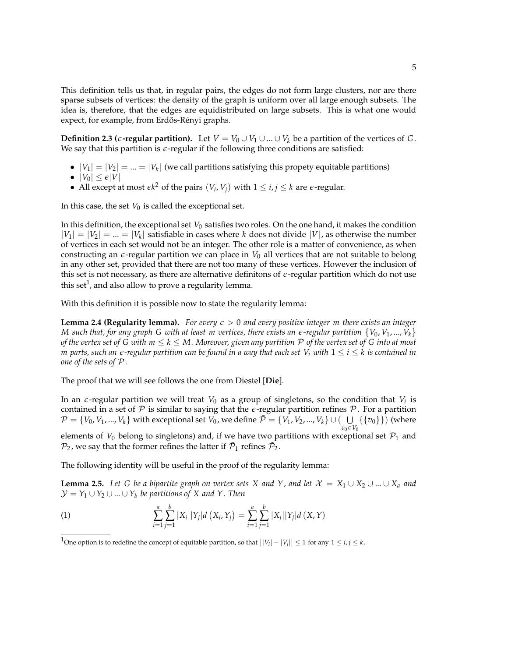This definition tells us that, in regular pairs, the edges do not form large clusters, nor are there sparse subsets of vertices: the density of the graph is uniform over all large enough subsets. The idea is, therefore, that the edges are equidistributed on large subsets. This is what one would expect, for example, from Erdős-Rényi graphs.

**Definition 2.3 (***e*-regular partition). Let  $V = V_0 \cup V_1 \cup ... \cup V_k$  be a partition of the vertices of *G*. We say that this partition is  $\epsilon$ -regular if the following three conditions are satisfied:

- $\bullet$   $|V_1| = |V_2| = ... = |V_k|$  (we call partitions satisfying this propety equitable partitions)
- $\bullet$   $|V_0| \leq \epsilon |V|$
- All except at most  $\epsilon k^2$  of the pairs  $(V_i, V_j)$  with  $1 \le i, j \le k$  are  $\epsilon$ -regular.

In this case, the set  $V_0$  is called the exceptional set.

In this definition, the exceptional set  $V_0$  satisfies two roles. On the one hand, it makes the condition  $|V_1| = |V_2| = ... = |V_k|$  satisfiable in cases where *k* does not divide  $|V|$ , as otherwise the number of vertices in each set would not be an integer. The other role is a matter of convenience, as when constructing an  $\epsilon$ -regular partition we can place in  $V_0$  all vertices that are not suitable to belong in any other set, provided that there are not too many of these vertices. However the inclusion of this set is not necessary, as there are alternative definitons of  $\epsilon$ -regular partition which do not use this set $^1$  $^1$ , and also allow to prove a regularity lemma.

With this definition it is possible now to state the regularity lemma:

<span id="page-12-2"></span>**Lemma 2.4 (Regularity lemma).** *For every*  $\epsilon > 0$  *and every positive integer m there exists an integer M* such that, for any graph G with at least m vertices, there exists an  $\epsilon$ -regular partition  $\{V_0, V_1, ..., V_k\}$ *of the vertex set of G with m* ≤ *k* ≤ *M. Moreover, given any partition* P *of the vertex set of G into at most m* parts, such an  $\epsilon$ -regular partition can be found in a way that each set  $V_i$  with  $1 \le i \le k$  is contained in *one of the sets of* P*.*

The proof that we will see follows the one from Diestel [**Die**].

In an  $\epsilon$ -regular partition we will treat  $V_0$  as a group of singletons, so the condition that  $V_i$  is contained in a set of  $P$  is similar to saying that the  $\epsilon$ -regular partition refines  $P$ . For a partition  $\mathcal{P} = \{V_0, V_1, ..., V_k\}$  with exceptional set  $V_0$ , we define  $\tilde{\mathcal{P}} = \{V_1, V_2, ..., V_k\} \cup (\cup_{\cup} \{\{v_0\}\})$  (where *v*0∈*V*<sup>0</sup>

elements of  $V_0$  belong to singletons) and, if we have two partitions with exceptional set  $\mathcal{P}_1$  and  $\mathcal{P}_2$ , we say that the former refines the latter if  $\tilde{\mathcal{P}}_1$  refines  $\tilde{\mathcal{P}}_2$ .

The following identity will be useful in the proof of the regularity lemma:

**Lemma 2.5.** Let G be a bipartite graph on vertex sets X and Y, and let  $\mathcal{X} = X_1 \cup X_2 \cup ... \cup X_a$  and  $\mathcal{Y} = Y_1 \cup Y_2 \cup ... \cup Y_b$  *be partitions of X and Y. Then* 

<span id="page-12-1"></span>(1) 
$$
\sum_{i=1}^{a} \sum_{j=1}^{b} |X_i||Y_j| d(X_i,Y_j) = \sum_{i=1}^{a} \sum_{j=1}^{b} |X_i||Y_j| d(X,Y)
$$

<span id="page-12-0"></span> $1$ One option is to redefine the concept of equitable partition, so that  $||V_i| - |V_j|| \leq 1$  for any  $1 \leq i, j \leq k$ .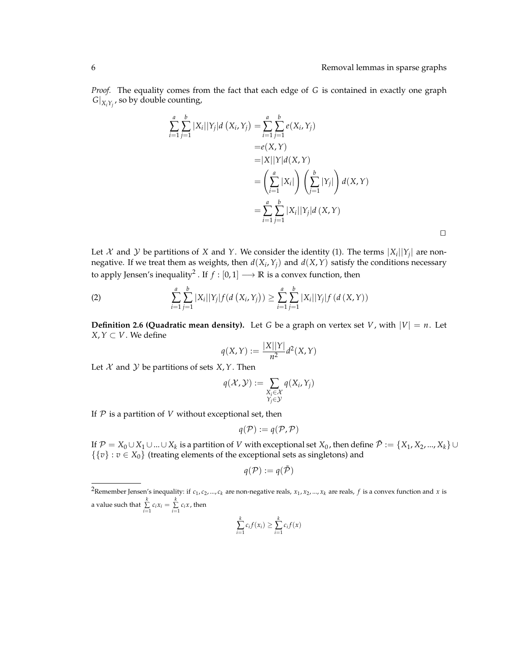*Proof.* The equality comes from the fact that each edge of *G* is contained in exactly one graph  $G|_{X_i Y_j}$ , so by double counting,

$$
\sum_{i=1}^{a} \sum_{j=1}^{b} |X_i||Y_j|d(X_i, Y_j) = \sum_{i=1}^{a} \sum_{j=1}^{b} e(X_i, Y_j)
$$
  
=  $e(X, Y)$   
=  $|X||Y|d(X, Y)$   
=  $\left(\sum_{i=1}^{a} |X_i|\right) \left(\sum_{j=1}^{b} |Y_j|\right) d(X, Y)$   
=  $\sum_{i=1}^{a} \sum_{j=1}^{b} |X_i||Y_j|d(X, Y)$ 

Let  $\mathcal X$  and  $\mathcal Y$  be partitions of  $X$  and  $Y$ . We consider the identity [\(1\)](#page-12-1). The terms  $|X_i||Y_j|$  are nonnegative. If we treat them as weights, then  $d(X_i, Y_j)$  and  $d(X, Y)$  satisfy the conditions necessary to apply Jensen's inequality<sup>[2](#page-13-0)</sup> . If  $f : [0,1] \longrightarrow \mathbb{R}$  is a convex function, then

(2) 
$$
\sum_{i=1}^{a} \sum_{j=1}^{b} |X_i||Y_j| f(d(X_i,Y_j)) \geq \sum_{i=1}^{a} \sum_{j=1}^{b} |X_i||Y_j| f(d(X,Y))
$$

<span id="page-13-2"></span>**Definition 2.6 (Quadratic mean density).** Let *G* be a graph on vertex set *V*, with  $|V| = n$ . Let  $X, Y$  ⊂ *V*. We define

<span id="page-13-1"></span>
$$
q(X,Y) := \frac{|X||Y|}{n^2}d^2(X,Y)
$$

Let  $X$  and  $Y$  be partitions of sets  $X, Y$ . Then

$$
q(\mathcal{X}, \mathcal{Y}) := \sum_{\substack{X_i \in \mathcal{X} \\ Y_j \in \mathcal{Y}}} q(X_i, Y_j)
$$

If  $P$  is a partition of  $V$  without exceptional set, then

$$
q(\mathcal{P}) := q(\mathcal{P}, \mathcal{P})
$$

If  $\mathcal{P} = X_0 \cup X_1 \cup ... \cup X_k$  is a partition of  $V$  with exceptional set  $X_0$ , then define  $\tilde{\mathcal{P}} := \{X_1, X_2, ..., X_k\} \cup$  $\{\{v\}: v \in X_0\}$  (treating elements of the exceptional sets as singletons) and

$$
q(\mathcal{P}) := q(\tilde{\mathcal{P}})
$$

$$
\sum_{i=1}^k c_i f(x_i) \geq \sum_{i=1}^k c_i f(x)
$$

<span id="page-13-0"></span><sup>&</sup>lt;sup>2</sup>Remember Jensen's inequality: if  $c_1$ ,  $c_2$ , ...,  $c_k$  are non-negative reals,  $x_1$ ,  $x_2$ , ...,  $x_k$  are reals,  $f$  is a convex function and  $x$  is a value such that  $\sum_{i=1}^{k} c_i x_i = \sum_{i=1}^{k} c_i x$ , then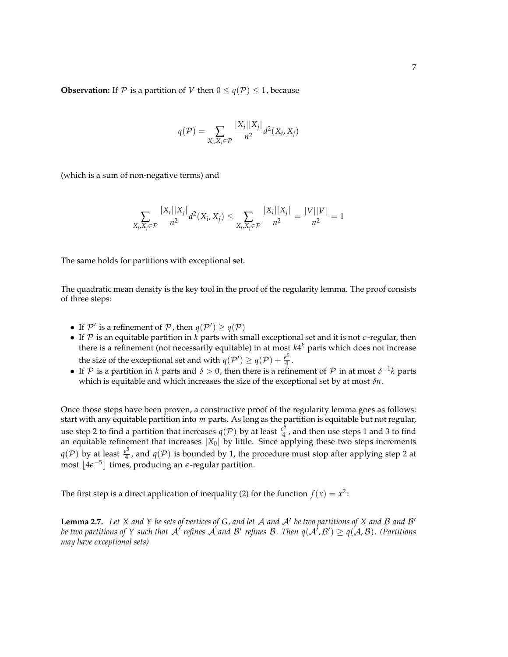**Observation:** If  $P$  is a partition of *V* then  $0 \leq q(P) \leq 1$ , because

$$
q(\mathcal{P}) = \sum_{X_i, X_j \in \mathcal{P}} \frac{|X_i||X_j|}{n^2} d^2(X_i, X_j)
$$

(which is a sum of non-negative terms) and

$$
\sum_{X_i, X_j \in \mathcal{P}} \frac{|X_i||X_j|}{n^2} d^2(X_i, X_j) \le \sum_{X_i, X_j \in \mathcal{P}} \frac{|X_i||X_j|}{n^2} = \frac{|V||V|}{n^2} = 1
$$

The same holds for partitions with exceptional set.

The quadratic mean density is the key tool in the proof of the regularity lemma. The proof consists of three steps:

- If  $\mathcal{P}'$  is a refinement of  $\mathcal{P}$ , then  $q(\mathcal{P}') \geq q(\mathcal{P})$
- If  $P$  is an equitable partition in  $k$  parts with small exceptional set and it is not  $\epsilon$ -regular, then there is a refinement (not necessarily equitable) in at most *k*4 *<sup>k</sup>* parts which does not increase the size of the exceptional set and with  $q(\mathcal{P}') \geq q(\mathcal{P}) + \frac{\epsilon^5}{4}$  $\frac{1}{4}$ .
- If  $P$  is a partition in *k* parts and  $\delta > 0$ , then there is a refinement of  $P$  in at most  $\delta^{-1}k$  parts which is equitable and which increases the size of the exceptional set by at most *δn*.

Once those steps have been proven, a constructive proof of the regularity lemma goes as follows: start with any equitable partition into *m* parts. As long as the partition is equitable but not regular, use step 2 to find a partition that increases  $q(\mathcal{P})$  by at least  $\frac{\varepsilon^5}{4}$  $\frac{1}{4}$ , and then use steps 1 and 3 to find an equitable refinement that increases  $|X_0|$  by little. Since applying these two steps increments  $q(\mathcal{P})$  by at least  $\frac{\epsilon^5}{4}$  $\frac{p}{4}$ , and  $q(\mathcal{P})$  is bounded by 1, the procedure must stop after applying step 2 at most [4*e*<sup>−5</sup>] times, producing an *ε*-regular partition.

The first step is a direct application of inequality [\(2\)](#page-13-1) for the function  $f(x) = x^2$ :

<span id="page-14-0"></span>**Lemma 2.7.** Let X and Y be sets of vertices of G, and let A and  $A'$  be two partitions of X and B and  $B'$ be two partitions of Y such that  ${\cal A}'$  refines  ${\cal A}$  and  ${\cal B}'$  refines  ${\cal B}$ . Then  $q({\cal A}',{\cal B}')\geq q({\cal A},{\cal B})$ . (Partitions *may have exceptional sets)*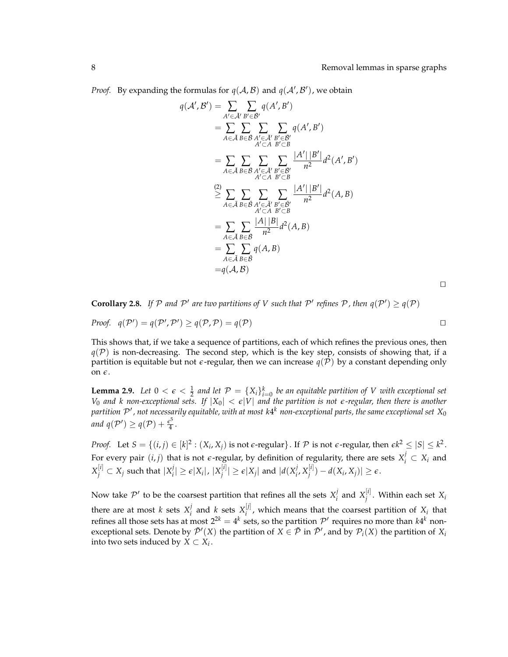*Proof.* By expanding the formulas for  $q(A, B)$  and  $q(A', B')$ , we obtain

$$
q(\mathcal{A}', \mathcal{B}') = \sum_{A' \in \tilde{\mathcal{A}}'} \sum_{B' \in \tilde{\mathcal{B}}'} q(A', B')
$$
  
\n
$$
= \sum_{A \in \tilde{\mathcal{A}}} \sum_{B \in \tilde{\mathcal{B}}} \sum_{A' \in \tilde{\mathcal{A}}'} \sum_{B' \in \tilde{\mathcal{B}}'} q(A', B')
$$
  
\n
$$
= \sum_{A \in \tilde{\mathcal{A}}} \sum_{B \in \tilde{\mathcal{B}}} \sum_{A' \in \tilde{\mathcal{A}}'} \sum_{B' \in \tilde{\mathcal{B}}'} q(A', B')
$$
  
\n
$$
= \sum_{A \in \tilde{\mathcal{A}}} \sum_{B \in \tilde{\mathcal{B}}} \sum_{A' \in \tilde{\mathcal{A}}'} \sum_{B' \in \tilde{\mathcal{B}}'} \frac{|A'||B'|}{n^2} d^2(A', B')
$$
  
\n
$$
\geq \sum_{A \in \tilde{\mathcal{A}}} \sum_{B \in \tilde{\mathcal{B}}} \sum_{A' \in \tilde{\mathcal{A}}'} \sum_{B' \in \tilde{\mathcal{B}}'} \frac{|A'||B'|}{n^2} d^2(A, B)
$$
  
\n
$$
= \sum_{A \in \tilde{\mathcal{A}}} \sum_{B \in \tilde{\mathcal{B}}} \frac{|A||B|}{n^2} d^2(A, B)
$$
  
\n
$$
= \sum_{A \in \tilde{\mathcal{A}}} \sum_{B \in \tilde{\mathcal{B}}} q(A, B)
$$
  
\n
$$
= q(A, B)
$$

 $\Box$ 

**Corollary 2.8.** If P and P' are two partitions of V such that P' refines P, then  $q(P') \geq q(P)$ 

*Proof.* 
$$
q(\mathcal{P}') = q(\mathcal{P}', \mathcal{P}') \geq q(\mathcal{P}, \mathcal{P}) = q(\mathcal{P})
$$

This shows that, if we take a sequence of partitions, each of which refines the previous ones, then  $q(\mathcal{P})$  is non-decreasing. The second step, which is the key step, consists of showing that, if a partition is equitable but not  $\epsilon$ -regular, then we can increase  $q(\mathcal{P})$  by a constant depending only on *e*.

<span id="page-15-0"></span>**Lemma 2.9.** Let  $0 < \epsilon < \frac{1}{2}$  and let  $\mathcal{P} = \{X_i\}_{i=0}^k$  be an equitable partition of V with exceptional set *V*<sub>0</sub> and *k* non-exceptional sets. If  $|X_0| < \epsilon |V|$  and the partition is not  $\epsilon$ -regular, then there is another *partition* P 0 *, not necessarily equitable, with at most k*4 *<sup>k</sup> non-exceptional parts, the same exceptional set X*<sup>0</sup> and  $q(\mathcal{P}') \geq q(\mathcal{P}) + \frac{\varepsilon^5}{4}$  $\frac{1}{4}$ .

*Proof.* Let  $S = \{(i, j) \in [k]^2 : (X_i, X_j) \text{ is not } \epsilon\text{-regular}\}\.$  If  $\mathcal P$  is not  $\epsilon\text{-regular}$ , then  $\epsilon k^2 \leq |S| \leq k^2$ . For every pair  $(i, j)$  that is not  $\epsilon$ -regular, by definition of regularity, there are sets  $X_i^j \subset X_i$  and  $X_j^{[i]} \subset X_j$  such that  $|X_i^j|$  $|\dot{\mathbf{z}}_i^j| \geq \epsilon |X_i|$  ,  $|X_j^{[i]}|$  $\left| \begin{smallmatrix} {i} \ i \end{smallmatrix} \right| \ge \varepsilon |X_j|$  and  $|d(X_j^j)|$  $_{i}^{j}$ ,  $\boldsymbol{\mathrm{X}}_{j}^{[i]}$  $\left| \sum_{j}^{[t]} \right| - d(X_i, X_j)| \geq \epsilon.$ 

Now take  $\mathcal{P}'$  to be the coarsest partition that refines all the sets  $X_i^j$  $\sum_{i}^{j}$  and  $X_{j}^{[i]}$ *j* . Within each set *X<sup>i</sup>* there are at most *k* sets  $X_i^j$  $\sum_{i}^{j}$  and  $k$  sets  $X_i^{[j]}$  $\mu_i^{\text{U}}$ , which means that the coarsest partition of  $X_i$  that refines all those sets has at most  $2^{2k} = 4^k$  sets, so the partition  $\mathcal{P}'$  requires no more than  $k4^k$  nonexceptional sets. Denote by  $\tilde{\mathcal{P}}'(X)$  the partition of  $X \in \tilde{\mathcal{P}}$  in  $\tilde{\mathcal{P}}'$ , and by  $\mathcal{P}_i(X)$  the partition of  $X_i$ into two sets induced by  $X \subset X_i$ .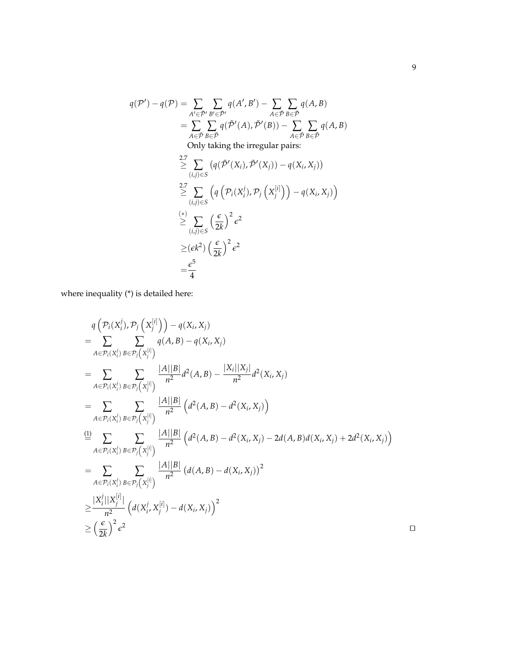$$
q(\mathcal{P}') - q(\mathcal{P}) = \sum_{A' \in \tilde{\mathcal{P}}'} \sum_{B' \in \tilde{\mathcal{P}}'} q(A', B') - \sum_{A \in \tilde{\mathcal{P}}} \sum_{B \in \tilde{\mathcal{P}}} q(A, B)
$$
  
\n
$$
= \sum_{A \in \tilde{\mathcal{P}}} \sum_{B \in \tilde{\mathcal{P}}} q(\tilde{\mathcal{P}}'(A), \tilde{\mathcal{P}}'(B)) - \sum_{A \in \tilde{\mathcal{P}}} \sum_{B \in \tilde{\mathcal{P}}} q(A, B)
$$
  
\nOnly taking the irregular pairs:  
\n
$$
\geq \sum_{(i,j) \in S} (q(\tilde{\mathcal{P}}'(X_i), \tilde{\mathcal{P}}'(X_j)) - q(X_i, X_j))
$$
  
\n
$$
\geq \sum_{(i,j) \in S} \left( q(\mathcal{P}_i(X_i^j), \mathcal{P}_j(X_i^{[i]})) - q(X_i, X_j) \right)
$$
  
\n
$$
\geq \sum_{(i,j) \in S} \left( \frac{\epsilon}{2k} \right)^2 \epsilon^2
$$
  
\n
$$
\geq (\epsilon k^2) \left( \frac{\epsilon}{2k} \right)^2 \epsilon^2
$$
  
\n
$$
= \frac{\epsilon^5}{4}
$$

where inequality (\*) is detailed here:

$$
q\left(\mathcal{P}_{i}(X_{i}^{j}),\mathcal{P}_{j}\left(X_{j}^{[i]}\right)\right)-q(X_{i},X_{j})
$$
\n
$$
=\sum_{A\in\mathcal{P}_{i}(X_{i}^{j})} \sum_{B\in\mathcal{P}_{j}\left(X_{j}^{[i]}\right)} q(A,B)-q(X_{i},X_{j})
$$
\n
$$
=\sum_{A\in\mathcal{P}_{i}(X_{i}^{j})} \sum_{B\in\mathcal{P}_{j}\left(X_{j}^{[i]}\right)} \frac{|A||B|}{n^{2}} d^{2}(A,B)-\frac{|X_{i}||X_{j}|}{n^{2}} d^{2}(X_{i},X_{j})
$$
\n
$$
=\sum_{A\in\mathcal{P}_{i}(X_{i}^{j})} \sum_{B\in\mathcal{P}_{j}\left(X_{j}^{[i]}\right)} \frac{|A||B|}{n^{2}} \left(d^{2}(A,B)-d^{2}(X_{i},X_{j})\right)
$$
\n
$$
\stackrel{(1)}{=} \sum_{A\in\mathcal{P}_{i}(X_{i}^{j})} \sum_{B\in\mathcal{P}_{j}\left(X_{j}^{[i]}\right)} \frac{|A||B|}{n^{2}} \left(d^{2}(A,B)-d^{2}(X_{i},X_{j})-2d(A,B)d(X_{i},X_{j})+2d^{2}(X_{i},X_{j})\right)
$$
\n
$$
=\sum_{A\in\mathcal{P}_{i}(X_{i}^{j})} \sum_{B\in\mathcal{P}_{j}\left(X_{j}^{[i]}\right)} \frac{|A||B|}{n^{2}} \left(d(A,B)-d(X_{i},X_{j})\right)^{2}
$$
\n
$$
\geq \frac{|X_{i}^{j}||X_{j}^{[i]}}{n^{2}} \left(d(X_{i}^{j},X_{j}^{[i]})-d(X_{i},X_{j})\right)^{2}
$$
\n
$$
\supseteq \frac{\left(\frac{\epsilon}{2k}\right)^{2} \epsilon^{2}}{\sum_{i=1}^{j} (n^{2}(\epsilon^{2}X_{i})-n^{2}(\epsilon^{2}X_{i})-n^{2}(\epsilon^{2}X_{i})\right)
$$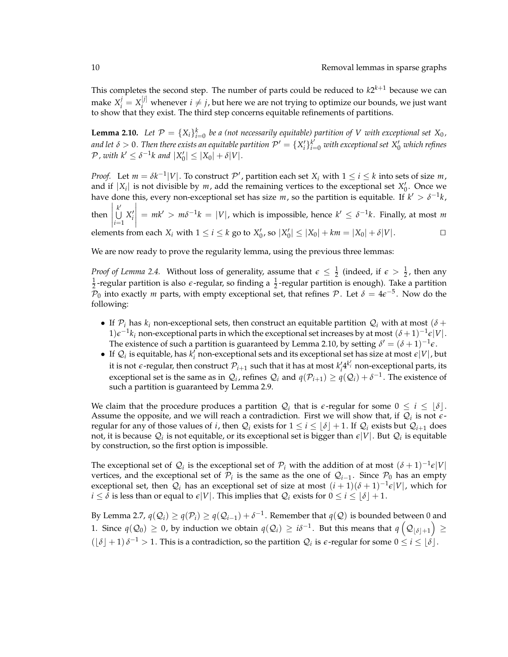This completes the second step. The number of parts could be reduced to  $k2^{k+1}$  because we can make  $X_i^j = X_i^{[j]}$  whenever  $i \neq j$ , but here we are not trying to optimize our bounds, we just want to show that they exist. The third step concerns equitable refinements of partitions.

<span id="page-17-0"></span>**Lemma 2.10.** Let  $\mathcal{P} = \{X_i\}_{i=0}^k$  be a (not necessarily equitable) partition of V with exceptional set  $X_0$ , and let  $\delta > 0$ . Then there exists an equitable partition  $\mathcal{P}' = \{X'_i\}_{i=0}^{k'}$  with exceptional set  $X'_0$  which refines  $\mathcal{P}$ , with  $k' \leq \delta^{-1}k$  and  $|X'_0| \leq |X_0| + \delta|V|.$ 

*Proof.* Let  $m = \delta k^{-1}|V|$ . To construct  $\mathcal{P}'$ , partition each set  $X_i$  with  $1 \le i \le k$  into sets of size  $m$ , and if  $|X_i|$  is not divisible by  $m$ , add the remaining vertices to the exceptional set  $X'_0$ . Once we have done this, every non-exceptional set has size  $m$ , so the partition is equitable. If  $k' > \delta^{-1}k$ , then  $\begin{array}{c} \hline \end{array}$ *k* 0 U *i*=1  $X_i'$   $= mk' > m\delta^{-1}k = |V|$ , which is impossible, hence  $k' \leq \delta^{-1}k$ . Finally, at most *m* elements from each  $X_i$  with  $1 \le i \le k$  go to  $X'_0$ , so  $|X'_0| \le |X_0| + km = |X_0| + \delta |V|$ .

We are now ready to prove the regularity lemma, using the previous three lemmas:

*Proof of Lemma* [2.4.](#page-12-2) Without loss of generality, assume that  $\epsilon \leq \frac{1}{2}$  (indeed, if  $\epsilon > \frac{1}{2}$ , then any  $\frac{1}{2}$ -regular partition is also  $\epsilon$ -regular, so finding a  $\frac{1}{2}$ -regular partition is enough). Take a partition  $\overline{P}_0$  into exactly *m* parts, with empty exceptional set, that refines  $P$ . Let  $\delta = 4\epsilon^{-5}$ . Now do the following:

- If  $\mathcal{P}_i$  has  $k_i$  non-exceptional sets, then construct an equitable partition  $\mathcal{Q}_i$  with at most ( $\delta$  +  $1) \epsilon^{-1} k_i$  non-exceptional parts in which the exceptional set increases by at most  $(\delta+1)^{-1} \epsilon |V|$ . The existence of such a partition is guaranteed by Lemma [2.10,](#page-17-0) by setting  $\delta' = (\delta + 1)^{-1} \epsilon$ .
- If  $Q_i$  is equitable, has  $k_i^f$  non-exceptional sets and its exceptional set has size at most  $\epsilon|V|$ , but it is not  $\epsilon$ -regular, then construct  $\mathcal{P}_{i+1}$  such that it has at most  $k'_i 4^{k'_i}$  non-exceptional parts, its exceptional set is the same as in  $\mathcal{Q}_i$ , refines  $\mathcal{Q}_i$  and  $q(\mathcal{P}_{i+1})\geq q(\mathcal{Q}_i)+\delta^{-1}.$  The existence of such a partition is guaranteed by Lemma [2.9.](#page-15-0)

We claim that the procedure produces a partition  $Q_i$  that is  $\epsilon$ -regular for some  $0 \leq i \leq \lfloor \delta \rfloor$ . Assume the opposite, and we will reach a contradiction. First we will show that, if  $\mathcal{Q}_i$  is not  $\epsilon$ regular for any of those values of *i*, then  $Q_i$  exists for  $1 \le i \le \lfloor \delta \rfloor + 1$ . If  $Q_i$  exists but  $Q_{i+1}$  does not, it is because  $\mathcal{Q}_i$  is not equitable, or its exceptional set is bigger than  $\epsilon|V|$ . But  $\mathcal{Q}_i$  is equitable by construction, so the first option is impossible.

The exceptional set of  $Q_i$  is the exceptional set of  $\mathcal{P}_i$  with the addition of at most  $(\delta+1)^{-1} \epsilon |V|$ vertices, and the exceptional set of  $\mathcal{P}_i$  is the same as the one of  $\mathcal{Q}_{i-1}$ . Since  $\mathcal{P}_0$  has an empty exceptional set, then  $Q_i$  has an exceptional set of size at most  $(i + 1)(\delta + 1)^{-1} \epsilon |V|$ , which for  $i \leq \delta$  is less than or equal to  $\epsilon |V|$ . This implies that  $\mathcal{Q}_i$  exists for  $0 \leq i \leq |\delta| + 1$ .

By Lemma [2.7,](#page-14-0)  $q(Q_i) \ge q(\mathcal{P}_i) \ge q(Q_{i-1}) + \delta^{-1}$ . Remember that  $q(Q)$  is bounded between 0 and 1. Since  $q(\mathcal{Q}_0)\,\geq\,0$ , by induction we obtain  $q(\mathcal{Q}_i)\,\geq\,i\delta^{-1}.$  But this means that  $q\left(\mathcal{Q}_{\lfloor\delta\rfloor+1}\right)\,\geq\,$  $(\lfloor \delta \rfloor + 1)$   $\delta^{-1} > 1$ . This is a contradiction, so the partition  $\mathcal{Q}_i$  is  $\epsilon$ -regular for some  $0 \le i \le \lfloor \delta \rfloor$ .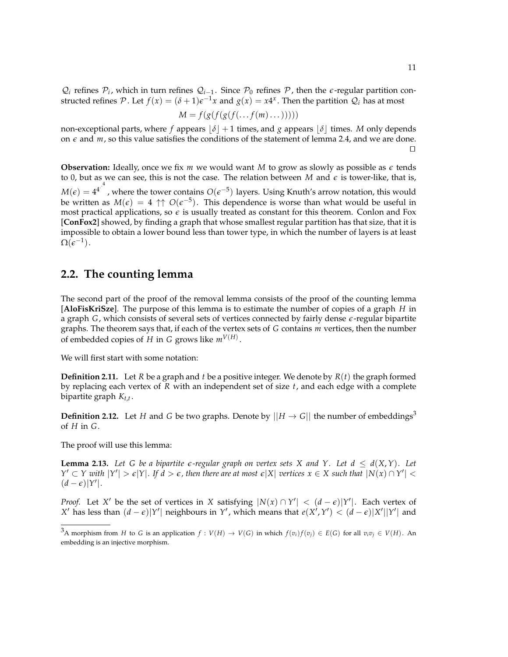$Q_i$  refines  $P_i$ , which in turn refines  $Q_{i-1}$ . Since  $P_0$  refines  $P$ , then the  $\epsilon$ -regular partition constructed refines  $P$ . Let  $f(x) = (\delta + 1)e^{-1}x$  and  $g(x) = x4^x$ . Then the partition  $Q_i$  has at most

$$
M = f(g(f(g(f(\ldots f(m)\ldots))))))
$$

non-exceptional parts, where *f* appears  $|\delta| + 1$  times, and *g* appears  $|\delta|$  times. *M* only depends on  $\epsilon$  and  $m$ , so this value satisfies the conditions of the statement of lemma [2.4,](#page-12-2) and we are done.  $\Box$ 

**Observation:** Ideally, once we fix *m* we would want *M* to grow as slowly as possible as *e* tends to 0, but as we can see, this is not the case. The relation between  $M$  and  $\epsilon$  is tower-like, that is,  $M(\epsilon) = 4^{4^{n^4}}$ , where the tower contains  $O(\epsilon^{-5})$  layers. Using Knuth's arrow notation, this would be written as  $M(\epsilon) = 4 \uparrow \uparrow O(\epsilon^{-5})$ . This dependence is worse than what would be useful in most practical applications, so  $\epsilon$  is usually treated as constant for this theorem. Conlon and Fox [**ConFox2**] showed, by finding a graph that whose smallest regular partition has that size, that it is impossible to obtain a lower bound less than tower type, in which the number of layers is at least  $\Omega(\epsilon^{-1})$  .

#### <span id="page-18-0"></span>**2.2. The counting lemma**

The second part of the proof of the removal lemma consists of the proof of the counting lemma [**AloFisKriSze**]. The purpose of this lemma is to estimate the number of copies of a graph *H* in a graph *G*, which consists of several sets of vertices connected by fairly dense *e*-regular bipartite graphs. The theorem says that, if each of the vertex sets of *G* contains *m* vertices, then the number of embedded copies of *H* in *G* grows like  $m^{V(H)}$ .

We will first start with some notation:

**Definition 2.11.** Let *R* be a graph and *t* be a positive integer. We denote by *R*(*t*) the graph formed by replacing each vertex of *R* with an independent set of size *t*, and each edge with a complete bipartite graph *Kt*,*<sup>t</sup>* .

**Definition 2.12.** Let *H* and *G* be two graphs. Denote by  $||H \rightarrow G||$  the number of embeddings<sup>[3](#page-18-1)</sup> of *H* in *G*.

The proof will use this lemma:

<span id="page-18-2"></span>**Lemma 2.13.** Let G be a bipartite  $\epsilon$ -regular graph on vertex sets X and Y. Let  $d \leq d(X,Y)$ . Let  $|Y' \subset Y$  with  $|Y'| > \epsilon |Y|$ . If  $d > \epsilon$ , then there are at most  $\epsilon |X|$  vertices  $x \in X$  such that  $|N(x) \cap Y'| < \epsilon$  $(d - \epsilon)|Y'|$ .

*Proof.* Let *X'* be the set of vertices in *X* satisfying  $|N(x) \cap Y'| < (d - \epsilon)|Y'|$ . Each vertex of *X*<sup>*'*</sup> has less than  $(d − ε) |Y'|$  neighbours in *Y'*, which means that  $e(X', Y') < (d − ε) |X'| |Y'|$  and

<span id="page-18-1"></span><sup>&</sup>lt;sup>3</sup>A morphism from *H* to *G* is an application  $f: V(H) \to V(G)$  in which  $f(v_i)f(v_j) \in E(G)$  for all  $v_iv_j \in V(H)$ . An embedding is an injective morphism.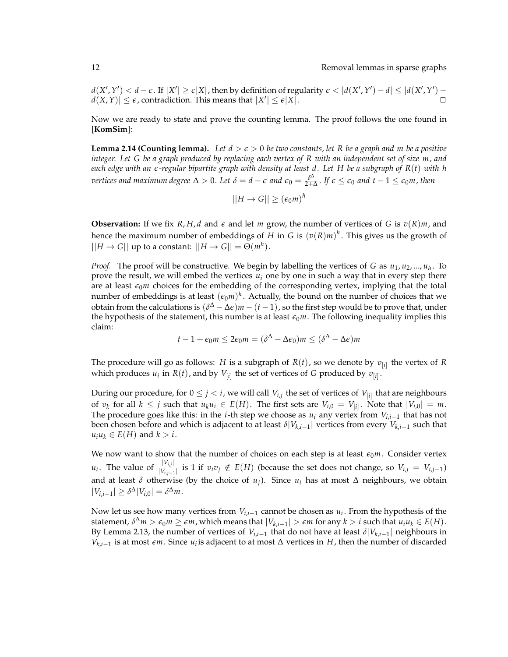$d(X',Y') < d-\epsilon$ . If  $|X'| \geq \epsilon |X|$ , then by definition of regularity  $\epsilon < |d(X',Y') - d| \leq |d(X',Y') - d|$  $d(X,Y)| \leq \epsilon$ , contradiction. This means that  $|X'| \leq \epsilon |X|$ .

Now we are ready to state and prove the counting lemma. The proof follows the one found in [**KomSim**]:

<span id="page-19-0"></span>**Lemma 2.14 (Counting lemma).** Let  $d > \epsilon > 0$  be two constants, let R be a graph and m be a positive *integer. Let G be a graph produced by replacing each vertex of R with an independent set of size m, and each edge with an e-regular bipartite graph with density at least d. Let H be a subgraph of R*(*t*) *with h vertices and maximum degree*  $\Delta > 0$ . Let  $\delta = d - \epsilon$  and  $\epsilon_0 = \frac{\delta^{\Delta}}{2 + \epsilon}$  $\frac{\partial^{\Delta}}{2+\Delta}$ *.* If  $\epsilon \leq \epsilon_0$  and  $t-1 \leq \epsilon_0 m$ , then

$$
||H \to G|| \geq (\epsilon_0 m)^h
$$

**Observation:** If we fix *R*, *H*, *d* and *e* and let *m* grow, the number of vertices of *G* is  $v(R)m$ , and hence the maximum number of embeddings of *H* in *G* is  $(v(R)m)^h$ . This gives us the growth of  $||H \to G||$  up to a constant:  $||H \to G|| = \Theta(m^h)$ .

*Proof.* The proof will be constructive. We begin by labelling the vertices of *G* as *u*1, *u*2, ..., *u<sup>h</sup>* . To prove the result, we will embed the vertices  $u_i$  one by one in such a way that in every step there are at least  $\epsilon_0 m$  choices for the embedding of the corresponding vertex, implying that the total number of embeddings is at least  $(\epsilon_0 m)^h$ . Actually, the bound on the number of choices that we obtain from the calculations is  $(\delta^{\Delta} - \Delta \epsilon) m - (t-1)$ , so the first step would be to prove that, under the hypothesis of the statement, this number is at least  $\epsilon_0 m$ . The following inequality implies this claim:

$$
t-1+\epsilon_0 m\leq 2\epsilon_0 m=(\delta^{\Delta}-\Delta\epsilon_0)m\leq (\delta^{\Delta}-\Delta\epsilon)m
$$

The procedure will go as follows: *H* is a subgraph of  $R(t)$ , so we denote by  $v_{[i]}$  the vertex of *R* which produces  $u_i$  in  $R(t)$ , and by  $V_{[i]}$  the set of vertices of *G* produced by  $v_{[i]}$ .

During our procedure, for  $0 \leq j < i$ , we will call  $V_{i,j}$  the set of vertices of  $V_{[i]}$  that are neighbours of  $v_k$  for all  $k \leq j$  such that  $u_k u_i \in E(H)$ . The first sets are  $V_{i,0} = V_{[i]}$ . Note that  $|V_{i,0}| = m$ . The procedure goes like this: in the *i*-th step we choose as *u<sup>i</sup>* any vertex from *Vi*,*i*−<sup>1</sup> that has not been chosen before and which is adjacent to at least  $\delta|V_{k,i-1}|$  vertices from every  $V_{k,i-1}$  such that  $u_i u_k \in E(H)$  and  $k > i$ .

We now want to show that the number of choices on each step is at least  $\epsilon_0 m$ . Consider vertex  $u_i$ . The value of  $\frac{|V_{i,j}|}{|V_{i,j-1}|}$  $\frac{|V_{i,j}|}{|V_{i,j-1}|}$  is 1 if *v*<sub>*i*</sub>*v*<sub>*j*</sub> ∉ *E*(*H*) (because the set does not change, so  $V_{i,j} = V_{i,j-1}$ ) and at least  $\delta$  otherwise (by the choice of  $u_j$ ). Since  $u_i$  has at most  $\Delta$  neighbours, we obtain  $|V_{i,i-1}| \geq \delta^{\Delta} |V_{i,0}| = \delta^{\Delta} m.$ 

Now let us see how many vertices from *Vi*,*i*−<sup>1</sup> cannot be chosen as *u<sup>i</sup>* . From the hypothesis of the statement,  $\delta^{\Delta}m > \epsilon_0 m \ge \epsilon m$ , which means that  $|V_{k,i-1}| > \epsilon m$  for any  $k > i$  such that  $u_i u_k \in E(H)$ . By Lemma [2.13,](#page-18-2) the number of vertices of  $V_{i,i-1}$  that do not have at least  $\delta|V_{k,i-1}|$  neighbours in *V*<sub>*k*,*i*−1</sub> is at most  $\epsilon$ *m*. Since *u*<sub>*i*</sub> is adjacent to at most  $\Delta$  vertices in *H*, then the number of discarded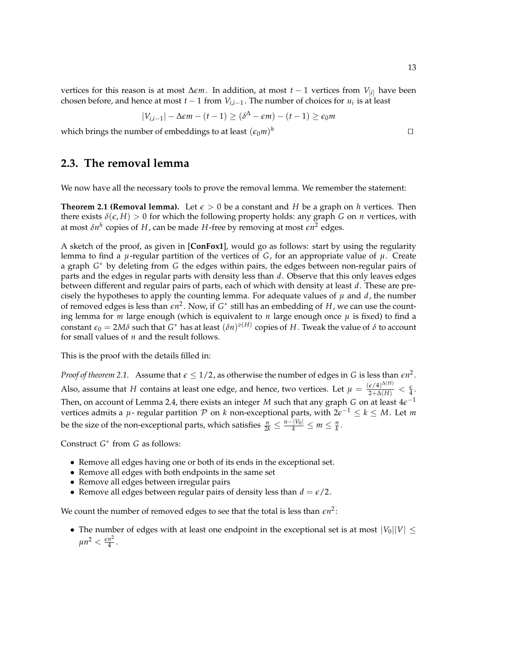$$
|V_{i,i-1}| - \Delta \epsilon m - (t-1) \ge (\delta^{\Delta} - \epsilon m) - (t-1) \ge \epsilon_0 m
$$

which brings the number of embeddings to at least  $(\epsilon_0 m)^h$ 

#### <span id="page-20-0"></span>**2.3. The removal lemma**

We now have all the necessary tools to prove the removal lemma. We remember the statement:

**Theorem [2.1](#page-10-1) (Removal lemma).** Let  $\epsilon > 0$  be a constant and *H* be a graph on *h* vertices. Then there exists  $\delta(\epsilon, H) > 0$  for which the following property holds: any graph *G* on *n* vertices, with at most *δn h* copies of *H*, can be made *H*-free by removing at most *en* 2 edges.

A sketch of the proof, as given in [**ConFox1**], would go as follows: start by using the regularity lemma to find a *µ*-regular partition of the vertices of *G*, for an appropriate value of *µ*. Create a graph G<sup>\*</sup> by deleting from G the edges within pairs, the edges between non-regular pairs of parts and the edges in regular parts with density less than *d*. Observe that this only leaves edges between different and regular pairs of parts, each of which with density at least *d*. These are precisely the hypotheses to apply the counting lemma. For adequate values of  $\mu$  and  $d$ , the number of removed edges is less than  $\epsilon n^2$ . Now, if *G*<sup>\*</sup> still has an embedding of *H*, we can use the counting lemma for *m* large enough (which is equivalent to *n* large enough once *µ* is fixed) to find a  $\cos$  constant  $\epsilon_0 = 2M\delta$  such that  $G^*$  has at least  $(\delta n)^{v(H)}$  copies of  $H.$  Tweak the value of  $\delta$  to account for small values of *n* and the result follows.

This is the proof with the details filled in:

*Proof of theorem [2.1.](#page-10-1)* Assume that  $\epsilon \leq 1/2$ , as otherwise the number of edges in *G* is less than  $\epsilon n^2$ . Also, assume that *H* contains at least one edge, and hence, two vertices. Let  $\mu = \frac{(\epsilon/4)^{\Delta(H)}}{2+\Delta(H)} < \frac{\epsilon}{4}$ . Then, on account of Lemma [2.4,](#page-12-2) there exists an integer  $M$  such that any graph  $G$  on at least  $4\varepsilon^{-1}$ vertices admits a  $\mu$ - regular partition  $\mathcal P$  on  $k$  non-exceptional parts, with  $2\varepsilon^{-1} \leq k \leq M$ . Let  $m$ be the size of the non-exceptional parts, which satisfies  $\frac{n}{2k} \leq \frac{n-|V_0|}{k} \leq m \leq \frac{n}{k}$ .

Construct *G* ∗ from *G* as follows:

- Remove all edges having one or both of its ends in the exceptional set.
- Remove all edges with both endpoints in the same set
- Remove all edges between irregular pairs
- Remove all edges between regular pairs of density less than  $d = \epsilon/2$ .

We count the number of removed edges to see that the total is less than  $\epsilon n^2$ :

• The number of edges with at least one endpoint in the exceptional set is at most  $|V_0||V| \leq$  $\mu n^2 < \frac{\epsilon n^2}{4}$  $\frac{n}{4}$ .

 $h$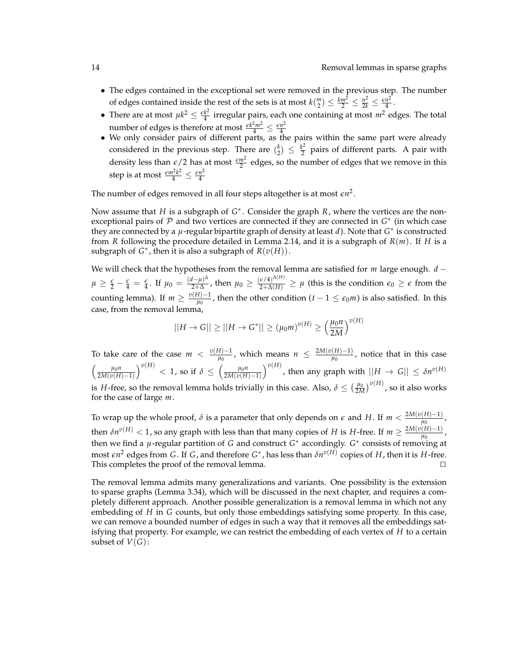- The edges contained in the exceptional set were removed in the previous step. The number of edges contained inside the rest of the sets is at most  $k(\frac{m}{2}) \le \frac{km^2}{2} \le \frac{n^2}{2k} \le \frac{\epsilon n^2}{4}$  $\frac{n}{4}$ .
- There are at most  $\mu k^2 \leq \frac{\epsilon k^2}{4}$  irregular pairs, each one containing at most  $m^2$  edges. The total number of edges is therefore at most  $\frac{ek^2m^2}{4} \leq \frac{en^2}{4}$ 4
- We only consider pairs of different parts, as the pairs within the same part were already considered in the previous step. There are  $\binom{k}{2} \leq \frac{k^2}{2}$  $\frac{\sigma}{2}$  pairs of different parts. A pair with density less than  $\epsilon/2$  has at most  $\frac{\epsilon m^2}{2}$  edges, so the number of edges that we remove in this step is at most  $\frac{\epsilon m^2 k^2}{4} \leq \frac{\epsilon n^2}{4}$ 4

The number of edges removed in all four steps altogether is at most  $\epsilon n^2$ .

Now assume that *H* is a subgraph of  $G^*$ . Consider the graph *R*, where the vertices are the nonexceptional pairs of P and two vertices are connected if they are connected in G<sup>\*</sup> (in which case they are connected by a *µ*-regular bipartite graph of density at least *d*). Note that *G* ∗ is constructed from *R* following the procedure detailed in Lemma [2.14,](#page-19-0) and it is a subgraph of *R*(*m*). If *H* is a subgraph of  $G^*$ , then it is also a subgraph of  $R(v(H))$ .

We will check that the hypotheses from the removal lemma are satisfied for *m* large enough. *d* −  $\mu \geq \frac{\epsilon}{2} - \frac{\epsilon}{4} = \frac{\epsilon}{4}$ . If  $\mu_0 = \frac{(d-\mu)^{\Delta}}{2+\Delta}$  $\frac{d^2 - \mu}{2 + \Delta}$ , then  $\mu_0 \geq \frac{(\epsilon/4)^{\Delta(H)}}{2 + \Delta(H)} \geq \mu$  (this is the condition  $\epsilon_0 \geq \epsilon$  from the counting lemma). If  $m \geq \frac{v(H)-1}{u_0}$  $\frac{H^{(1)}-1}{\mu_0}$ , then the other condition (*t* − 1 ≤  $\epsilon_0$ *m*) is also satisfied. In this case, from the removal lemma,

$$
||H \to G|| \ge ||H \to G^*|| \ge (\mu_0 m)^{v(H)} \ge \left(\frac{\mu_0 n}{2M}\right)^{v(H)}
$$

To take care of the case  $m < \frac{v(H)-1}{w(H)}$  $\frac{H}{\mu_0}$ , which means  $n \leq \frac{2M(v(H)-1)}{\mu_0}$  $\frac{(11)^{n}-1}{\mu_0}$ , notice that in this case  $\int \frac{\mu_0 n}{\mu_0}$  $\frac{\mu_0 n}{2M(v(H)-1)}\Big)^{v(H)} < 1$ , so if  $\delta \leq \Big(\frac{\mu_0 n}{2M(v(H))}\Big)^{v(H)}$  $\frac{\mu_0 n}{2M(v(H)-1)}$ <sup> $v(H)$ </sup>, then any graph with  $||H \to G|| \leq \delta n^{v(H)}$ is *H*-free, so the removal lemma holds trivially in this case. Also,  $\delta \leq (\frac{\mu_0}{2M})^{v(H)}$ , so it also works for the case of large *m*.

To wrap up the whole proof,  $\delta$  is a parameter that only depends on  $\epsilon$  and  $H$ . If  $m < \frac{2M(v(H)-1)}{u_0}$ , *µ*0 then  $\delta n^{v(H)} < 1$ , so any graph with less than that many copies of *H* is *H*-free. If  $m \geq \frac{2M(v(H)-1)}{u_0}$  $\frac{(11)^{n}1}{\mu_0}$ , then we find a *µ*-regular partition of *G* and construct *G*<sup>\*</sup> accordingly. *G*<sup>\*</sup> consists of removing at most *εn*<sup>2</sup> edges from *G*. If *G*, and therefore *G*<sup>\*</sup>, has less than *δn*<sup>*v*(H)</sup> copies of *H*, then it is *H*-free. This completes the proof of the removal lemma.

The removal lemma admits many generalizations and variants. One possibility is the extension to sparse graphs (Lemma [3.34\)](#page-63-1), which will be discussed in the next chapter, and requires a completely different approach. Another possible generalization is a removal lemma in which not any embedding of *H* in *G* counts, but only those embeddings satisfying some property. In this case, we can remove a bounded number of edges in such a way that it removes all the embeddings satisfying that property. For example, we can restrict the embedding of each vertex of *H* to a certain subset of  $V(G)$ :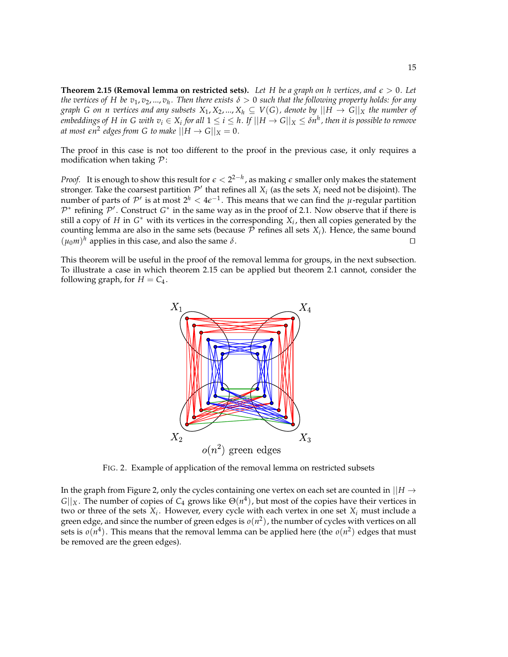<span id="page-22-0"></span>**Theorem 2.15 (Removal lemma on restricted sets).** Let H be a graph on h vertices, and  $\epsilon > 0$ . Let *the vertices of H be*  $v_1$ *,*  $v_2$ *, ...,*  $v_h$ *. Then there exists*  $\delta > 0$  *such that the following property holds: for any graph G on n vertices and any subsets*  $X_1, X_2, ..., X_h \subseteq V(G)$ , denote by  $||H \rightarrow G||_X$  the number of  $e$ mbeddings of  $H$  in  $G$  with  $v_i\in X_i$  for all  $1\leq i\leq h.$  If  $||H\to G||_X\leq \delta n^h$  , then it is possible to remove *at most*  $\epsilon n^2$  *edges from G to make*  $||H \to G||_X = 0$ *.* 

The proof in this case is not too different to the proof in the previous case, it only requires a modification when taking  $P$ :

*Proof.* It is enough to show this result for  $\epsilon < 2^{2-h}$  , as making  $\epsilon$  smaller only makes the statement stronger. Take the coarsest partition  $\mathcal{P}'$  that refines all  $X_i$  (as the sets  $X_i$  need not be disjoint). The number of parts of  $\mathcal{P}'$  is at most  $2^h < 4\epsilon^{-1}$ . This means that we can find the  $\mu$ -regular partition  $\mathcal{P}^*$  refining  $\mathcal{P}'$ . Construct  $G^*$  in the same way as in the proof of [2.1.](#page-10-1) Now observe that if there is still a copy of *H* in  $G^*$  with its vertices in the corresponding  $X_i$ , then all copies generated by the counting lemma are also in the same sets (because  $P$  refines all sets  $X_i$ ). Hence, the same bound  $(\mu_0 m)^h$  applies in this case, and also the same  $\delta$ .

<span id="page-22-1"></span>This theorem will be useful in the proof of the removal lemma for groups, in the next subsection. To illustrate a case in which theorem [2.15](#page-22-0) can be applied but theorem [2.1](#page-10-1) cannot, consider the following graph, for  $H = C_4$ .



FIG. 2. Example of application of the removal lemma on restricted subsets

In the graph from Figure [2,](#page-22-1) only the cycles containing one vertex on each set are counted in  $||H \rightarrow$  $G||_X$ . The number of copies of  $C_4$  grows like  $\Theta(n^4)$ , but most of the copies have their vertices in two or three of the sets *X<sup>i</sup>* . However, every cycle with each vertex in one set *X<sup>i</sup>* must include a green edge, and since the number of green edges is  $o(n^2)$  , the number of cycles with vertices on all sets is  $o(n^4)$ . This means that the removal lemma can be applied here (the  $o(n^2)$  edges that must be removed are the green edges).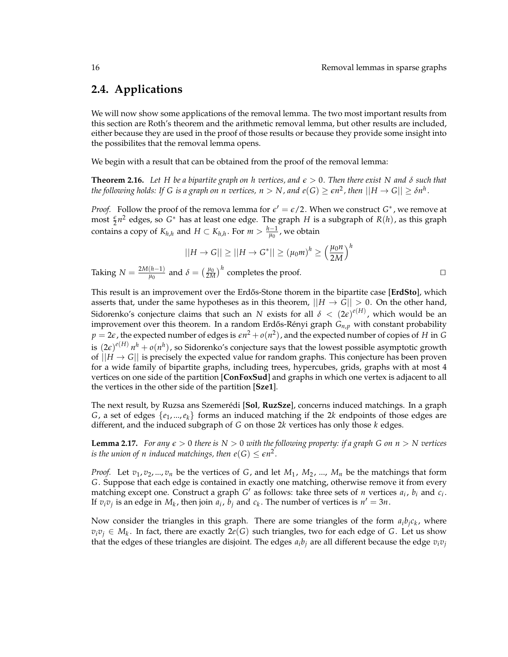#### <span id="page-23-0"></span>**2.4. Applications**

We will now show some applications of the removal lemma. The two most important results from this section are Roth's theorem and the arithmetic removal lemma, but other results are included, either because they are used in the proof of those results or because they provide some insight into the possibilites that the removal lemma opens.

We begin with a result that can be obtained from the proof of the removal lemma:

**Theorem 2.16.** Let H be a bipartite graph on h vertices, and  $\epsilon > 0$ . Then there exist N and  $\delta$  such that  $t$ he following holds: If G is a graph on  $n$  vertices,  $n>N$ , and  $e(G)\geq \epsilon n^2$ , then  $||H\to G||\geq \delta n^h.$ 

*Proof.* Follow the proof of the remova lemma for  $\epsilon' = \epsilon/2$ . When we construct  $G^*$ , we remove at most  $\frac{e}{2}n^2$  edges, so *G*<sup>∗</sup> has at least one edge. The graph *H* is a subgraph of *R*(*h*), as this graph contains a copy of  $K_{h,h}$  and  $H \subset K_{h,h}$ . For  $m > \frac{h-1}{\mu_0}$ , we obtain

$$
||H \to G|| \ge ||H \to G^*|| \ge (\mu_0 m)^h \ge \left(\frac{\mu_0 n}{2M}\right)^h
$$

Taking  $N = \frac{2M(h-1)}{u_0}$  $\frac{(h-1)}{\mu_0}$  and  $\delta = \left(\frac{\mu_0}{2M}\right)^h$  completes the proof.

This result is an improvement over the Erd˝os-Stone thorem in the bipartite case [**ErdSto**], which asserts that, under the same hypotheses as in this theorem,  $||H \to G|| > 0$ . On the other hand, Sidorenko's conjecture claims that such an  $N$  exists for all  $\delta\,<\, (2\epsilon)^{e(H)}$ , which would be an improvement over this theorem. In a random Erdős-Rényi graph  $G_{n,p}$  with constant probability  $p = 2\varepsilon$  , the expected number of edges is  $\varepsilon n^2 + o(n^2)$  , and the expected number of copies of  $H$  in  $G$ is  $(2e)^{e(H)}$   $n^h + o(n^h)$ , so Sidorenko's conjecture says that the lowest possible asymptotic growth of  $||H \rightarrow G||$  is precisely the expected value for random graphs. This conjecture has been proven for a wide family of bipartite graphs, including trees, hypercubes, grids, graphs with at most 4 vertices on one side of the partition [**ConFoxSud**] and graphs in which one vertex is adjacent to all the vertices in the other side of the partition [**Sze1**].

The next result, by Ruzsa ans Szemerédi [**Sol**, **RuzSze**], concerns induced matchings. In a graph *G*, a set of edges {*e*1, ...,*ek*} forms an induced matching if the 2*k* endpoints of those edges are different, and the induced subgraph of *G* on those 2*k* vertices has only those *k* edges.

<span id="page-23-1"></span>**Lemma 2.17.** *For any*  $\epsilon > 0$  *there is*  $N > 0$  *with the following property: if a graph* G *on*  $n > N$  *vertices is the union of n induced matchings, then*  $e(G) \leq \epsilon n^2$ *.* 

*Proof.* Let  $v_1, v_2, ..., v_n$  be the vertices of *G*, and let  $M_1$ ,  $M_2$ , ...,  $M_n$  be the matchings that form *G*. Suppose that each edge is contained in exactly one matching, otherwise remove it from every matching except one. Construct a graph  $G'$  as follows: take three sets of *n* vertices  $a_i$ ,  $b_i$  and  $c_i$ . If  $v_i v_j$  is an edge in  $M_k$ , then join  $a_i$ ,  $b_j$  and  $c_k$ . The number of vertices is  $n' = 3n$ .

Now consider the triangles in this graph. There are some triangles of the form *aibjc<sup>k</sup>* , where  $v_i v_j \in M_k$ . In fact, there are exactly  $2e(G)$  such triangles, two for each edge of *G*. Let us show that the edges of these triangles are disjoint. The edges  $a_i b_j$  are all different because the edge  $v_i v_j$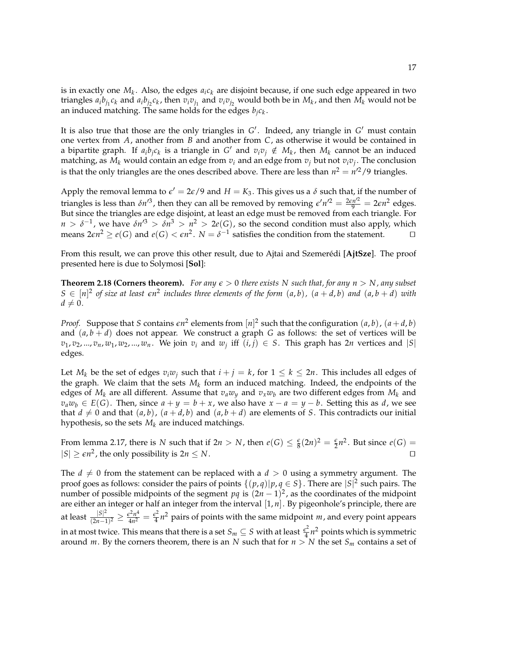is in exactly one *M<sup>k</sup>* . Also, the edges *aic<sup>k</sup>* are disjoint because, if one such edge appeared in two triangles  $a_i b_{j_1} c_k$  and  $a_i b_{j_2} c_k$ , then  $v_i v_{j_1}$  and  $v_i v_{j_2}$  would both be in  $M_k$ , and then  $M_k$  would not be an induced matching. The same holds for the edges *bjc<sup>k</sup>* .

It is also true that those are the only triangles in *G'*. Indeed, any triangle in *G'* must contain one vertex from *A*, another from *B* and another from *C*, as otherwise it would be contained in a bipartite graph. If  $a_i b_j c_k$  is a triangle in  $G'$  and  $v_i v_j \notin M_k$ , then  $M_k$  cannot be an induced matching, as  $M_k$  would contain an edge from  $v_i$  and an edge from  $v_j$  but not  $v_iv_j$ . The conclusion is that the only triangles are the ones described above. There are less than  $n^2 = n'^2/9$  triangles.

Apply the removal lemma to  $\epsilon' = 2\epsilon/9$  and  $H = K_3$ . This gives us a  $\delta$  such that, if the number of triangles is less than  $\delta n^3$ , then they can all be removed by removing  $\epsilon' n'^2 = \frac{2\epsilon n'^2}{9} = 2\epsilon n^2$  edges. But since the triangles are edge disjoint, at least an edge must be removed from each triangle. For  $n > \delta^{-1}$ , we have  $\delta n^{\prime 3} > \delta n^3 > n^2 > 2e(G)$ , so the second condition must also apply, which means  $2\epsilon n^2 \ge e(G)$  and  $e(G) < \epsilon n^2$ .  $N = \delta^{-1}$  satisfies the condition from the statement.  $\Box$ 

From this result, we can prove this other result, due to Ajtai and Szemerédi [**AjtSze**]. The proof presented here is due to Solymosi [**Sol**]:

<span id="page-24-0"></span>**Theorem 2.18 (Corners theorem).** For any  $\epsilon > 0$  there exists N such that, for any  $n > N$ , any subset  $S \in [n]^2$  of size at least  $\epsilon n^2$  includes three elements of the form  $(a,b)$ ,  $(a+d,b)$  and  $(a,b+d)$  with  $d \neq 0$ .

*Proof.* Suppose that *S* contains  $\epsilon n^2$  elements from  $[n]^2$  such that the configuration  $(a, b)$ ,  $(a + d, b)$ and  $(a, b + d)$  does not appear. We construct a graph *G* as follows: the set of vertices will be  $v_1, v_2, ..., v_n, w_1, w_2, ..., w_n$ . We join  $v_i$  and  $w_j$  iff  $(i, j) \in S$ . This graph has 2*n* vertices and  $|S|$ edges.

Let  $M_k$  be the set of edges  $v_i w_j$  such that  $i + j = k$ , for  $1 \leq k \leq 2n$ . This includes all edges of the graph. We claim that the sets *M<sup>k</sup>* form an induced matching. Indeed, the endpoints of the edges of  $M_k$  are all different. Assume that  $v_a w_y$  and  $v_x w_b$  are two different edges from  $M_k$  and  $v_a w_b \in E(G)$ . Then, since  $a + y = b + x$ , we also have  $x - a = y - b$ . Setting this as *d*, we see that  $d \neq 0$  and that  $(a, b)$ ,  $(a + d, b)$  and  $(a, b + d)$  are elements of *S*. This contradicts our initial hypothesis, so the sets *M<sup>k</sup>* are induced matchings.

From lemma [2.17,](#page-23-1) there is *N* such that if  $2n > N$ , then  $e(G) \leq \frac{\epsilon}{8}(2n)^2 = \frac{\epsilon}{2}n^2$ . But since  $e(G)$  =  $|S| \ge \epsilon n^2$ , the only possibility is  $2n \le N$ .

The  $d \neq 0$  from the statement can be replaced with a  $d > 0$  using a symmetry argument. The proof goes as follows: consider the pairs of points  $\{(p,q)|p,q\in S\}$ . There are  $|S|^2$  such pairs. The number of possible midpoints of the segment *pq* is  $(2n - 1)^2$ , as the coordinates of the midpoint are either an integer or half an integer from the interval [1, *n*]. By pigeonhole's principle, there are at least  $\frac{|S|^2}{(2n-1)}$  $\frac{|S|^2}{(2n-1)^2} \geq \frac{\epsilon^2 n^4}{4n^2}$  $\frac{\varepsilon^2 n^4}{4n^2} = \frac{\varepsilon^2}{4}$  $\frac{d^2}{dt}n^2$  pairs of points with the same midpoint *m*, and every point appears in at most twice. This means that there is a set  $S_m \subseteq S$  with at least  $\frac{\epsilon^2}{4}$  $\frac{e^2}{4}n^2$  points which is symmetric around *m*. By the corners theorem, there is an *N* such that for  $n > N$  the set  $S_m$  contains a set of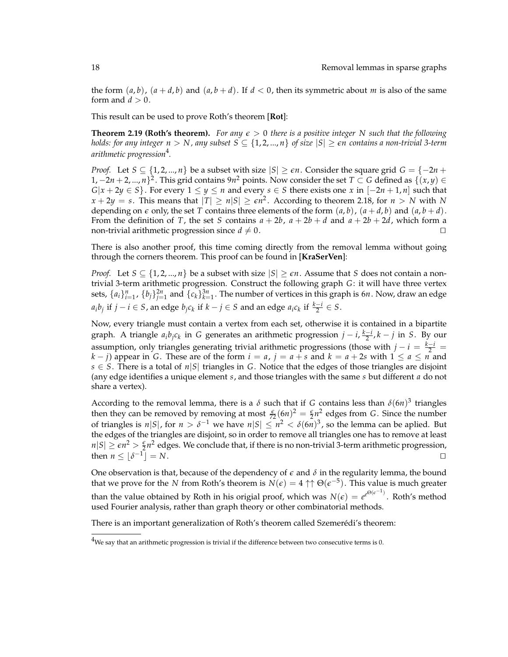the form  $(a, b)$ ,  $(a + d, b)$  and  $(a, b + d)$ . If  $d < 0$ , then its symmetric about *m* is also of the same form and  $d > 0$ .

This result can be used to prove Roth's theorem [**Rot**]:

**Theorem 2.19 (Roth's theorem).** For any  $\epsilon > 0$  there is a positive integer N such that the following *holds: for any integer n* > *N, any subset S* ⊆ {1, 2, ..., *n*} *of size* |*S*| ≥ *en contains a non-trivial 3-term arithmetic progression*[4](#page-25-0) *.*

*Proof.* Let  $S \subseteq \{1, 2, ..., n\}$  be a subset with size  $|S| \geq \epsilon n$ . Consider the square grid  $G = \{-2n +$ 1, −2*n* + 2, ..., *n*} 2 . This grid contains 9*n* <sup>2</sup> points. Now consider the set *T* ⊂ *G* defined as {(*x*, *y*) ∈ *G*| $x$  + 2 $y$  ∈ *S*}. For every 1 ≤  $y$  ≤ *n* and every  $s$  ∈ *S* there exists one  $x$  in [−2*n* + 1, *n*] such that  $x + 2y = s$ . This means that  $|T| \ge n|S| \ge \epsilon n^2$ . According to theorem [2.18,](#page-24-0) for  $n > N$  with *N* depending on  $\epsilon$  only, the set *T* contains three elements of the form  $(a, b)$ ,  $(a+d, b)$  and  $(a, b+d)$ . From the definition of *T*, the set *S* contains  $a + 2b$ ,  $a + 2b + d$  and  $a + 2b + 2d$ , which form a non-trivial arithmetic progression since  $d \neq 0$ .

There is also another proof, this time coming directly from the removal lemma without going through the corners theorem. This proof can be found in [**KraSerVen**]:

*Proof.* Let  $S \subseteq \{1, 2, ..., n\}$  be a subset with size  $|S| \geq \epsilon n$ . Assume that *S* does not contain a nontrivial 3-term arithmetic progression. Construct the following graph *G*: it will have three vertex sets,  $\{a_i\}_{i=1}^n$ ,  $\{b_j\}_{j=1}^{2n}$  and  $\{c_k\}_{k=1}^{3n}$ . The number of vertices in this graph is 6*n*. Now, draw an edge *a*<sub>*i*</sub>*b*<sub>*j*</sub> if *j* − *i* ∈ *S*, an edge *b*<sub>*j*</sub>*c*<sub>*k*</sub> if *k* − *j* ∈ *S* and an edge *a*<sub>*i*</sub>*c*<sub>*k*</sub> if  $\frac{k-i}{2}$  ∈ *S*.

Now, every triangle must contain a vertex from each set, otherwise it is contained in a bipartite graph. A triangle  $a_i b_j c_k$  in *G* generates an arithmetic progression  $j - i$ ,  $\frac{k-i}{2}$ ,  $k - j$  in *S*. By our assumption, only triangles generating trivial arithmetic progressions (those with  $j - i = \frac{k-i}{2}$ *k* − *j*) appear in *G*. These are of the form  $i = a$ ,  $j = a + s$  and  $k = a + 2s$  with  $1 ≤ a ≤ n$  and *s* ∈ *S*. There is a total of *n*|*S*| triangles in *G*. Notice that the edges of those triangles are disjoint (any edge identifies a unique element *s*, and those triangles with the same *s* but different *a* do not share a vertex).

According to the removal lemma, there is a  $\delta$  such that if *G* contains less than  $\delta(6n)^3$  triangles then they can be removed by removing at most  $\frac{\epsilon}{72}(6n)^2 = \frac{\epsilon}{2}n^2$  edges from *G*. Since the number of triangles is  $n|S|$ , for  $n > \delta^{-1}$  we have  $n|S| \leq n^2 < \delta(6n)^3$ , so the lemma can be aplied. But the edges of the triangles are disjoint, so in order to remove all triangles one has to remove at least  $n|S| \geq \epsilon n^2 > \frac{\epsilon}{2} n^2$  edges. We conclude that, if there is no non-trivial 3-term arithmetic progression, then  $n \leq \lfloor \delta^{-1} \rfloor$  $\Box$  = *N*.

One observation is that, because of the dependency of  $\epsilon$  and  $\delta$  in the regularity lemma, the bound that we prove for the *N* from Roth's theorem is  $N(\epsilon) = 4 \uparrow \uparrow \Theta(\epsilon^{-5})$ . This value is much greater than the value obtained by Roth in his origial proof, which was  $N(\epsilon) = e^{e^{\Theta(\epsilon^{-1})}}$ . Roth's method used Fourier analysis, rather than graph theory or other combinatorial methods.

There is an important generalization of Roth's theorem called Szemerédi's theorem:

<span id="page-25-0"></span> $^{4}$ We say that an arithmetic progression is trivial if the difference between two consecutive terms is 0.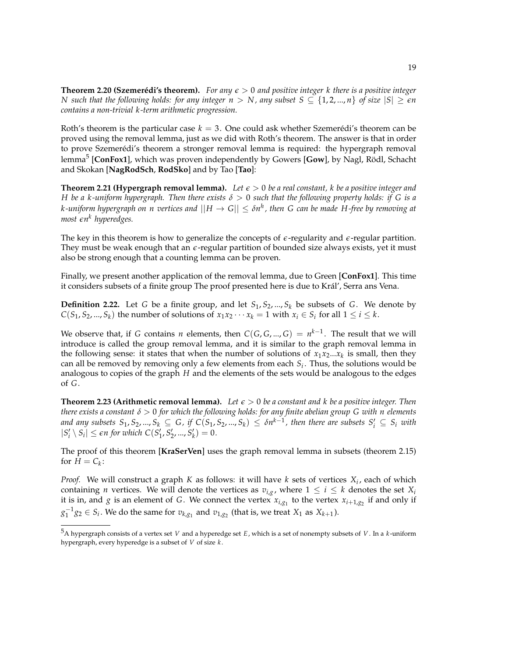**Theorem 2.20 (Szemerédi's theorem).** For any  $\epsilon > 0$  and positive integer k there is a positive integer *N* such that the following holds: for any integer  $n > N$ , any subset  $S \subseteq \{1, 2, ..., n\}$  of size  $|S| \geq \epsilon n$ *contains a non-trivial k -term arithmetic progression.*

Roth's theorem is the particular case *k* = 3. One could ask whether Szemerédi's theorem can be proved using the removal lemma, just as we did with Roth's theorem. The answer is that in order to prove Szemerédi's theorem a stronger removal lemma is required: the hypergraph removal lemma[5](#page-26-0) [**ConFox1**], which was proven independently by Gowers [**Gow**], by Nagl, Rödl, Schacht and Skokan [**NagRodSch**, **RodSko**] and by Tao [**Tao**]:

**Theorem 2.21 (Hypergraph removal lemma).** Let  $\epsilon > 0$  be a real constant, k be a positive integer and *H be a k -uniform hypergraph. Then there exists δ* > 0 *such that the following property holds: if G is a k-uniform hypergraph on*  $n$  *vertices and*  $||H \to G|| \leq \delta n^h$  *, then G can be made H-free by removing at most en <sup>k</sup> hyperedges.*

The key in this theorem is how to generalize the concepts of *e*-regularity and *e*-regular partition. They must be weak enough that an *e*-regular partition of bounded size always exists, yet it must also be strong enough that a counting lemma can be proven.

Finally, we present another application of the removal lemma, due to Green [**ConFox1**]. This time it considers subsets of a finite group The proof presented here is due to Král', Serra ans Vena.

**Definition 2.22.** Let *G* be a finite group, and let  $S_1$ ,  $S_2$ , ...,  $S_k$  be subsets of *G*. We denote by  $C(S_1, S_2, ..., S_k)$  the number of solutions of  $x_1x_2 \cdots x_k = 1$  with  $x_i \in S_i$  for all  $1 \le i \le k$ .

We observe that, if *G* contains *n* elements, then  $C(G, G, ..., G) = n^{k-1}$ . The result that we will introduce is called the group removal lemma, and it is similar to the graph removal lemma in the following sense: it states that when the number of solutions of  $x_1x_2...x_k$  is small, then they can all be removed by removing only a few elements from each *S<sup>i</sup>* . Thus, the solutions would be analogous to copies of the graph *H* and the elements of the sets would be analogous to the edges of *G*.

<span id="page-26-1"></span>**Theorem 2.23 (Arithmetic removal lemma).** Let  $\epsilon > 0$  be a constant and k be a positive integer. Then *there exists a constant δ* > 0 *for which the following holds: for any finite abelian group G with n elements* and any subsets  $S_1, S_2, ..., S_k \subseteq G$ , if  $C(S_1, S_2, ..., S_k) \le \delta n^{k-1}$ , then there are subsets  $S_i' \subseteq S_i$  with  $|S'_i \setminus S_i| \leq \epsilon n$  for which  $C(S'_1, S'_2, ..., S'_k) = 0$ .

The proof of this theorem [**KraSerVen**] uses the graph removal lemma in subsets (theorem [2.15\)](#page-22-0) for  $H = C_k$ :

*Proof.* We will construct a graph *K* as follows: it will have *k* sets of vertices *X<sup>i</sup>* , each of which containing *n* vertices. We will denote the vertices as  $v_{i,g}$ , where  $1 \leq i \leq k$  denotes the set  $X_i$ it is in, and *g* is an element of *G*. We connect the vertex  $x_{i,g_1}$  to the vertex  $x_{i+1,g_2}$  if and only if *g*<sup> $-1$ </sup>*g*<sub>2</sub> ∈ *S*<sup>*i*</sup>. We do the same for *v*<sub>*k*,*g*<sub>1</sub></sub> and *v*<sub>1,*g*<sub>2</sub></sub> (that is, we treat *X*<sub>1</sub> as *X*<sub>*k*+1</sub>).

<span id="page-26-0"></span><sup>5</sup>A hypergraph consists of a vertex set *V* and a hyperedge set *E*, which is a set of nonempty subsets of *V* . In a *k* -uniform hypergraph, every hyperedge is a subset of *V* of size *k* .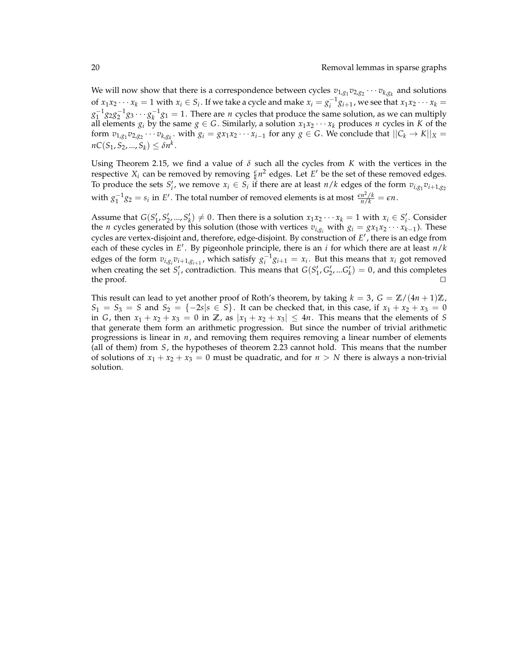We will now show that there is a correspondence between cycles  $v_{1,g_1}v_{2,g_2}\cdots v_{k,g_k}$  and solutions of  $x_1x_2 \cdots x_k = 1$  with  $x_i \in S_i$ . If we take a cycle and make  $x_i = g_i^{-1}g_{i+1}$ , we see that  $x_1x_2 \cdots x_k =$  $g_1^{-1}g_2g_2^{-1}g_3\cdots g_k^{-1}g_1=1$ . There are *n* cycles that produce the same solution, as we can multiply all elements  $g_i$  by the same  $g \in G$ . Similarly, a solution  $x_1x_2 \cdots x_k$  produces *n* cycles in *K* of the form  $v_{1,g_1}v_{2,g_2}\cdots v_{k,g_k}$ . with  $g_i=gx_1x_2\cdots x_{i-1}$  for any  $g\in G$ . We conclude that  $||C_k\to K||_X=$  $nC(S_1, S_2, ..., S_k) \leq \delta n^k$ .

Using Theorem [2.15,](#page-22-0) we find a value of  $\delta$  such all the cycles from *K* with the vertices in the respective  $X_i$  can be removed by removing  $\frac{\epsilon}{k}n^2$  edges. Let  $E'$  be the set of these removed edges. To produce the sets  $S'_i$ , we remove  $x_i \in S_i$  if there are at least  $n/k$  edges of the form  $v_{i,g_1}v_{i+1,g_2}$ with  $g_1^{-1}g_2 = s_i$  in *E'*. The total number of removed elements is at most  $\frac{\epsilon n^2/k}{n/k} = \epsilon n$ .

Assume that  $G(S'_1, S'_2, ..., S'_k) \neq 0$ . Then there is a solution  $x_1x_2 \cdots x_k = 1$  with  $x_i \in S'_i$ . Consider the *n* cycles generated by this solution (those with vertices  $v_{i,g_i}$  with  $g_i = gx_1x_2 \cdots x_{k-1}$ ). These cycles are vertex-disjoint and, therefore, edge-disjoint. By construction of E', there is an edge from each of these cycles in  $E'$ . By pigeonhole principle, there is an *i* for which there are at least  $n/k$ edges of the form  $v_{i,g_i}v_{i+1,g_{i+1}}$ , which satisfy  $g_i^{-1}g_{i+1} = x_i$ . But this means that  $x_i$  got removed when creating the set  $S_i'$ , contradiction. This means that  $G(S_1', G_2', ... G_k') = 0$ , and this completes the proof.  $\Box$ 

This result can lead to yet another proof of Roth's theorem, by taking  $k = 3$ ,  $G = \mathbb{Z}/(4n+1)\mathbb{Z}$ ,  $S_1 = S_3 = S$  and  $S_2 = \{-2s|s \in S\}$ . It can be checked that, in this case, if  $x_1 + x_2 + x_3 = 0$ in *G*, then  $x_1 + x_2 + x_3 = 0$  in **Z**, as  $|x_1 + x_2 + x_3| \le 4n$ . This means that the elements of *S* that generate them form an arithmetic progression. But since the number of trivial arithmetic progressions is linear in *n*, and removing them requires removing a linear number of elements (all of them) from *S*, the hypotheses of theorem [2.23](#page-26-1) cannot hold. This means that the number of solutions of  $x_1 + x_2 + x_3 = 0$  must be quadratic, and for  $n > N$  there is always a non-trivial solution.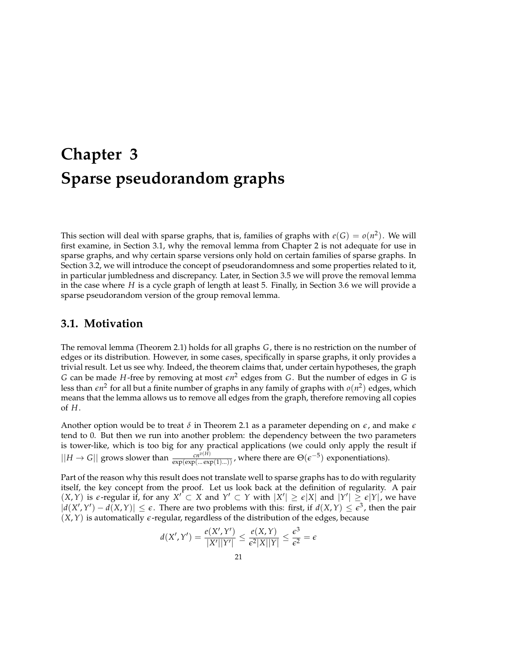## <span id="page-28-0"></span>**Chapter 3 Sparse pseudorandom graphs**

This section will deal with sparse graphs, that is, families of graphs with  $e(G) = o(n^2)$ . We will first examine, in Section [3.1,](#page-28-1) why the removal lemma from Chapter [2](#page-10-0) is not adequate for use in sparse graphs, and why certain sparse versions only hold on certain families of sparse graphs. In Section [3.2,](#page-30-0) we will introduce the concept of pseudorandomness and some properties related to it, in particular jumbledness and discrepancy. Later, in Section [3.5](#page-63-0) we will prove the removal lemma in the case where *H* is a cycle graph of length at least 5. Finally, in Section [3.6](#page-65-0) we will provide a sparse pseudorandom version of the group removal lemma.

#### <span id="page-28-1"></span>**3.1. Motivation**

The removal lemma (Theorem [2.1\)](#page-10-1) holds for all graphs *G*, there is no restriction on the number of edges or its distribution. However, in some cases, specifically in sparse graphs, it only provides a trivial result. Let us see why. Indeed, the theorem claims that, under certain hypotheses, the graph *G* can be made *H*-free by removing at most *en* 2 edges from *G*. But the number of edges in *G* is less than  $\epsilon n^2$  for all but a finite number of graphs in any family of graphs with  $o(n^2)$  edges, which means that the lemma allows us to remove all edges from the graph, therefore removing all copies of *H*.

Another option would be to treat *δ* in Theorem [2.1](#page-10-1) as a parameter depending on *e*, and make *e* tend to 0. But then we run into another problem: the dependency between the two parameters is tower-like, which is too big for any practical applications (we could only apply the result if  $||H \to G||$  grows slower than  $\frac{cn^{v(H)}}{\exp(\exp(...\exp(1)...))}$ , where there are  $\Theta(\epsilon^{-5})$  exponentiations).

Part of the reason why this result does not translate well to sparse graphs has to do with regularity itself, the key concept from the proof. Let us look back at the definition of regularity. A pair  $(X,Y)$  is  $\epsilon$ -regular if, for any  $X'$  ⊂  $X$  and  $Y'$  ⊂  $Y$  with  $|X'|$  ≥  $\epsilon$ | $X|$  and  $|Y'|$  ≥  $\epsilon$ | $Y|$ , we have  $|d(X', Y') - d(X, Y)| \leq \epsilon$ . There are two problems with this: first, if  $d(X, Y) \leq \epsilon^3$ , then the pair  $(X, Y)$  is automatically  $\epsilon$ -regular, regardless of the distribution of the edges, because

$$
d(X',Y') = \frac{e(X',Y')}{|X'||Y'|} \le \frac{e(X,Y)}{\epsilon^2 |X||Y|} \le \frac{\epsilon^3}{\epsilon^2} = \epsilon
$$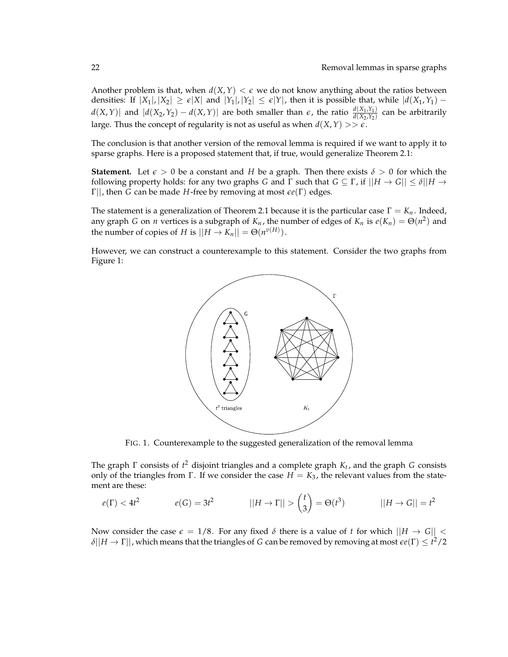Another problem is that, when  $d(X, Y) < \epsilon$  we do not know anything about the ratios between densities: If  $|X_1|, |X_2| \geq \epsilon |X|$  and  $|Y_1|, |Y_2| \leq \epsilon |Y|$ , then it is possible that, while  $|d(X_1, Y_1) - d(X_1, Y_2)|$  $d(X,Y)$ | and  $|d(X_2,Y_2) - d(X,Y)|$  are both smaller than  $\epsilon$ , the ratio  $\frac{d(X_1,Y_1)}{d(X_2,Y_2)}$  $\frac{d(X_1, Y_1)}{d(X_2, Y_2)}$  can be arbitrarily large. Thus the concept of regularity is not as useful as when  $d(X, Y) >> \epsilon$ .

The conclusion is that another version of the removal lemma is required if we want to apply it to sparse graphs. Here is a proposed statement that, if true, would generalize Theorem [2.1:](#page-10-1)

**Statement.** Let  $\epsilon > 0$  be a constant and *H* be a graph. Then there exists  $\delta > 0$  for which the following property holds: for any two graphs *G* and  $\Gamma$  such that  $G \subseteq \Gamma$ , if  $||H \rightarrow G|| \le \delta||H \rightarrow$ Γ||, then *G* can be made *H*-free by removing at most *ee*(Γ) edges.

The statement is a generalization of Theorem [2.1](#page-10-1) because it is the particular case  $\Gamma = K_n$ . Indeed, any graph *G* on *n* vertices is a subgraph of  $K_n$ , the number of edges of  $K_n$  is  $e(K_n) = \Theta(n^2)$  and the number of copies of *H* is  $||H \to K_n|| = \Theta(n^{v(H)})$ .

<span id="page-29-0"></span>However, we can construct a counterexample to this statement. Consider the two graphs from Figure [1:](#page-29-0)



FIG. 1. Counterexample to the suggested generalization of the removal lemma

The graph Γ consists of *t* <sup>2</sup> disjoint triangles and a complete graph *K<sup>t</sup>* , and the graph *G* consists only of the triangles from  $\Gamma$ . If we consider the case  $H = K_3$ , the relevant values from the statement are these:

$$
e(\Gamma) < 4t^2 \qquad \qquad e(G) = 3t^2 \qquad \qquad ||H \to \Gamma|| > \binom{t}{3} = \Theta(t^3) \qquad \qquad ||H \to G|| = t^2
$$

Now consider the case  $\epsilon = 1/8$ . For any fixed  $\delta$  there is a value of t for which  $||H \to G|| <$  $\delta$  $||H \to \Gamma||$  , which means that the triangles of *G* can be removed by removing at most  $\epsilon e(\Gamma) \le t^2/2$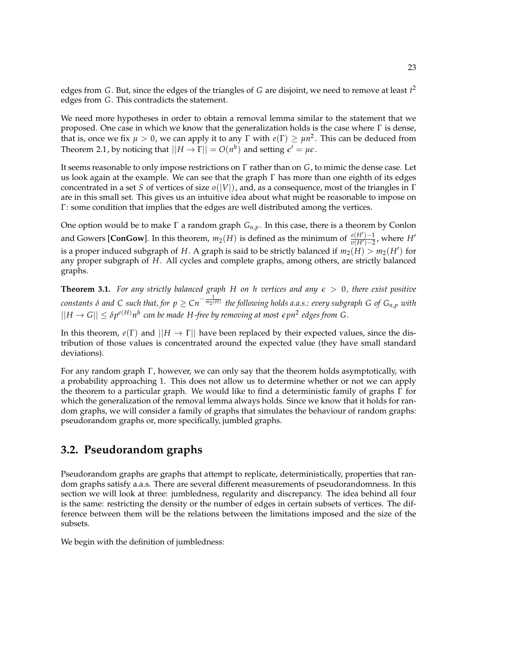edges from *G*. But, since the edges of the triangles of *G* are disjoint, we need to remove at least *t* 2 edges from *G*. This contradicts the statement.

We need more hypotheses in order to obtain a removal lemma similar to the statement that we proposed. One case in which we know that the generalization holds is the case where  $\Gamma$  is dense, that is, once we fix  $\mu > 0$ , we can apply it to any  $\Gamma$  with  $e(\Gamma) \geq \mu n^2$ . This can be deduced from Theorem [2.1,](#page-10-1) by noticing that  $||H \to \Gamma|| = O(n^h)$  and setting  $\epsilon' = \mu \epsilon$ .

It seems reasonable to only impose restrictions on Γ rather than on *G*, to mimic the dense case. Let us look again at the example. We can see that the graph  $\Gamma$  has more than one eighth of its edges concentrated in a set *S* of vertices of size *o*(|*V*|), and, as a consequence, most of the triangles in Γ are in this small set. This gives us an intuitive idea about what might be reasonable to impose on Γ: some condition that implies that the edges are well distributed among the vertices.

One option would be to make Γ a random graph *Gn*,*<sup>p</sup>* . In this case, there is a theorem by Conlon and Gowers [**ConGow**]. In this theorem,  $m_2(H)$  is defined as the minimum of  $\frac{e(H')-1}{v(H')-2}$  $\frac{e(H')-1}{v(H')-2}$ , where  $H'$ is a proper induced subgraph of  $H$ . A graph is said to be strictly balanced if  $m_2(H) > m_2(H')$  for any proper subgraph of *H*. All cycles and complete graphs, among others, are strictly balanced graphs.

**Theorem 3.1.** For any strictly balanced graph H on h vertices and any  $\epsilon > 0$ , there exist positive  $\alpha$  *constants*  $\delta$  *and*  $C$  *such that, for*  $p \geq C n^{-\frac{1}{m_2(H)}}$  *the following holds a.a.s.: every subgraph*  $G$  *of*  $G_{n,p}$  *with*  $||H \to G|| \leq \delta p^{e(H)} n^h$  can be made H-free by removing at most  $\epsilon p n^2$  edges from G.

In this theorem,  $e(\Gamma)$  and  $||H \to \Gamma||$  have been replaced by their expected values, since the distribution of those values is concentrated around the expected value (they have small standard deviations).

For any random graph  $\Gamma$ , however, we can only say that the theorem holds asymptotically, with a probability approaching 1. This does not allow us to determine whether or not we can apply the theorem to a particular graph. We would like to find a deterministic family of graphs Γ for which the generalization of the removal lemma always holds. Since we know that it holds for random graphs, we will consider a family of graphs that simulates the behaviour of random graphs: pseudorandom graphs or, more specifically, jumbled graphs.

#### <span id="page-30-0"></span>**3.2. Pseudorandom graphs**

Pseudorandom graphs are graphs that attempt to replicate, deterministically, properties that random graphs satisfy a.a.s. There are several different measurements of pseudorandomness. In this section we will look at three: jumbledness, regularity and discrepancy. The idea behind all four is the same: restricting the density or the number of edges in certain subsets of vertices. The difference between them will be the relations between the limitations imposed and the size of the subsets.

We begin with the definition of jumbledness: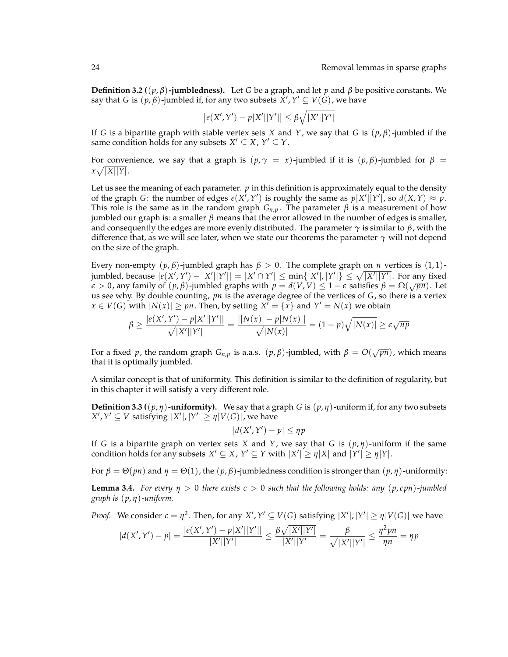**Definition 3.2** ( $(p, \beta)$ **-jumbledness).** Let *G* be a graph, and let *p* and  $\beta$  be positive constants. We say that *G* is  $(p, \beta)$ -jumbled if, for any two subsets  $\hat{X}', Y' \subseteq V(G)$ , we have

$$
|e(X',Y') - p|X'||Y'|| \leq \beta \sqrt{|X'||Y'|}
$$

If *G* is a bipartite graph with stable vertex sets *X* and *Y*, we say that *G* is (*p*, *β*)-jumbled if the same condition holds for any subsets  $X' \subseteq X$ ,  $Y' \subseteq Y$ .

For convenience, we say that a graph is  $(p, \gamma = x)$ -jumbled if it is  $(p, \beta)$ -jumbled for  $\beta =$  $x\sqrt{|X||Y|}.$ 

Let us see the meaning of each parameter. *p* in this definition is approximately equal to the density of the graph *G*: the number of edges  $e(X', Y')$  is roughly the same as  $p|X'| |Y'|$ , so  $d(X, Y) \approx p$ . This role is the same as in the random graph  $G_{n,p}$ . The parameter  $\beta$  is a measurement of how jumbled our graph is: a smaller *β* means that the error allowed in the number of edges is smaller, and consequently the edges are more evenly distributed. The parameter  $\gamma$  is similar to  $\beta$ , with the difference that, as we will see later, when we state our theorems the parameter *γ* will not depend on the size of the graph.

Every non-empty  $(p, \beta)$ -jumbled graph has  $\beta > 0$ . The complete graph on *n* vertices is  $(1, 1)$ - $\int$  jumbled, because  $|e(X', Y') - |X'| |Y'| = |X' \cap Y'| \le \min\{|X'|, |Y'| \} \le \sqrt{|X'| |Y'|}$ . For any fixed  $\epsilon > 0$ , any family of  $(p, \beta)$ -jumbled graphs with  $p = d(V, V) \leq 1 - \epsilon$  satisfies  $\beta = \Omega(\sqrt{pn})$ . Let us see why. By double counting, *pn* is the average degree of the vertices of *G*, so there is a vertex *x* ∈ *V*(*G*) with  $|N(x)|$  ≥ *pn*. Then, by setting  $X^V = \{x\}$  and  $Y' = N(x)$  we obtain

$$
\beta \ge \frac{|e(X',Y') - p|X'||Y'||}{\sqrt{|X'||Y'|}} = \frac{||N(x)| - p|N(x)||}{\sqrt{|N(x)|}} = (1-p)\sqrt{|N(x)|} \ge \epsilon \sqrt{np}
$$

For a fixed *p*, the random graph  $G_{n,p}$  is a.a.s.  $(p, \beta)$ -jumbled, with  $\beta = O(\sqrt{pn})$ , which means that it is optimally jumbled.

A similar concept is that of uniformity. This definition is similar to the definition of regularity, but in this chapter it will satisfy a very different role.

**Definition 3.3 (** $(p, \eta)$ **-uniformity).** We say that a graph *G* is  $(p, \eta)$ -uniform if, for any two subsets  $X', Y' \subseteq V$  satisfying  $|X'|, |Y'| \geq \eta |V(G)|$  , we have

 $|d(X', Y') - p| \le \eta p$ 

If *G* is a bipartite graph on vertex sets *X* and *Y*, we say that *G* is  $(p, \eta)$ -uniform if the same condition holds for any subsets  $X' \subseteq X$ ,  $Y' \subseteq Y$  with  $|X'| \geq \eta |X|$  and  $|Y'| \geq \eta |Y|$ .

For  $\beta = \Theta(pn)$  and  $\eta = \Theta(1)$ , the  $(p, \beta)$ -jumbledness condition is stronger than  $(p, \eta)$ -uniformity:

<span id="page-31-0"></span>**Lemma 3.4.** *For every*  $\eta > 0$  *there exists*  $c > 0$  *such that the following holds: any* (p, *cpn*)*-jumbled graph is* (*p*, *η*)*-uniform.*

*Proof.* We consider 
$$
c = \eta^2
$$
. Then, for any  $X', Y' \subseteq V(G)$  satisfying  $|X'|, |Y'| \ge \eta |V(G)|$  we have

$$
|d(X',Y') - p| = \frac{|e(X',Y') - p|X'||Y'||}{|X'||Y'|} \le \frac{\beta \sqrt{|X'||Y'|}}{|X'||Y'|} = \frac{\beta}{\sqrt{|X'||Y'|}} \le \frac{\eta^2 p n}{\eta n} = \eta p
$$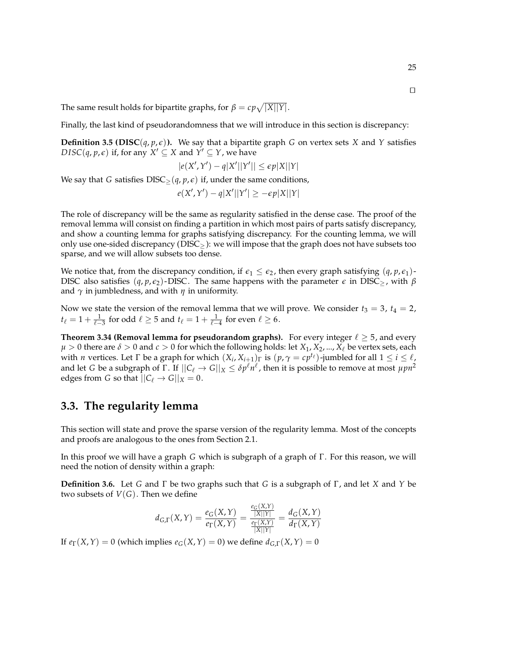The same result holds for bipartite graphs, for  $\beta = cp\sqrt{|X||Y|}$ .

Finally, the last kind of pseudorandomness that we will introduce in this section is discrepancy:

**Definition 3.5 (DISC** $(q, p, \epsilon)$ ). We say that a bipartite graph *G* on vertex sets *X* and *Y* satisfies *DISC*( $q$ ,  $p$ , $\epsilon$ ) if, for any  $X' \subseteq X$  and  $Y' \subseteq Y$ , we have

$$
|e(X',Y') - q|X'||Y'|| \le \epsilon p|X||Y|
$$

We say that *G* satisfies  $DISC_{\geq}(q, p, \epsilon)$  if, under the same conditions,

$$
e(X',Y') - q|X'||Y'| \ge -\epsilon p|X||Y|
$$

The role of discrepancy will be the same as regularity satisfied in the dense case. The proof of the removal lemma will consist on finding a partition in which most pairs of parts satisfy discrepancy, and show a counting lemma for graphs satisfying discrepancy. For the counting lemma, we will only use one-sided discrepancy (DISC>): we will impose that the graph does not have subsets too sparse, and we will allow subsets too dense.

We notice that, from the discrepancy condition, if  $\epsilon_1 \leq \epsilon_2$ , then every graph satisfying  $(q, p, \epsilon_1)$ -DISC also satisfies  $(q, p, \epsilon_2)$ -DISC. The same happens with the parameter  $\epsilon$  in DISC>, with  $\beta$ and  $\gamma$  in jumbledness, and with  $\eta$  in uniformity.

Now we state the version of the removal lemma that we will prove. We consider  $t_3 = 3$ ,  $t_4 = 2$ ,  $t_\ell = 1 + \frac{1}{\ell - 3}$  for odd  $\ell \ge 5$  and  $t_\ell = 1 + \frac{1}{\ell - 4}$  for even  $\ell \ge 6$ .

**Theorem [3.34](#page-63-1) (Removal lemma for pseudorandom graphs).** For every integer  $\ell \geq 5$ , and every  $\mu > 0$  there are  $\delta > 0$  and  $c > 0$  for which the following holds: let  $X_1, X_2, ..., X_\ell$  be vertex sets, each with *n* vertices. Let  $\Gamma$  be a graph for which  $(X_i, X_{i+1})_{\Gamma}$  is  $(p, \gamma = cp^{t_{\ell}})$ -jumbled for all  $1 \leq i \leq \ell$ , and let *G* be a subgraph of Γ. If  $||C_\ell \to G||_X \leq \delta p^\ell n^\ell$ , then it is possible to remove at most  $\mu pn^2$ edges from *G* so that  $||C_\ell \rightarrow G||_X = 0$ .

#### <span id="page-32-0"></span>**3.3. The regularity lemma**

This section will state and prove the sparse version of the regularity lemma. Most of the concepts and proofs are analogous to the ones from Section [2.1.](#page-11-0)

In this proof we will have a graph *G* which is subgraph of a graph of Γ. For this reason, we will need the notion of density within a graph:

**Definition 3.6.** Let *G* and Γ be two graphs such that *G* is a subgraph of Γ, and let *X* and *Y* be two subsets of *V*(*G*). Then we define

$$
d_{G,\Gamma}(X,Y) = \frac{e_G(X,Y)}{e_{\Gamma}(X,Y)} = \frac{\frac{e_G(X,Y)}{|X||Y|}}{\frac{e_{\Gamma}(X,Y)}{|X||Y|}} = \frac{d_G(X,Y)}{d_{\Gamma}(X,Y)}
$$

If  $e_{\Gamma}(X, Y) = 0$  (which implies  $e_G(X, Y) = 0$ ) we define  $d_{G,\Gamma}(X, Y) = 0$ 

 $\Box$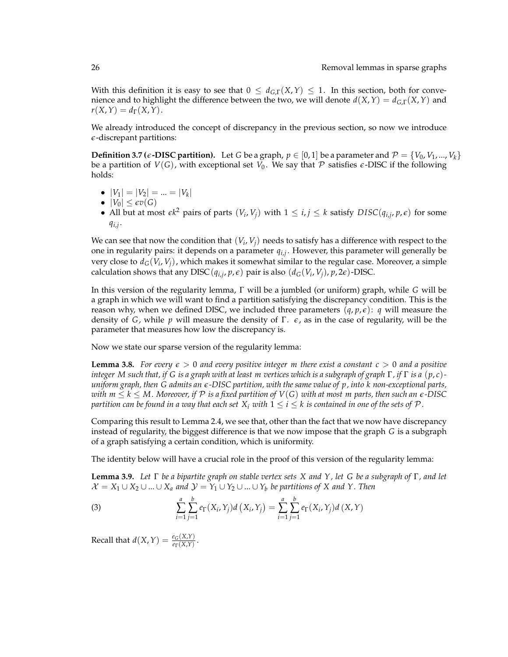With this definition it is easy to see that  $0 \leq d_{G,\Gamma}(X,Y) \leq 1$ . In this section, both for convenience and to highlight the difference between the two, we will denote  $d(X,Y) = d_{G,\Gamma}(X,Y)$  and  $r(X, Y) = d_{\Gamma}(X, Y).$ 

We already introduced the concept of discrepancy in the previous section, so now we introduce *e*-discrepant partitions:

**Definition 3.7** (*e*-**DISC partition**). Let *G* be a graph,  $p \in [0, 1]$  be a parameter and  $P = \{V_0, V_1, ..., V_k\}$ be a partition of  $V(G)$ , with exceptional set  $V_0$ . We say that  $P$  satisfies  $\epsilon$ -DISC if the following holds:

- $|V_1| = |V_2| = ... = |V_k|$
- $\bullet$   $|V_0| \leq \epsilon v(G)$
- All but at most  $\epsilon k^2$  pairs of parts  $(V_i, V_j)$  with  $1 \le i, j \le k$  satisfy  $DISC(q_{i,j}, p, \epsilon)$  for some *qi*,*j* .

We can see that now the condition that  $(V_i, V_j)$  needs to satisfy has a difference with respect to the one in regularity pairs: it depends on a parameter *qi*,*<sup>j</sup>* . However, this parameter will generally be very close to *dG*(*V<sup>i</sup>* , *Vj*), which makes it somewhat similar to the regular case. Moreover, a simple calculation shows that any DISC ( $q_{i,j}$ ,  $p$ , $\epsilon$ ) pair is also ( $d_G(V_i, V_j)$ ,  $p$ , $2\epsilon$ )-DISC.

In this version of the regularity lemma, Γ will be a jumbled (or uniform) graph, while *G* will be a graph in which we will want to find a partition satisfying the discrepancy condition. This is the reason why, when we defined DISC, we included three parameters  $(q, p, \epsilon)$ : *q* will measure the density of *G*, while *p* will measure the density of Γ. *e*, as in the case of regularity, will be the parameter that measures how low the discrepancy is.

Now we state our sparse version of the regularity lemma:

<span id="page-33-2"></span>**Lemma 3.8.** For every  $\epsilon > 0$  and every positive integer m there exist a constant  $c > 0$  and a positive *integer M such that, if* G *is a graph with at least m vertices which is a subgraph of graph*  $\Gamma$ *, if*  $\Gamma$  *is a* ( $p$ , $c$ )*uniform graph, then G admits an e-DISC partition, with the same value of p, into k non-exceptional parts, with m*  $\leq$  *k*  $\leq$  *M. Moreover, if*  $P$  *is a fixed partition of*  $V(G)$  *with at most m parts, then such an*  $\epsilon$ -DISC *partition can be found in a way that each set*  $X_i$  *with*  $1 \le i \le k$  *is contained in one of the sets of*  $P$ *.* 

Comparing this result to Lemma [2.4,](#page-12-2) we see that, other than the fact that we now have discrepancy instead of regularity, the biggest difference is that we now impose that the graph *G* is a subgraph of a graph satisfying a certain condition, which is uniformity.

The identity below will have a crucial role in the proof of this version of the regularity lemma:

<span id="page-33-1"></span>**Lemma 3.9.** *Let* Γ *be a bipartite graph on stable vertex sets X and Y, let G be a subgraph of* Γ*, and let*  $\mathcal{X} = X_1 \cup X_2 \cup ... \cup X_a$  and  $\mathcal{Y} = Y_1 \cup Y_2 \cup ... \cup Y_b$  be partitions of X and Y. Then

<span id="page-33-0"></span>(3) 
$$
\sum_{i=1}^{a} \sum_{j=1}^{b} e_{\Gamma}(X_i, Y_j) d(X_i, Y_j) = \sum_{i=1}^{a} \sum_{j=1}^{b} e_{\Gamma}(X_i, Y_j) d(X, Y)
$$

Recall that  $d(X, Y) = \frac{e_G(X, Y)}{e_T(X, Y)}$ .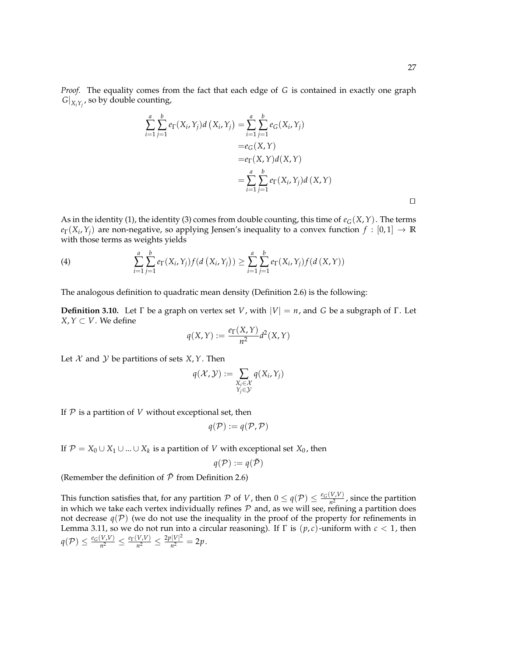*Proof.* The equality comes from the fact that each edge of *G* is contained in exactly one graph  $G|_{X_i Y_j}$ , so by double counting,

$$
\sum_{i=1}^{a} \sum_{j=1}^{b} e_{\Gamma}(X_i, Y_j) d(X_i, Y_j) = \sum_{i=1}^{a} \sum_{j=1}^{b} e_G(X_i, Y_j)
$$
  
=  $e_G(X, Y)$   
=  $e_{\Gamma}(X, Y) d(X, Y)$   
=  $\sum_{i=1}^{a} \sum_{j=1}^{b} e_{\Gamma}(X_i, Y_j) d(X, Y)$ 

As in the identity [\(1\)](#page-12-1), the identity [\(3\)](#page-33-0) comes from double counting, this time of  $e_G(X, Y)$ . The terms  $e_{\Gamma}(X_i,Y_j)$  are non-negative, so applying Jensen's inequality to a convex function  $f:[0,1]\to\mathbb{R}$ with those terms as weights yields

<span id="page-34-0"></span>(4) 
$$
\sum_{i=1}^{a} \sum_{j=1}^{b} e_{\Gamma}(X_i, Y_j) f(d(X_i, Y_j)) \geq \sum_{i=1}^{a} \sum_{j=1}^{b} e_{\Gamma}(X_i, Y_j) f(d(X, Y))
$$

The analogous definition to quadratic mean density (Definition [2.6\)](#page-13-2) is the following:

**Definition 3.10.** Let Γ be a graph on vertex set *V*, with  $|V| = n$ , and *G* be a subgraph of Γ. Let  $X, Y$  ⊂ *V*. We define

$$
q(X,Y) := \frac{e_{\Gamma}(X,Y)}{n^2} d^2(X,Y)
$$

Let  $X$  and  $Y$  be partitions of sets  $X, Y$ . Then

$$
q(\mathcal{X}, \mathcal{Y}) := \sum_{\substack{X_i \in \mathcal{X} \\ Y_j \in \mathcal{Y}}} q(X_i, Y_j)
$$

If  $P$  is a partition of  $V$  without exceptional set, then

$$
q(\mathcal{P}) := q(\mathcal{P}, \mathcal{P})
$$

If  $\mathcal{P} = X_0 \cup X_1 \cup ... \cup X_k$  is a partition of *V* with exceptional set  $X_0$ , then

$$
q(\mathcal{P}) := q(\tilde{\mathcal{P}})
$$

(Remember the definition of  $\tilde{\mathcal{P}}$  from Definition [2.6\)](#page-13-2)

This function satisfies that, for any partition  $P$  of *V*, then  $0 \le q(P) \le \frac{e_G(V,V)}{n^2}$  $\frac{v}{n^2}$ , since the partition in which we take each vertex individually refines  $\mathcal P$  and, as we will see, refining a partition does not decrease  $q(\mathcal{P})$  (we do not use the inequality in the proof of the property for refinements in Lemma [3.11,](#page-35-0) so we do not run into a circular reasoning). If  $\Gamma$  is  $(p, c)$ -uniform with  $c < 1$ , then  $q(\mathcal{P}) \leq \frac{e_G(V,V)}{n^2}$  $\frac{(V,V)}{n^2} \leq \frac{e_{\Gamma}(V,V)}{n^2}$  $\frac{V(V)}{n^2} \leq \frac{2p|V|^2}{n^2}$  $\frac{q|V|}{n^2} = 2p.$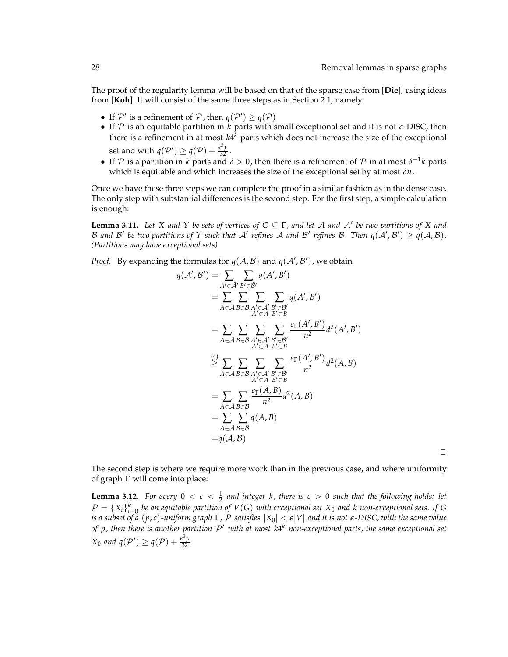The proof of the regularity lemma will be based on that of the sparse case from [**Die**], using ideas from [**Koh**]. It will consist of the same three steps as in Section [2.1,](#page-11-0) namely:

- If  $\mathcal{P}'$  is a refinement of  $\mathcal{P}$ , then  $q(\mathcal{P}') \geq q(\mathcal{P})$
- If  $P$  is an equitable partition in  $k$  parts with small exceptional set and it is not  $\epsilon$ -DISC, then there is a refinement in at most *k*4 *<sup>k</sup>* parts which does not increase the size of the exceptional set and with  $q(\mathcal{P}') \geq q(\mathcal{P}) + \frac{\epsilon^3 p}{32}$ .
- If  $P$  is a partition in *k* parts and  $\delta > 0$ , then there is a refinement of  $P$  in at most  $\delta^{-1}k$  parts which is equitable and which increases the size of the exceptional set by at most *δn*.

Once we have these three steps we can complete the proof in a similar fashion as in the dense case. The only step with substantial differences is the second step. For the first step, a simple calculation is enough:

<span id="page-35-0"></span>**Lemma 3.11.** Let X and Y be sets of vertices of  $G \subseteq \Gamma$ , and let A and A' be two partitions of X and *B* and *B'* be two partitions of Y such that  $\mathcal{A}'$  refines  $\mathcal{A}$  and  $\mathcal{B}'$  refines  $\mathcal{B}$ . Then  $q(\mathcal{A}',\mathcal{B}') \geq q(\mathcal{A},\mathcal{B})$ . *(Partitions may have exceptional sets)*

*Proof.* By expanding the formulas for  $q(A, B)$  and  $q(A', B')$ , we obtain

$$
q(\mathcal{A}', \mathcal{B}') = \sum_{A' \in \tilde{\mathcal{A}}'} \sum_{B' \in \tilde{\mathcal{B}}'} q(A', B')
$$
  
\n
$$
= \sum_{A \in \tilde{\mathcal{A}}} \sum_{B \in \tilde{\mathcal{B}}} \sum_{A' \in \tilde{\mathcal{A}}'} \sum_{B' \in \tilde{\mathcal{B}}'} q(A', B')
$$
  
\n
$$
= \sum_{A \in \tilde{\mathcal{A}}} \sum_{B \in \tilde{\mathcal{B}}} \sum_{A' \in \tilde{\mathcal{A}}'} \sum_{B' \in \tilde{\mathcal{B}}'} \frac{e_{\Gamma}(A', B')}{n^2} d^2(A', B')
$$
  
\n
$$
\stackrel{(4)}{\geq} \sum_{A \in \tilde{\mathcal{A}}} \sum_{B \in \tilde{\mathcal{B}}} \sum_{A' \in \tilde{\mathcal{A}}'} \sum_{B' \in \tilde{\mathcal{B}}'} \frac{e_{\Gamma}(A', B')}{n^2} d^2(A, B)
$$
  
\n
$$
= \sum_{A \in \tilde{\mathcal{A}}} \sum_{B \in \tilde{\mathcal{B}}} \sum_{A' \in \tilde{\mathcal{A}}} \sum_{B' \in \tilde{\mathcal{B}}'} \frac{e_{\Gamma}(A', B')}{n^2} d^2(A, B)
$$
  
\n
$$
= \sum_{A \in \tilde{\mathcal{A}}} \sum_{B \in \tilde{\mathcal{B}}} \frac{e_{\Gamma}(A, B)}{n^2} d^2(A, B)
$$
  
\n
$$
= \sum_{A \in \tilde{\mathcal{A}}} \sum_{B \in \tilde{\mathcal{B}}} q(A, B)
$$
  
\n
$$
= q(A, B)
$$

 $\Box$ 

The second step is where we require more work than in the previous case, and where uniformity of graph Γ will come into place:

<span id="page-35-1"></span>**Lemma 3.12.** For every  $0 < \epsilon < \frac{1}{2}$  and integer k, there is  $c > 0$  such that the following holds: let  $\mathcal{P} = \{X_i\}_{i=0}^k$  be an equitable partition of  $V(G)$  with exceptional set  $X_0$  and  $k$  non-exceptional sets. If  $G$ *is a subset of a*  $(p, c)$ -uniform graph  $\Gamma$ ,  $P$  *satisfies*  $|X_0| < \epsilon |V|$  *and it is not*  $\epsilon$ -DISC, with the same value *of p, then there is another partition* P <sup>0</sup> *with at most k*4 *<sup>k</sup> non-exceptional parts, the same exceptional set*  $X_0$  and  $q(\mathcal{P}') \geq q(\mathcal{P}) + \frac{\epsilon^3 p}{32}$ .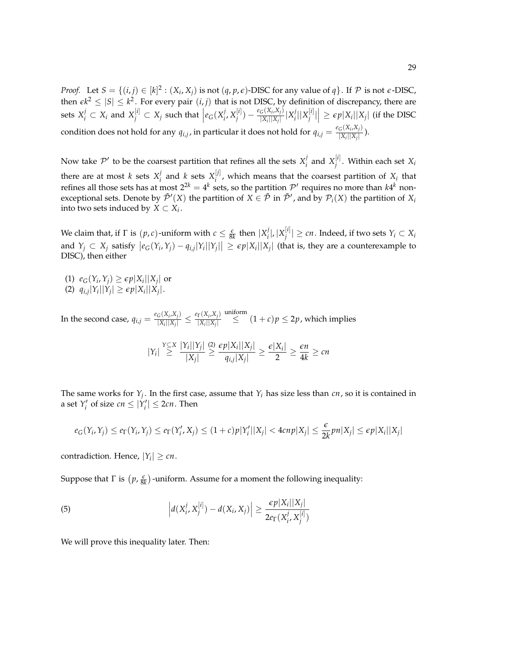*Proof.* Let  $S = \{(i, j) \in [k]^2 : (X_i, X_j)$  is not  $(q, p, \epsilon)$ -DISC for any value of  $q\}$ . If  $P$  is not  $\epsilon$ -DISC, then  $\epsilon k^2 \leq |S| \leq k^2$ . For every pair  $(i, j)$  that is not DISC, by definition of discrepancy, there are sets  $X_i^j \subset X_i$  and  $X_j^{[i]} \subset X_j$  such that  $|e_G(X_i^j)|$  $_{i}^{j}$ ,  $\boldsymbol{\mathrm{X}}_{j}^{[i]}$  $\frac{[i]}{j}$  ) –  $\frac{e_G(X_i, X_j)}{|X_i||X_i|}$  $\frac{G(X_i, X_j)}{|X_i||X_j|}$   $|X_i^j|$  $\frac{j}{i}$ || $X_j^{[i]}$  $\left| \frac{[i]}{j} \right|$   $\geq \epsilon p |X_i| |X_j|$  (if the DISC condition does not hold for any  $q_{i,j}$ , in particular it does not hold for  $q_{i,j} = \frac{e_G(X_i,X_j)}{|X_i||X_i|}$  $\frac{G(x_i, y_i)}{|X_i||X_j|}$ ).

Now take  $\mathcal{P}'$  to be the coarsest partition that refines all the sets  $X_i^j$  $\sum_{i}^{j}$  and  $X_j^{[i]}$ *j* . Within each set *X<sup>i</sup>* there are at most *k* sets  $X_i^j$  $\sum_{i}^{j}$  and *k* sets  $X_i^{[j]}$  $\sum_{i}^{U}$ , which means that the coarsest partition of  $X_i$  that refines all those sets has at most  $2^{2k} = 4^k$  sets, so the partition  $\mathcal{P}'$  requires no more than  $k4^k$  nonexceptional sets. Denote by  $\tilde{\mathcal{P}}'(X)$  the partition of  $X \in \tilde{\mathcal{P}}$  in  $\tilde{\mathcal{P}}'$ , and by  $\mathcal{P}_i(X)$  the partition of  $X_i$ into two sets induced by  $X \subset X_i$ .

We claim that, if  $\Gamma$  is  $(p, c)$ -uniform with  $c \leq \frac{\epsilon}{8k}$  then  $|X_i^j|$  $\frac{j}{i}$   $\mid$   $\mid$   $X_j^{[i]}$  $|Y_j^{[l]}| \ge cn$ . Indeed, if two sets  $Y_i \subset X_i$ and  $Y_j \subset X_j$  satisfy  $|e_G(Y_i, Y_j) - q_{i,j}|Y_i||Y_j|| \ge \epsilon p|X_i||X_j|$  (that is, they are a counterexample to DISC), then either

<span id="page-36-0"></span>(1)  $e_G(Y_i, Y_j) \geq \epsilon p |X_i| |X_j|$  or (2)  $q_{i,j}|Y_i||Y_j| \geq \epsilon p|X_i||X_j|.$ 

In the second case,  $q_{i,j} = \frac{e_G(X_i,X_j)}{|X_i||X_i|}$  $\frac{G(X_i, X_j)}{|X_i||X_j|} \leq \frac{e_{\Gamma}(X_i, X_j)}{|X_i||X_j|}$  $|X_i||X_j|$  $\leq$   $(1+c)p \leq 2p$ , which implies

$$
|Y_i| \stackrel{Y \subseteq X}{\geq} \frac{|Y_i||Y_j|}{|X_j|} \stackrel{(2)}{\geq} \frac{\epsilon p|X_i||X_j|}{q_{i,j}|X_j|} \geq \frac{\epsilon |X_i|}{2} \geq \frac{\epsilon n}{4k} \geq cn
$$

The same works for  $Y_j$ . In the first case, assume that  $Y_i$  has size less than  $cn$ , so it is contained in a set  $Y_i'$  of size  $cn \leq |Y_i'| \leq 2cn$ . Then

$$
e_G(Y_i, Y_j) \le e_\Gamma(Y_i, Y_j) \le e_\Gamma(Y_i', X_j) \le (1 + c)p|Y_i'| |X_j| < 4cnp|X_j| \le \frac{\epsilon}{2k}pn|X_j| \le \epsilon p|X_i||X_j|
$$

contradiction. Hence,  $|Y_i| \geq cn$ .

Suppose that  $\Gamma$  is  $(p, \frac{\epsilon}{8k})$ -uniform. Assume for a moment the following inequality:

<span id="page-36-1"></span>(5) 
$$
\left| d(X_i^j, X_j^{[i]}) - d(X_i, X_j) \right| \ge \frac{\epsilon p |X_i| |X_j|}{2e_\Gamma(X_i^j, X_j^{[i]})}
$$

We will prove this inequality later. Then: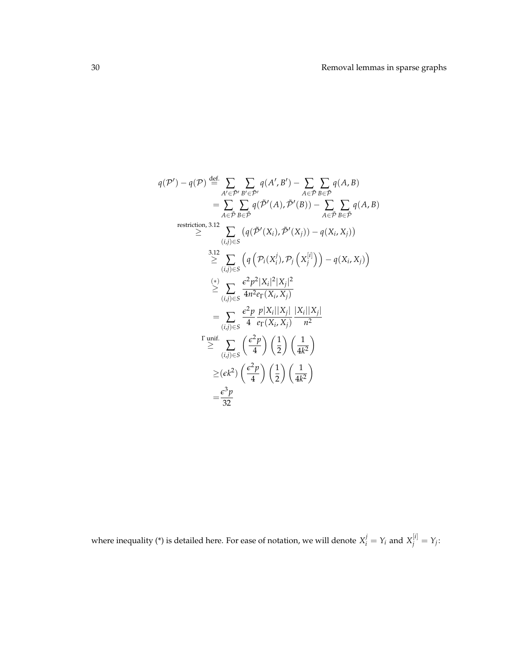$$
q(\mathcal{P}') - q(\mathcal{P}) \stackrel{\text{def.}}{=} \sum_{A' \in \tilde{\mathcal{P}}'} \sum_{B' \in \tilde{\mathcal{P}}'} q(A', B') - \sum_{A \in \tilde{\mathcal{P}}} \sum_{B \in \tilde{\mathcal{P}}} q(A, B)
$$
  
\n
$$
= \sum_{A \in \tilde{\mathcal{P}}} \sum_{B \in \tilde{\mathcal{P}}} q(\tilde{\mathcal{P}}'(A), \tilde{\mathcal{P}}'(B)) - \sum_{A \in \tilde{\mathcal{P}}} \sum_{B \in \tilde{\mathcal{P}}} q(A, B)
$$
  
\nrestriction 3.12  
\n
$$
\geq \sum_{(i,j) \in S} (q(\tilde{\mathcal{P}}'(X_i), \tilde{\mathcal{P}}'(X_j)) - q(X_i, X_j))
$$
  
\n
$$
\geq \sum_{(i,j) \in S} \left( q(\mathcal{P}_i(X_i^j), \mathcal{P}_j(X_j^{[i]})) - q(X_i, X_j) \right)
$$
  
\n
$$
\geq \sum_{(i,j) \in S} \frac{\epsilon^2 p^2 |X_i|^2 |X_j|^2}{4n^2 e_{\Gamma}(X_i, X_j)}
$$
  
\n
$$
= \sum_{(i,j) \in S} \frac{\epsilon^2 p}{4} \frac{p |X_i| |X_j|}{e_{\Gamma}(X_i, X_j)} \frac{|X_i| |X_j|}{n^2}
$$
  
\n
$$
\geq \sum_{(i,j) \in S} \left( \frac{\epsilon^2 p}{4} \right) \left( \frac{1}{2} \right) \left( \frac{1}{4k^2} \right)
$$
  
\n
$$
\geq (\epsilon k^2) \left( \frac{\epsilon^2 p}{4} \right) \left( \frac{1}{2} \right) \left( \frac{1}{4k^2} \right)
$$
  
\n
$$
= \frac{\epsilon^3 p}{32}
$$

where inequality (\*) is detailed here. For ease of notation, we will denote  $X_i^j = Y_i$  and  $X_j^{[i]} = Y_j$ :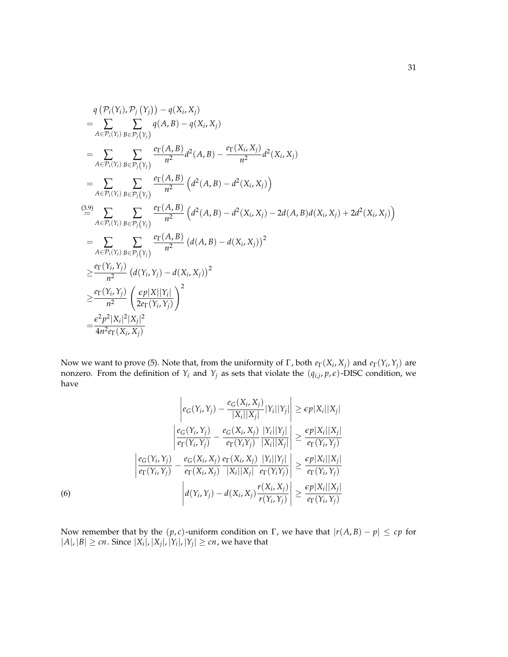$$
q (P_i(Y_i), P_j (Y_j)) - q(X_i, X_j)
$$
  
=  $\sum_{A \in P_i(Y_i)} \sum_{B \in P_j(Y_j)} q(A, B) - q(X_i, X_j)$   
=  $\sum_{A \in P_i(Y_i)} \sum_{B \in P_j(Y_j)} \frac{e_{\Gamma}(A, B)}{n^2} d^2(A, B) - \frac{e_{\Gamma}(X_i, X_j)}{n^2} d^2(X_i, X_j)$   
=  $\sum_{A \in P_i(Y_i)} \sum_{B \in P_j(Y_j)} \frac{e_{\Gamma}(A, B)}{n^2} (d^2(A, B) - d^2(X_i, X_j))$   

$$
\sum_{A \in P_i(Y_i)} \sum_{B \in P_j(Y_j)} \frac{e_{\Gamma}(A, B)}{n^2} (d^2(A, B) - d^2(X_i, X_j) - 2d(A, B)d(X_i, X_j) + 2d^2(X_i, X_j))
$$
  
=  $\sum_{A \in P_i(Y_i)} \sum_{B \in P_j(Y_j)} \frac{e_{\Gamma}(A, B)}{n^2} (d(A, B) - d(X_i, X_j))^2$   

$$
\geq \frac{e_{\Gamma}(Y_i, Y_j)}{n^2} (d(Y_i, Y_j) - d(X_i, X_j))^2
$$
  

$$
\geq \frac{e_{\Gamma}(Y_i, Y_j)}{n^2} (\frac{e_{\Gamma}[X||Y_i]}{2e_{\Gamma}(Y_i, Y_j)})^2
$$
  
=  $\frac{e^2 p^2 |X_i|^2 |X_j|^2}{4n^2 e_{\Gamma}(X_i, X_j)}$ 

Now we want to prove [\(5\)](#page-36-1). Note that, from the uniformity of Γ, both  $e<sub>Γ</sub>(X<sub>i</sub>, X<sub>j</sub>)$  and  $e<sub>Γ</sub>(Y<sub>i</sub>, Y<sub>j</sub>)$  are nonzero. From the definition of  $Y_i$  and  $Y_j$  as sets that violate the  $(q_{i,j}, p, \epsilon)$ -DISC condition, we have

$$
\begin{aligned}\n\left| e_G(Y_i, Y_j) - \frac{e_G(X_i, X_j)}{|X_i||X_j|} |Y_i||Y_j| \right| &\geq \epsilon p |X_i||X_j| \\
\left| \frac{e_G(Y_i, Y_j)}{e_\Gamma(Y_i, Y_j)} - \frac{e_G(X_i, X_j)}{e_\Gamma(Y_i Y_j)} \frac{|Y_i||Y_j|}{|X_i||X_j|} \right| &\geq \frac{\epsilon p |X_i||X_j|}{e_\Gamma(Y_i, Y_j)} \\
\left| \frac{e_G(Y_i, Y_j)}{e_\Gamma(Y_i, Y_j)} - \frac{e_G(X_i, X_j)}{e_\Gamma(X_i, X_j)} \frac{e_\Gamma(X_i, X_j)}{|X_i||X_j|} \frac{|Y_i||Y_j|}{e_\Gamma(Y_i Y_j)} \right| &\geq \frac{\epsilon p |X_i||X_j|}{e_\Gamma(Y_i, Y_j)} \\
\left| d(Y_i, Y_j) - d(X_i, X_j) \frac{r(X_i, X_j)}{r(Y_i, Y_j)} \right| &\geq \frac{\epsilon p |X_i||X_j|}{e_\Gamma(Y_i, Y_j)}\n\end{aligned}
$$
\n
$$
(6)
$$

<span id="page-38-0"></span>Now remember that by the  $(p, c)$ -uniform condition on  $\Gamma$ , we have that  $|r(A, B) - p| \leq c p$  for  $|A|, |B| \ge cn$ . Since  $|X_i|, |X_j|, |Y_i|, |Y_j| \ge cn$ , we have that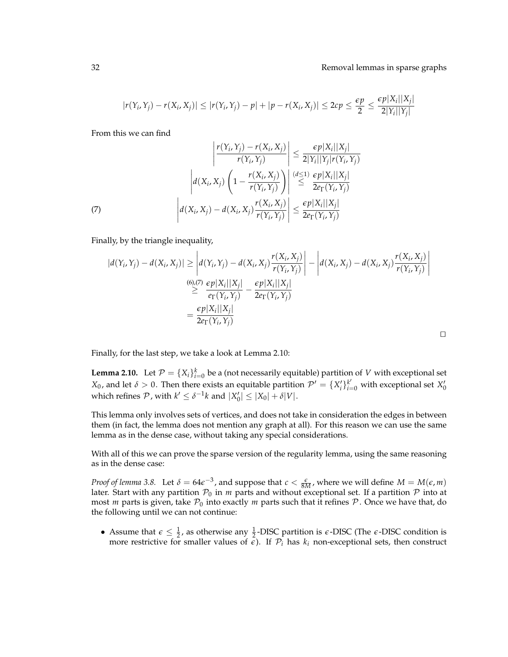#### 32 Removal lemmas in sparse graphs

 $\Box$ 

$$
|r(Y_i, Y_j) - r(X_i, X_j)| \le |r(Y_i, Y_j) - p| + |p - r(X_i, X_j)| \le 2cp \le \frac{\epsilon p}{2} \le \frac{\epsilon p |X_i||X_j|}{2|Y_i||Y_j|}
$$

From this we can find

$$
\left| \frac{r(Y_i, Y_j) - r(X_i, X_j)}{r(Y_i, Y_j)} \right| \leq \frac{\epsilon p |X_i| |X_j|}{2|Y_i| |Y_j| r(Y_i, Y_j)}
$$
\n
$$
\left| d(X_i, X_j) \left( 1 - \frac{r(X_i, X_j)}{r(Y_i, Y_j)} \right) \right| \stackrel{(d \leq 1)}{\leq} \frac{\epsilon p |X_i| |X_j|}{2e_\Gamma(Y_i, Y_j)}
$$
\n(7)\n
$$
\left| d(X_i, X_j) - d(X_i, X_j) \frac{r(X_i, X_j)}{r(Y_i, Y_j)} \right| \leq \frac{\epsilon p |X_i| |X_j|}{2e_\Gamma(Y_i, Y_j)}
$$

<span id="page-39-0"></span>Finally, by the triangle inequality,

$$
|d(Y_i, Y_j) - d(X_i, X_j)| \geq \left| d(Y_i, Y_j) - d(X_i, X_j) \frac{r(X_i, X_j)}{r(Y_i, Y_j)} \right| - \left| d(X_i, X_j) - d(X_i, X_j) \frac{r(X_i, X_j)}{r(Y_i, Y_j)} \right|
$$
  
\n
$$
\stackrel{(6),(7)}{\geq} \frac{\epsilon p |X_i| |X_j|}{\epsilon_{\Gamma}(Y_i, Y_j)} - \frac{\epsilon p |X_i| |X_j|}{2\epsilon_{\Gamma}(Y_i, Y_j)}
$$
  
\n
$$
= \frac{\epsilon p |X_i| |X_j|}{2\epsilon_{\Gamma}(Y_i, Y_j)}
$$

Finally, for the last step, we take a look at Lemma [2.10:](#page-17-0)

**Lemma [2.10.](#page-17-0)** Let  $P = \{X_i\}_{i=0}^k$  be a (not necessarily equitable) partition of *V* with exceptional set *X*<sub>0</sub>, and let  $\delta > 0$ . Then there exists an equitable partition  $\mathcal{P}' = \{X'_i\}_{i=0}^{k'}$  with exceptional set  $X'_0$ which refines  $P$ , with  $k' \leq \delta^{-1}k$  and  $|X'_0| \leq |X_0| + \delta |V|$ .

This lemma only involves sets of vertices, and does not take in consideration the edges in between them (in fact, the lemma does not mention any graph at all). For this reason we can use the same lemma as in the dense case, without taking any special considerations.

With all of this we can prove the sparse version of the regularity lemma, using the same reasoning as in the dense case:

*Proof of lemma* [3.8.](#page-33-2) Let  $\delta = 64e^{-3}$ , and suppose that  $c < \frac{\epsilon}{8M}$ , where we will define  $M = M(\epsilon, m)$ later. Start with any partition  $P_0$  in *m* parts and without exceptional set. If a partition  $P$  into at most *m* parts is given, take  $\mathcal{P}_0$  into exactly *m* parts such that it refines  $\mathcal{P}$ . Once we have that, do the following until we can not continue:

• Assume that  $\epsilon \leq \frac{1}{2}$ , as otherwise any  $\frac{1}{2}$ -DISC partition is  $\epsilon$ -DISC (The  $\epsilon$ -DISC condition is more restrictive for smaller values of  $\epsilon$ ). If  $\mathcal{P}_i$  has  $k_i$  non-exceptional sets, then construct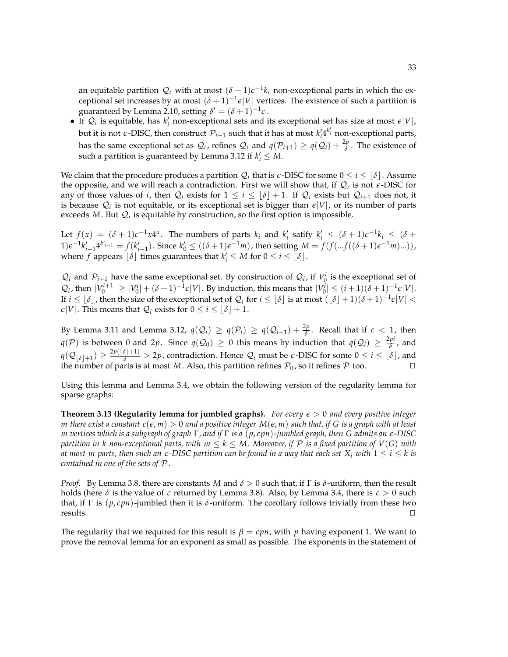an equitable partition  $\mathcal{Q}_i$  with at most  $(\delta+1)\epsilon^{-1}k_i$  non-exceptional parts in which the exceptional set increases by at most  $(\delta + 1)^{-1} \epsilon |V|$  vertices. The existence of such a partition is guaranteed by Lemma [2.10,](#page-17-0) setting  $\delta' = (\delta + 1)^{-1} \epsilon$ .

• If  $Q_i$  is equitable, has  $k'_i$  non-exceptional sets and its exceptional set has size at most  $\epsilon|V|$ , but it is not  $\epsilon$ -DISC, then construct  $\mathcal{P}_{i+1}$  such that it has at most  $k'_i 4^{k'_i}$  non-exceptional parts, has the same exceptional set as  $\mathcal{Q}_i$ , refines  $\mathcal{Q}_i$  and  $q(\mathcal{P}_{i+1}) \geq q(\mathcal{Q}_i) + \frac{2p}{\delta}$ . The existence of such a partition is guaranteed by Lemma [3.12](#page-35-1) if  $k'_i \leq M$ .

We claim that the procedure produces a partition  $\mathcal{Q}_i$  that is  $\epsilon$ -DISC for some  $0 \leq i \leq \lfloor \delta \rfloor$ . Assume the opposite, and we will reach a contradiction. First we will show that, if  $\mathcal{Q}_i$  is not  $\epsilon$ -DISC for any of those values of *i*, then  $Q_i$  exists for  $1 \leq i \leq \lfloor \delta \rfloor + 1$ . If  $Q_i$  exists but  $Q_{i+1}$  does not, it is because  $\mathcal{Q}_i$  is not equitable, or its exceptional set is bigger than  $\epsilon|V|$ , or its number of parts exceeds  $M$ . But  $\mathcal{Q}_i$  is equitable by construction, so the first option is impossible.

Let  $f(x) = (\delta + 1)e^{-1}x4^x$ . The numbers of parts  $k_i$  and  $k'_i$  satify  $k'_i \leq (\delta + 1)e^{-1}k_i \leq (\delta + 1)e^{-\delta}$  $1)\epsilon^{-1}k'_{i-1}4^{k'_{i-1}} = f(k'_{i-1})$ . Since  $k'_0 \le ((\delta + 1)\epsilon^{-1}m)$ , then setting  $M = f(f(...f((\delta + 1)\epsilon^{-1}m)...))$ , where *f* appears  $\lfloor \delta \rfloor$  times guarantees that  $k'_i \leq M$  for  $0 \leq i \leq \lfloor \delta \rfloor$ .

 $Q_i$  and  $P_{i+1}$  have the same exceptional set. By construction of  $Q_i$ , if  $V_0^i$  is the exceptional set of  $|Q_i|$ , then  $|V_0^{i+1}| \geq |V_0^i| + (\delta + 1)^{-1} \epsilon |V|$ . By induction, this means that  $|V_0^i| \leq (i+1)(\delta + 1)^{-1} \epsilon |V|$ . If  $i\leq\lfloor\delta\rfloor$  , then the size of the exceptional set of  $\mathcal{Q}_i$  for  $i\leq\lfloor\delta\rfloor$  is at most  $(\lfloor\delta\rfloor+1)(\delta+1)^{-1}\epsilon|V|<\delta$  $\varepsilon$ |*V*|. This means that  $Q_i$  exists for  $0 \le i \le \lfloor \delta \rfloor + 1$ .

By Lemma [3.11](#page-35-0) and Lemma [3.12,](#page-35-1)  $q(Q_i) \ge q(\mathcal{P}_i) \ge q(Q_{i-1}) + \frac{2p}{\delta}$ . Recall that if  $c < 1$ , then  $q(\mathcal{P})$  is between 0 and 2p. Since  $q(\mathcal{Q}_0) \geq 0$  this means by induction that  $q(\mathcal{Q}_i) \geq \frac{2pi}{\delta}$  $\frac{p}{\delta}$ , and  $q(\mathcal{Q}_{\lfloor \delta\rfloor+1}) \geq \frac{2p(\lfloor \delta\rfloor+1)}{\delta} > 2p$ , contradiction. Hence  $\mathcal{Q}_i$  must be *e*-DISC for some  $0 \leq i \leq \lfloor \delta \rfloor$ , and the number of parts is at most *M*. Also, this partition refines  $\mathcal{P}_0$ , so it refines  $\mathcal{P}$  too.

Using this lemma and Lemma [3.4,](#page-31-0) we obtain the following version of the regularity lemma for sparse graphs:

**Theorem 3.13 (Regularity lemma for jumbled graphs).** For every  $\epsilon > 0$  and every positive integer *m* there exist a constant  $c(\epsilon, m) > 0$  and a positive integer  $M(\epsilon, m)$  such that, if G is a graph with at least *m vertices which is a subgraph of graph* Γ*, and if* Γ *is a* (*p*, *cpn*)*-jumbled graph, then G admits an e-DISC partition in k non-exceptional parts, with m* ≤ *k* ≤ *M. Moreover, if* P *is a fixed partition of V*(*G*) *with at most m parts, then such an*  $\epsilon$ -DISC partition can be found in a way that each set  $X_i$  with  $1 \le i \le k$  is *contained in one of the sets of* P*.*

*Proof.* By Lemma [3.8,](#page-33-2) there are constants *M* and *δ* > 0 such that, if Γ is *δ*-uniform, then the result holds (here *δ* is the value of *c* returned by Lemma [3.8\)](#page-33-2). Also, by Lemma [3.4,](#page-31-0) there is *c* > 0 such that, if Γ is (*p*, *cpn*)-jumbled then it is *δ*-uniform. The corollary follows trivially from these two  $\Box$  results.  $\Box$ 

The regularity that we required for this result is  $\beta = cpn$ , with p having exponent 1. We want to prove the removal lemma for an exponent as small as possible. The exponents in the statement of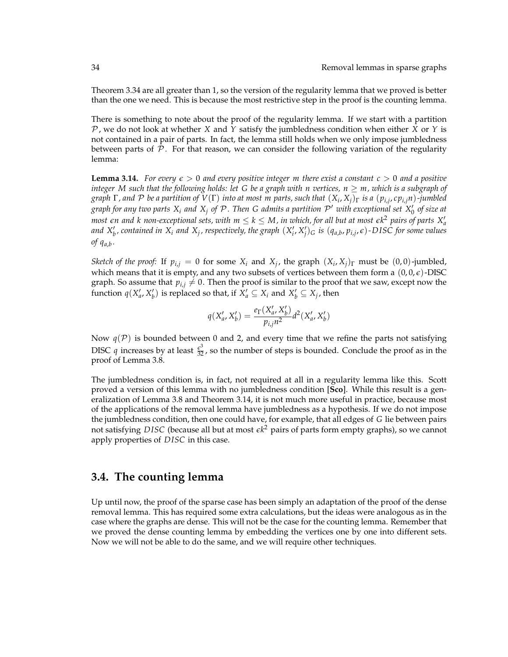Theorem [3.34](#page-63-1) are all greater than 1, so the version of the regularity lemma that we proved is better than the one we need. This is because the most restrictive step in the proof is the counting lemma.

There is something to note about the proof of the regularity lemma. If we start with a partition P, we do not look at whether *X* and *Y* satisfy the jumbledness condition when either *X* or *Y* is not contained in a pair of parts. In fact, the lemma still holds when we only impose jumbledness between parts of  $P$ . For that reason, we can consider the following variation of the regularity lemma:

<span id="page-41-1"></span>**Lemma 3.14.** For every  $\epsilon > 0$  and every positive integer m there exist a constant  $c > 0$  and a positive *integer M such that the following holds: let G be a graph with n vertices,*  $n \geq m$ *, which is a subgraph of* graph  $\Gamma$ , and  ${\cal P}$  be a partition of  $V(\Gamma)$  into at most m parts, such that  $(X_i,X_j)_\Gamma$  is a  $(p_{i,j},cp_{i,j}n)$ -jumbled graph for any two parts  $X_i$  and  $X_j$  of  ${\cal P}$  . Then  $G$  admits a partition  ${\cal P}'$  with exceptional set  $X'_0$  of size at *most*  $\epsilon$ *n and k non-exceptional sets, with*  $m\leq k\leq M$ *, in which, for all but at most*  $\epsilon$ *k<sup>2</sup> pairs of parts*  $X'_a$ and  $X'_b$ , contained in  $X_i$  and  $X_j$ , respectively, the graph  $(X'_i,X'_j)_G$  is  $(q_{a,b},p_{i,j},\epsilon)$ -DISC for some values *of qa*,*<sup>b</sup> .*

*Sketch of the proof:* If  $p_{i,j} = 0$  for some  $X_i$  and  $X_j$ , the graph  $(X_i, X_j)$ <sub>*Γ*</sub> must be  $(0, 0)$ -jumbled, which means that it is empty, and any two subsets of vertices between them form a  $(0, 0, \epsilon)$ -DISC graph. So assume that  $p_{i,j} \neq 0$ . Then the proof is similar to the proof that we saw, except now the function  $q(X'_a, X'_b)$  is replaced so that, if  $X'_a \subseteq X_i$  and  $X'_b \subseteq X_j$ , then

$$
q(X'_a, X'_b) = \frac{e_{\Gamma}(X'_a, X'_b)}{p_{i,j}n^2} d^2(X'_a, X'_b)
$$

Now  $q(\mathcal{P})$  is bounded between 0 and 2, and every time that we refine the parts not satisfying DISC *q* increases by at least  $\frac{\epsilon^3}{32}$ , so the number of steps is bounded. Conclude the proof as in the proof of Lemma [3.8.](#page-33-2)

The jumbledness condition is, in fact, not required at all in a regularity lemma like this. Scott proved a version of this lemma with no jumbledness condition [**Sco**]. While this result is a generalization of Lemma [3.8](#page-33-2) and Theorem [3.14,](#page-41-1) it is not much more useful in practice, because most of the applications of the removal lemma have jumbledness as a hypothesis. If we do not impose the jumbledness condition, then one could have, for example, that all edges of *G* lie between pairs not satisfying *D ISC* (because all but at most *ek* <sup>2</sup> pairs of parts form empty graphs), so we cannot apply properties of *D ISC* in this case.

#### <span id="page-41-0"></span>**3.4. The counting lemma**

Up until now, the proof of the sparse case has been simply an adaptation of the proof of the dense removal lemma. This has required some extra calculations, but the ideas were analogous as in the case where the graphs are dense. This will not be the case for the counting lemma. Remember that we proved the dense counting lemma by embedding the vertices one by one into different sets. Now we will not be able to do the same, and we will require other techniques.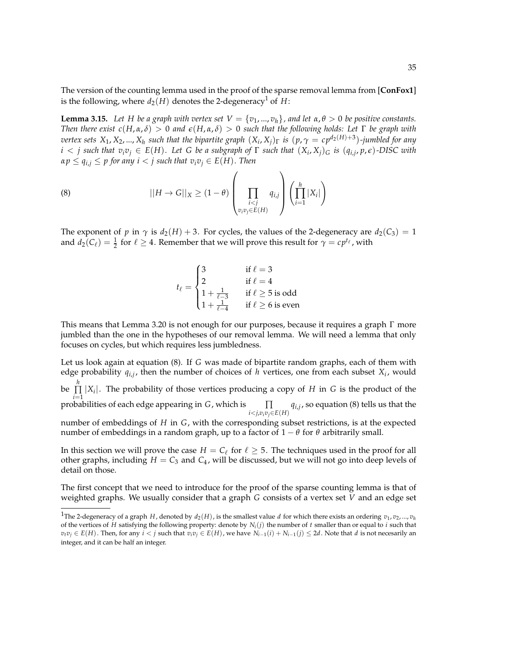The version of the counting lemma used in the proof of the sparse removal lemma from [**ConFox1**] is the following, where  $d_2(H)$  denotes the 2-degeneracy<sup>[1](#page-42-0)</sup> of  $H$ :

**Lemma 3.15.** Let H be a graph with vertex set  $V = \{v_1, ..., v_h\}$ , and let  $\alpha, \theta > 0$  be positive constants. *Then there exist*  $c(H, \alpha, \delta) > 0$  *and*  $\epsilon(H, \alpha, \delta) > 0$  *such that the following holds: Let*  $\Gamma$  *be graph with*  $z$  *vertex sets*  $X_1, X_2, ..., X_h$  *such that the bipartite graph*  $(X_i, X_j)_\Gamma$  *is*  $(p, \gamma = c p^{d_2(H)+3})$ -jumbled for any  $i < j$  such that  $v_i v_j \in E(H)$ . Let G be a subgraph of  $\Gamma$  such that  $(X_i, X_j)_G$  is  $(q_{i,j}, p, \epsilon)$ -DISC with  $\alpha p \leq q_{i,j} \leq p$  for any  $i < j$  such that  $v_i v_j \in E(H)$ . Then

(8) 
$$
||H \to G||_X \ge (1 - \theta) \left( \prod_{\substack{i < j \\ v_i v_j \in E(H)}} q_{i,j} \right) \left( \prod_{i=1}^h |X_i| \right)
$$

The exponent of *p* in  $\gamma$  is  $d_2(H) + 3$ . For cycles, the values of the 2-degeneracy are  $d_2(C_3) = 1$ and  $d_2(C_\ell) = \frac{1}{2}$  for  $\ell \geq 4$ . Remember that we will prove this result for  $\gamma = c p^{t_\ell}$ , with

<span id="page-42-1"></span>
$$
t_{\ell} = \begin{cases} 3 & \text{if } \ell = 3 \\ 2 & \text{if } \ell = 4 \\ 1 + \frac{1}{\ell - 3} & \text{if } \ell \ge 5 \text{ is odd} \\ 1 + \frac{1}{\ell - 4} & \text{if } \ell \ge 6 \text{ is even} \end{cases}
$$

This means that Lemma [3.20](#page-47-0) is not enough for our purposes, because it requires a graph  $\Gamma$  more jumbled than the one in the hypotheses of our removal lemma. We will need a lemma that only focuses on cycles, but which requires less jumbledness.

Let us look again at equation [\(8\)](#page-42-1). If *G* was made of bipartite random graphs, each of them with edge probability  $q_{i,j}$ , then the number of choices of *h* vertices, one from each subset  $X_i$ , would be  $\prod\limits_{i=1}^{h}|X_{i}|.$  The probability of those vertices producing a copy of  $H$  in  $G$  is the product of the *i*=1 probabilities of each edge appearing in *G*, which is ∏ *i*<*j*,*vivj*∈*E*(*H*) *qi*,*j* , so equation [\(8\)](#page-42-1) tells us that the number of embeddings of *H* in *G*, with the corresponding subset restrictions, is at the expected number of embeddings in a random graph, up to a factor of  $1 - \theta$  for  $\theta$  arbitrarily small.

In this section we will prove the case  $H = C_{\ell}$  for  $\ell \geq 5$ . The techniques used in the proof for all other graphs, including  $H = C_3$  and  $C_4$ , will be discussed, but we will not go into deep levels of detail on those.

The first concept that we need to introduce for the proof of the sparse counting lemma is that of weighted graphs. We usually consider that a graph *G* consists of a vertex set *V* and an edge set

<span id="page-42-0"></span><sup>&</sup>lt;sup>1</sup>The 2-degeneracy of a graph *H*, denoted by  $d_2(H)$ , is the smallest value *d* for which there exists an ordering  $v_1$ ,  $v_2$ , ...,  $v_h$ of the vertices of *H* satisfying the following property: denote by *Ni*(*j*) the number of *t* smaller than or equal to *i* such that  $v_i v_j \in E(H)$ . Then, for any  $i < j$  such that  $v_i v_j \in E(H)$ , we have  $N_{i-1}(i) + N_{i-1}(j) \le 2d$ . Note that d is not necesarily an integer, and it can be half an integer.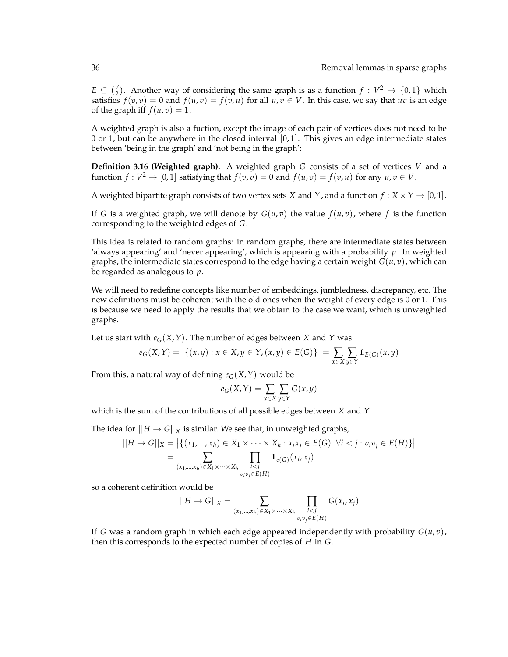$E \subseteq {V \choose 2}$ . Another way of considering the same graph is as a function  $f : V^2 \rightarrow \{0,1\}$  which satisfies  $f(v, v) = 0$  and  $f(u, v) = f(v, u)$  for all  $u, v \in V$ . In this case, we say that  $uv$  is an edge of the graph iff  $f(u, v) = 1$ .

A weighted graph is also a fuction, except the image of each pair of vertices does not need to be 0 or 1, but can be anywhere in the closed interval  $[0, 1]$ . This gives an edge intermediate states between 'being in the graph' and 'not being in the graph':

**Definition 3.16 (Weighted graph).** A weighted graph *G* consists of a set of vertices *V* and a function  $f: V^2 \to [0,1]$  satisfying that  $f(v,v) = 0$  and  $f(u,v) = f(v,u)$  for any  $u, v \in V$ .

A weighted bipartite graph consists of two vertex sets *X* and *Y*, and a function  $f: X \times Y \rightarrow [0, 1]$ .

If *G* is a weighted graph, we will denote by  $G(u, v)$  the value  $f(u, v)$ , where f is the function corresponding to the weighted edges of *G*.

This idea is related to random graphs: in random graphs, there are intermediate states between 'always appearing' and 'never appearing', which is appearing with a probability *p*. In weighted graphs, the intermediate states correspond to the edge having a certain weight  $G(u, v)$ , which can be regarded as analogous to *p*.

We will need to redefine concepts like number of embeddings, jumbledness, discrepancy, etc. The new definitions must be coherent with the old ones when the weight of every edge is 0 or 1. This is because we need to apply the results that we obtain to the case we want, which is unweighted graphs.

Let us start with  $e_G(X, Y)$ . The number of edges between *X* and *Y* was

$$
e_G(X,Y) = |\{(x,y) : x \in X, y \in Y, (x,y) \in E(G)\}| = \sum_{x \in X} \sum_{y \in Y} \mathbb{1}_{E(G)}(x,y)
$$

From this, a natural way of defining  $e_G(X, Y)$  would be

$$
e_G(X,Y) = \sum_{x \in X} \sum_{y \in Y} G(x,y)
$$

which is the sum of the contributions of all possible edges between *X* and *Y*.

The idea for  $||H \rightarrow G||_X$  is similar. We see that, in unweighted graphs,

$$
||H \to G||_X = \left| \left\{ (x_1, ..., x_h) \in X_1 \times \cdots \times X_h : x_i x_j \in E(G) \ \forall i < j : v_i v_j \in E(H) \right\} \right|
$$
\n
$$
= \sum_{(x_1, ..., x_h) \in X_1 \times \cdots \times X_h} \prod_{\substack{i < j \\ v_i v_j \in E(H)}} 1_{e(G)}(x_i, x_j)
$$

so a coherent definition would be

$$
||H \to G||_X = \sum_{(x_1, \dots, x_h) \in X_1 \times \dots \times X_h} \prod_{\substack{i < j \\ v_i v_j \in E(H)}} G(x_i, x_j)
$$

If *G* was a random graph in which each edge appeared independently with probability  $G(u, v)$ , then this corresponds to the expected number of copies of *H* in *G*.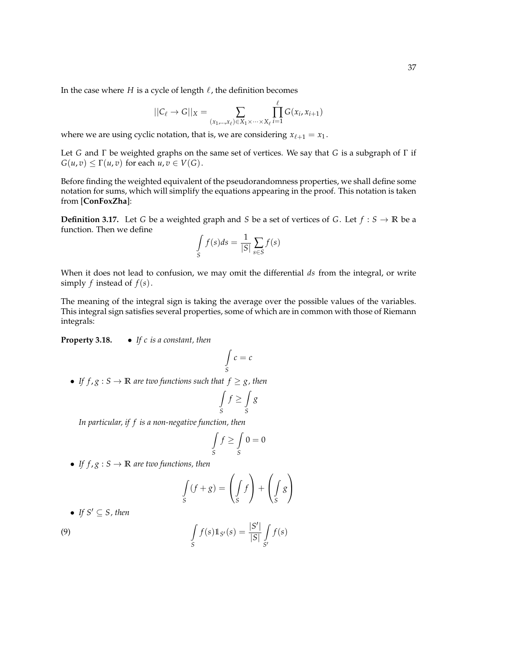In the case where  $H$  is a cycle of length  $\ell$ , the definition becomes

$$
||C_{\ell} \to G||_X = \sum_{(x_1,\ldots,x_{\ell}) \in X_1 \times \cdots \times X_{\ell}} \prod_{i=1}^{\ell} G(x_i, x_{i+1})
$$

where we are using cyclic notation, that is, we are considering  $x_{\ell+1} = x_1$ .

Let *G* and Γ be weighted graphs on the same set of vertices. We say that *G* is a subgraph of Γ if  $G(u, v) \leq \Gamma(u, v)$  for each  $u, v \in V(G)$ .

Before finding the weighted equivalent of the pseudorandomness properties, we shall define some notation for sums, which will simplify the equations appearing in the proof. This notation is taken from [**ConFoxZha**]:

**Definition 3.17.** Let *G* be a weighted graph and *S* be a set of vertices of *G*. Let  $f : S \to \mathbb{R}$  be a function. Then we define

$$
\int_{S} f(s)ds = \frac{1}{|S|} \sum_{s \in S} f(s)
$$

When it does not lead to confusion, we may omit the differential *ds* from the integral, or write simply *f* instead of *f*(*s*).

The meaning of the integral sign is taking the average over the possible values of the variables. This integral sign satisfies several properties, some of which are in common with those of Riemann integrals:

**Property 3.18.** • *If c is a constant, then*

$$
\int\limits_{S} c = c
$$

• If  $f, g : S \to \mathbb{R}$  are two functions such that  $f \geq g$ , then

$$
\int\limits_{S} f \ge \int\limits_{S} g
$$

*In particular, if f is a non-negative function, then*

$$
\int_{S} f \ge \int_{S} 0 = 0
$$

• If  $f, g : S \to \mathbb{R}$  are two functions, then

<span id="page-44-0"></span>
$$
\int_{S} (f+g) = \left(\int_{S} f\right) + \left(\int_{S} g\right)
$$

• *If*  $S' \subset S$ *, then* 

(9) 
$$
\int_{S} f(s) 1_{S'}(s) = \frac{|S'|}{|S|} \int_{S'} f(s)
$$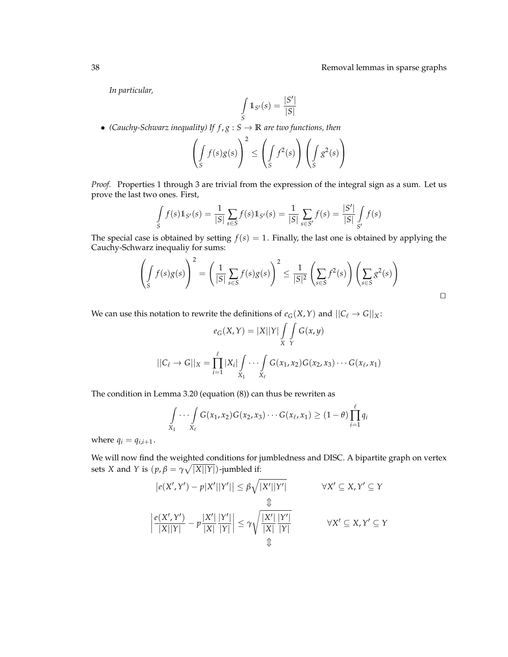38 Removal lemmas in sparse graphs

*In particular,*

$$
\int_{S} \mathbb{1}_{S'}(s) = \frac{|S'|}{|S|}
$$

• *(Cauchy-Schwarz inequality)* If  $f$ ,  $g : S \to \mathbb{R}$  *are two functions, then* 

$$
\left(\int_{S} f(s)g(s)\right)^2 \le \left(\int_{S} f^2(s)\right)\left(\int_{S} g^2(s)\right)
$$

*Proof.* Properties 1 through 3 are trivial from the expression of the integral sign as a sum. Let us prove the last two ones. First,

$$
\int_{S} f(s) 1_{S'}(s) = \frac{1}{|S|} \sum_{s \in S} f(s) 1_{S'}(s) = \frac{1}{|S|} \sum_{s \in S'} f(s) = \frac{|S'|}{|S|} \int_{S'} f(s)
$$

The special case is obtained by setting  $f(s) = 1$ . Finally, the last one is obtained by applying the Cauchy-Schwarz inequaliy for sums:

$$
\left(\int_{S} f(s)g(s)\right)^2 = \left(\frac{1}{|S|}\sum_{s\in S} f(s)g(s)\right)^2 \le \frac{1}{|S|^2} \left(\sum_{s\in S} f^2(s)\right) \left(\sum_{s\in S} g^2(s)\right)
$$

We can use this notation to rewrite the definitions of  $e_G(X, Y)$  and  $||C_\ell \to G||_X$ :

$$
e_G(X, Y) = |X||Y| \int_X \int_Y G(x, y)
$$
  

$$
||C_{\ell} \to G||_X = \prod_{i=1}^{\ell} |X_i| \int_{X_1} \cdots \int_{X_{\ell}} G(x_1, x_2) G(x_2, x_3) \cdots G(x_{\ell}, x_1)
$$

The condition in Lemma [3.20](#page-47-0) (equation [\(8\)](#page-42-1)) can thus be rewriten as

$$
\int\limits_{X_1} \cdots \int\limits_{X_\ell} G(x_1,x_2)G(x_2,x_3)\cdots G(x_\ell,x_1) \geq (1-\theta) \prod_{i=1}^\ell q_i
$$

where  $q_i = q_{i,i+1}$ .

We will now find the weighted conditions for jumbledness and DISC. A bipartite graph on vertex sets *X* and *Y* is  $(p, \beta = \gamma \sqrt{|X||Y|})$ -jumbled if:

$$
|e(X',Y') - p|X'||Y'|| \leq \beta \sqrt{|X'||Y'|} \qquad \forall X' \subseteq X, Y' \subseteq Y
$$
  

$$
\left| \frac{e(X',Y')}{|X||Y|} - p\frac{|X'|}{|X|} \frac{|Y'|}{|Y|} \right| \leq \gamma \sqrt{\frac{|X'|}{|X|} \frac{|Y'|}{|Y|}}
$$
  

$$
\qquad \forall X' \subseteq X, Y' \subseteq Y
$$
  

$$
\qquad \qquad \downarrow
$$
  

$$
\qquad \qquad \downarrow
$$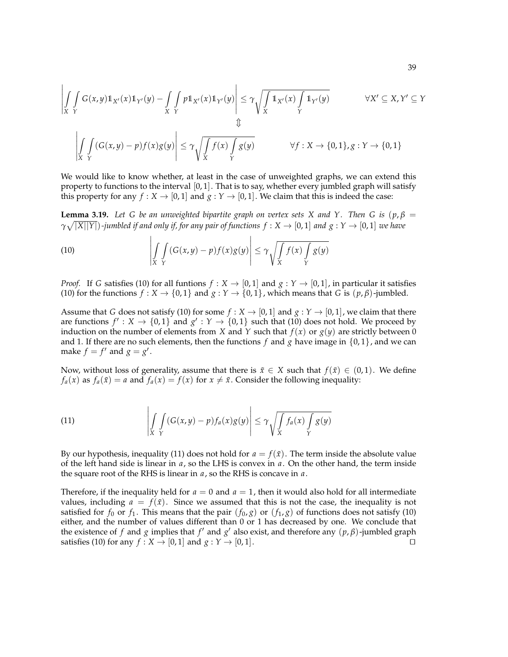$$
\left| \int\limits_X \int\limits_Y G(x,y) 1_{X'}(x) 1_{Y'}(y) - \int\limits_X \int\limits_Y p 1_{X'}(x) 1_{Y'}(y) \right| \leq \gamma \sqrt{\int\limits_X 1_{X'}(x) \int\limits_Y 1_{Y'}(y)} \qquad \forall X' \subseteq X, Y' \subseteq Y
$$
\n
$$
\left| \int\limits_X \int\limits_Y (G(x,y) - p) f(x) g(y) \right| \leq \gamma \sqrt{\int\limits_X f(x) \int\limits_Y g(y)} \qquad \forall f: X \to \{0,1\}, g: Y \to \{0,1\}
$$

We would like to know whether, at least in the case of unweighted graphs, we can extend this property to functions to the interval [0, 1]. That is to say, whether every jumbled graph will satisfy this property for any  $f: X \to [0,1]$  and  $g: Y \to [0,1]$ . We claim that this is indeed the case:

<span id="page-46-2"></span>**Lemma 3.19.** Let G be an unweighted bipartite graph on vertex sets X and Y. Then G is  $(p, \beta =$ *γ* p |*X*||*Y*|)*-jumbled if and only if, for any pair of functions f* : *X* → [0, 1] *and g* : *Y* → [0, 1] *we have*

<span id="page-46-0"></span>(10) 
$$
\left| \int\limits_X \int\limits_Y (G(x,y) - p)f(x)g(y) \right| \leq \gamma \sqrt{\int\limits_X f(x) \int\limits_Y g(y)}
$$

*Proof.* If *G* satisfies [\(10\)](#page-46-0) for all funtions  $f: X \to [0,1]$  and  $g: Y \to [0,1]$ , in particular it satisfies [\(10\)](#page-46-0) for the functions  $f: X \to \{0, 1\}$  and  $g: Y \to \{0, 1\}$ , which means that *G* is  $(p, \beta)$ -jumbled.

Assume that *G* does not satisfy [\(10\)](#page-46-0) for some  $f: X \to [0,1]$  and  $g: Y \to [0,1]$ , we claim that there are functions  $f': X \to \{0,1\}$  and  $g': Y \to \{0,1\}$  such that [\(10\)](#page-46-0) does not hold. We proceed by induction on the number of elements from *X* and *Y* such that  $f(x)$  or  $g(y)$  are strictly between 0 and 1. If there are no such elements, then the functions  $f$  and  $g$  have image in  $\{0,1\}$ , and we can make  $f = f'$  and  $g = g'$ .

Now, without loss of generality, assume that there is  $\tilde{x} \in X$  such that  $f(\tilde{x}) \in (0,1)$ . We define  $f_a(x)$  as  $f_a(\tilde{x}) = a$  and  $f_a(x) = f(x)$  for  $x \neq \tilde{x}$ . Consider the following inequality:

<span id="page-46-1"></span>(11) 
$$
\left| \int\limits_X \int\limits_Y (G(x,y) - p) f_a(x) g(y) \right| \leq \gamma \sqrt{\int\limits_X f_a(x) \int\limits_Y g(y)}
$$

By our hypothesis, inequality [\(11\)](#page-46-1) does not hold for  $a = f(\tilde{x})$ . The term inside the absolute value of the left hand side is linear in *a*, so the LHS is convex in *a*. On the other hand, the term inside the square root of the RHS is linear in *a*, so the RHS is concave in *a*.

Therefore, if the inequality held for  $a = 0$  and  $a = 1$ , then it would also hold for all intermediate values, including  $a = f(\tilde{x})$ . Since we assumed that this is not the case, the inequality is not satisfied for  $f_0$  or  $f_1$ . This means that the pair  $(f_0, g)$  or  $(f_1, g)$  of functions does not satisfy [\(10\)](#page-46-0) either, and the number of values different than 0 or 1 has decreased by one. We conclude that the existence of *f* and *g* implies that  $f'$  and  $g'$  also exist, and therefore any  $(p, \beta)$ -jumbled graph satisfies [\(10\)](#page-46-0) for any  $f: X \to [0,1]$  and  $g: Y \to [0,1]$ .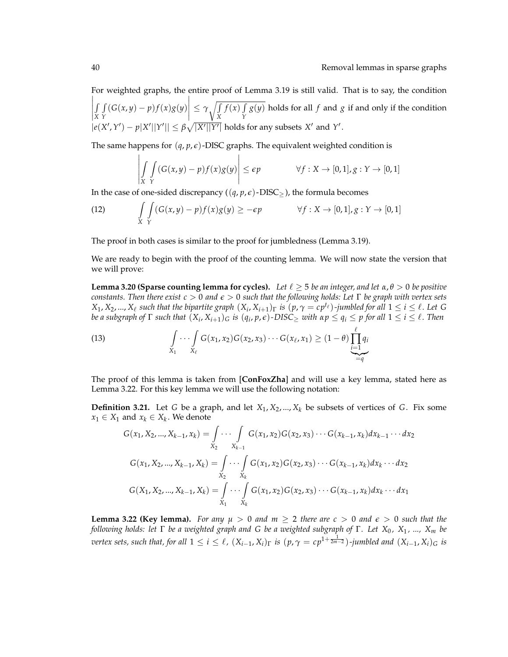For weighted graphs, the entire proof of Lemma [3.19](#page-46-2) is still valid. That is to say, the condition R *X* R *Y*  $(G(x,y) - p)f(x)g(y)$  $\begin{array}{c} \hline \end{array}$  $\leq \gamma$ ,  $\sqrt{\frac{1}{2}}$ *X*  $f(x)$ *Y g*(*y*) holds for all *f* and *g* if and only if the condition  $|e(X', Y') - p|X'||Y'|| \leq \beta \sqrt{|X'||Y'|}$  holds for any subsets  $X'$  and  $Y'$ .

The same happens for  $(q, p, \epsilon)$ -DISC graphs. The equivalent weighted condition is

$$
\left| \int\limits_X \int\limits_Y (G(x,y) - p)f(x)g(y) \right| \le \epsilon p \qquad \forall f: X \to [0,1], g: Y \to [0,1]
$$

In the case of one-sided discrepancy  $((q, p, \epsilon)$ -DISC>), the formula becomes

(12) 
$$
\int_{X} \int_{Y} (G(x,y) - p)f(x)g(y) \geq -\epsilon p \qquad \forall f: X \to [0,1], g: Y \to [0,1]
$$

The proof in both cases is similar to the proof for jumbledness (Lemma [3.19\)](#page-46-2).

We are ready to begin with the proof of the counting lemma. We will now state the version that we will prove:

<span id="page-47-0"></span>**Lemma 3.20 (Sparse counting lemma for cycles).** Let  $\ell \geq 5$  be an integer, and let  $\alpha, \theta > 0$  be positive *constants. Then there exist c* > 0 *and e* > 0 *such that the following holds: Let* Γ *be graph with vertex sets*  $X_1, X_2, ..., X_\ell$  such that the bipartite graph  $(X_i, X_{i+1})$ <sub> $\Gamma$ </sub> is  $(p, \gamma = c p^{t_\ell})$ -jumbled for all  $1 \leq i \leq \ell$ . Let G be a subgraph of  $\Gamma$  such that  $(X_i,X_{i+1})_G$  is  $(q_i,p,\epsilon)$ -DISC $_\geq$  with  $\alpha p\leq q_i\leq p$  for all  $1\leq i\leq \ell.$  Then

<span id="page-47-2"></span>(13) 
$$
\int_{X_1} \cdots \int_{X_\ell} G(x_1, x_2) G(x_2, x_3) \cdots G(x_\ell, x_1) \ge (1 - \theta) \prod_{\substack{i=1 \ i \neq j}}^{\ell} q_i
$$

The proof of this lemma is taken from [**ConFoxZha**] and will use a key lemma, stated here as Lemma [3.22.](#page-47-1) For this key lemma we will use the following notation:

**Definition 3.21.** Let *G* be a graph, and let  $X_1, X_2, ..., X_k$  be subsets of vertices of *G*. Fix some  $x_1 \in X_1$  and  $x_k \in X_k$ . We denote

$$
G(x_1, X_2, ..., X_{k-1}, x_k) = \int_{X_2} \cdots \int_{X_{k-1}} G(x_1, x_2) G(x_2, x_3) \cdots G(x_{k-1}, x_k) dx_{k-1} \cdots dx_2
$$
  

$$
G(x_1, X_2, ..., X_{k-1}, X_k) = \int_{X_2} \cdots \int_{X_k} G(x_1, x_2) G(x_2, x_3) \cdots G(x_{k-1}, x_k) dx_k \cdots dx_2
$$
  

$$
G(X_1, X_2, ..., X_{k-1}, X_k) = \int_{X_1} \cdots \int_{X_k} G(x_1, x_2) G(x_2, x_3) \cdots G(x_{k-1}, x_k) dx_k \cdots dx_1
$$

<span id="page-47-1"></span>**Lemma 3.22 (Key lemma).** For any  $\mu > 0$  and  $m \geq 2$  there are  $c > 0$  and  $\epsilon > 0$  such that the *following holds: let* Γ *be a weighted graph and G be a weighted subgraph of* Γ*. Let X*<sup>0</sup> *, X*<sup>1</sup> *, ..., X<sup>m</sup> be* vertex sets, such that, for all  $1 \leq i \leq \ell$ ,  $(X_{i-1}, X_i)_{\Gamma}$  is  $(p, \gamma = c p^{1+\frac{1}{2m-2}})$ -jumbled and  $(X_{i-1}, X_i)_{G}$  is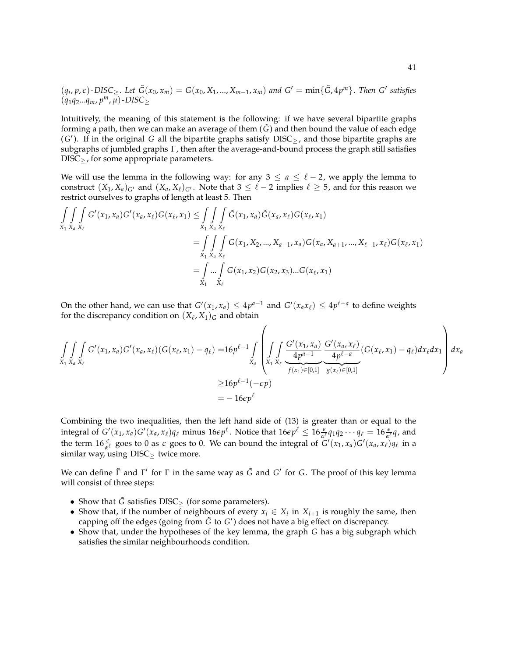$$
(q_i, p, \epsilon)
$$
-DISC<sub>≥</sub>. Let  $\tilde{G}(x_0, x_m) = G(x_0, X_1, ..., X_{m-1}, x_m)$  and  $G' = \min{\{\tilde{G}, 4p^m\}}$ . Then  $G'$  satisfies  $(q_1q_2...q_m, p^m, \mu)$ -DISC<sub>≥</sub>

Intuitively, the meaning of this statement is the following: if we have several bipartite graphs forming a path, then we can make an average of them  $(\tilde{G})$  and then bound the value of each edge  $(G')$ . If in the original *G* all the bipartite graphs satisfy DISC<sub>≥</sub>, and those bipartite graphs are subgraphs of jumbled graphs Γ, then after the average-and-bound process the graph still satisfies DISC<sub>></sub>, for some appropriate parameters.

We will use the lemma in the following way: for any  $3 \le a \le \ell - 2$ , we apply the lemma to construct  $(X_1, X_a)_{G'}$  and  $(X_a, X_\ell)_{G'}$ . Note that  $3 \leq \ell - 2$  implies  $\ell \geq 5$ , and for this reason we restrict ourselves to graphs of length at least 5. Then

$$
\iint_{X_1} \iint_{X_a} G'(x_1, x_a) G'(x_a, x_\ell) G(x_\ell, x_1) \leq \iint_{X_1} \iint_{X_a} \tilde{G}(x_1, x_a) \tilde{G}(x_a, x_\ell) G(x_\ell, x_1)
$$
\n
$$
= \iint_{X_1} \iint_{X_a} G(x_1, X_2, ..., X_{a-1}, x_a) G(x_a, X_{a+1}, ..., X_{\ell-1}, x_\ell) G(x_\ell, x_1)
$$
\n
$$
= \iint_{X_1} \iint_{X_a} G(x_1, x_2) G(x_2, x_3) ... G(x_\ell, x_1)
$$

On the other hand, we can use that  $G'(x_1, x_a) \le 4p^{a-1}$  and  $G'(x_a x_{\ell}) \le 4p^{\ell-a}$  to define weights for the discrepancy condition on  $(X_{\ell}, X_1)_G$  and obtain

$$
\int_{X_1} \int_{X_a} \int_{X_\ell} G'(x_1, x_a) G'(x_a, x_\ell) (G(x_\ell, x_1) - q_\ell) = 16p^{\ell-1} \int_{X_a} \left( \int_{X_1} \int_{X_\ell} \frac{G'(x_1, x_a)}{4p^{a-1}} \underbrace{\frac{G'(x_a, x_\ell)}{4p^{\ell-a}}}_{g(x_\ell) \in [0, 1]} (G(x_\ell, x_1) - q_\ell) dx_\ell dx_1 \right) dx_a
$$
  
\n
$$
\geq 16p^{\ell-1}(-\epsilon p)
$$
  
\n
$$
= -16\epsilon p^{\ell}
$$

Combining the two inequalities, then the left hand side of [\(13\)](#page-47-2) is greater than or equal to the integral of  $G'(x_1, x_a)G'(x_a, x_\ell)q_\ell$  minus  $16\varepsilon p^\ell$ . Notice that  $16\varepsilon p^\ell \leq 16\frac{\varepsilon}{\alpha^\ell}q_1q_2\cdots q_\ell = 16\frac{\varepsilon}{\alpha^\ell}q$ , and the term  $16\frac{\epsilon}{a^{\ell}}$  goes to 0 as  $\epsilon$  goes to 0. We can bound the integral of  $G'(x_1, x_a)G'(x_a, x_{\ell})q_{\ell}$  in a  $\lim_{\alpha \to 0} \frac{a}{\alpha}$  gets to  $\alpha$  is a gets to  $\alpha$ .

We can define  $\tilde{\Gamma}$  and  $\Gamma'$  for  $\Gamma$  in the same way as  $\tilde{G}$  and  $G'$  for  $G$ . The proof of this key lemma will consist of three steps:

- Show that  $\tilde{G}$  satisfies DISC<sub>></sub> (for some parameters).
- Show that, if the number of neighbours of every  $x_i \in X_i$  in  $X_{i+1}$  is roughly the same, then capping off the edges (going from  $\tilde{G}$  to  $G'$ ) does not have a big effect on discrepancy.
- Show that, under the hypotheses of the key lemma, the graph *G* has a big subgraph which satisfies the similar neighbourhoods condition.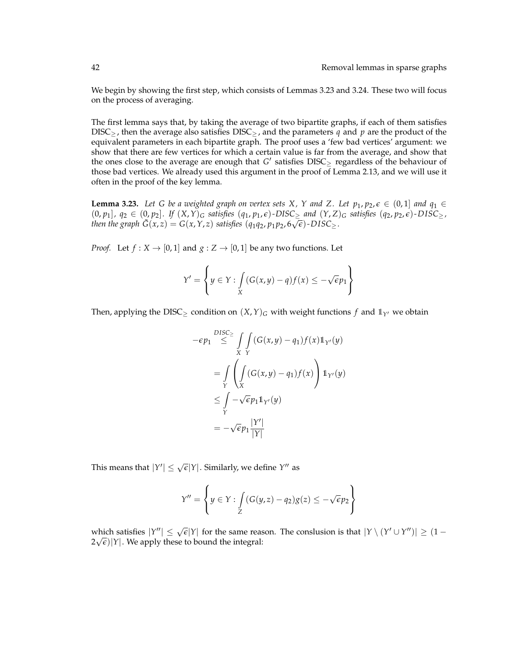We begin by showing the first step, which consists of Lemmas [3.23](#page-49-0) and [3.24.](#page-50-0) These two will focus on the process of averaging.

The first lemma says that, by taking the average of two bipartite graphs, if each of them satisfies DISC≥ , then the average also satisfies DISC≥ , and the parameters *q* and *p* are the product of the equivalent parameters in each bipartite graph. The proof uses a 'few bad vertices' argument: we show that there are few vertices for which a certain value is far from the average, and show that the ones close to the average are enough that  $G'$  satisfies  $DISC_$  regardless of the behaviour of those bad vertices. We already used this argument in the proof of Lemma [2.13,](#page-18-2) and we will use it often in the proof of the key lemma.

<span id="page-49-0"></span>**Lemma 3.23.** Let G be a weighted graph on vertex sets X, Y and Z. Let  $p_1, p_2, \epsilon \in (0,1]$  and  $q_1 \in$  $(0,p_1], q_2 \in (0,p_2].$  If  $(X,Y)_G$  satisfies  $(q_1,p_1,\epsilon)$ -DISC and  $(Y,Z)_G$  satisfies  $(q_2,p_2,\epsilon)$ -DISC >  $\sigma$ <sup>*then the graph*  $\tilde{G}(x, z) = G(x, Y, z)$  *satisfies*  $(q_1q_2, p_1p_2, 6\sqrt{\epsilon})$ -DISC $\geq$ .</sup>

*Proof.* Let  $f: X \to [0, 1]$  and  $g: Z \to [0, 1]$  be any two functions. Let

$$
Y' = \left\{ y \in Y : \int\limits_X (G(x,y) - q) f(x) \leq -\sqrt{\epsilon} p_1 \right\}
$$

Then, applying the DISC<sub>≥</sub> condition on  $(X, Y)_G$  with weight functions  $f$  and  $\mathbb{1}_{Y'}$  we obtain

$$
-\epsilon p_1 \stackrel{DISC_\ge}{\leq} \int\limits_X \int\limits_Y (G(x,y) - q_1) f(x) 1_{Y'}(y)
$$
  
= 
$$
\int\limits_Y \left( \int\limits_X (G(x,y) - q_1) f(x) \right) 1_{Y'}(y)
$$
  

$$
\leq \int\limits_Y -\sqrt{\epsilon} p_1 1_{Y'}(y)
$$
  
= 
$$
-\sqrt{\epsilon} p_1 \frac{|Y'|}{|Y|}
$$

This means that  $|Y'| \le \sqrt{\epsilon}|Y|$ . Similarly, we define  $Y''$  as

$$
Y'' = \left\{ y \in Y : \int_{Z} (G(y, z) - q_2) g(z) \leq -\sqrt{\epsilon} p_2 \right\}
$$

which satisfies  $|Y''| \le \sqrt{\epsilon}|Y|$  for the same reason. The conslusion is that  $|Y \setminus (Y' \cup Y'')| \ge (1 - \epsilon)^{1/2}$  $2\sqrt{\epsilon})|Y|$ . We apply these to bound the integral: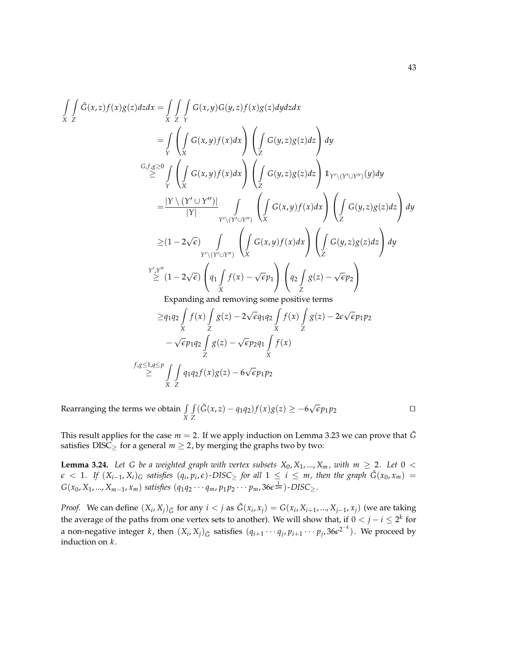$$
\iint_{X} \tilde{G}(x,z)f(x)g(z)dzdx = \iint_{X} \iint_{Z} G(x,y)G(y,z)f(x)g(z)dydzdx
$$
  
\n
$$
= \iint_{Y} \left( \int_{X} G(x,y)f(x)dx \right) \left( \int_{Z} G(y,z)g(z)dz \right)dy
$$
  
\n
$$
\stackrel{G,f,g \ge 0}{\ge} \iint_{Y} \left( \int_{X} G(x,y)f(x)dx \right) \left( \int_{Z} G(y,z)g(z)dz \right) \mathbb{1}_{Y' \setminus (Y' \cup Y'')} (y)dy
$$
  
\n
$$
= \frac{|Y \setminus (Y' \cup Y'')|}{|Y|} \iint_{Y' \setminus (Y' \cup Y'')} \left( \int_{X} G(x,y)f(x)dx \right) \left( \int_{Z} G(y,z)g(z)dz \right)dy
$$
  
\n
$$
\ge (1-2\sqrt{\epsilon}) \iint_{Y' \setminus (Y' \cup Y'')} \left( \int_{X} G(x,y)f(x)dx \right) \left( \int_{Z} G(y,z)g(z)dz \right)dy
$$
  
\n
$$
\stackrel{Y',Y''}{\ge} (1-2\sqrt{\epsilon}) \left( q_1 \int_{X} f(x) - \sqrt{\epsilon} p_1 \right) \left( q_2 \int_{Z} g(z) - \sqrt{\epsilon} p_2 \right)
$$
  
\nExpanding and removing some positive terms

Expanding and removing some positive terms

$$
\geq q_1 q_2 \int_X f(x) \int_Z g(z) - 2\sqrt{\epsilon} q_1 q_2 \int_X f(x) \int_Z g(z) - 2\epsilon \sqrt{\epsilon} p_1 p_2
$$
  

$$
- \sqrt{\epsilon} p_1 q_2 \int_Z g(z) - \sqrt{\epsilon} p_2 q_1 \int_X f(x)
$$
  

$$
\leq f,g \leq 1, q \leq p \int_X \int_{\mathbf{X}} q_1 q_2 f(x) g(z) - 6\sqrt{\epsilon} p_1 p_2
$$

Rearranging the terms we obtain  $\int$ *X* R *Z*  $(G(x,z) - q_1q_2) f(x)g(z) \ge -6\sqrt{\epsilon}p_1p_2$ 

This result applies for the case  $m = 2$ . If we apply induction on Lemma [3.23](#page-49-0) we can prove that  $\tilde{G}$ satisfies DISC> for a general  $m \ge 2$ , by merging the graphs two by two:

<span id="page-50-0"></span>**Lemma 3.24.** Let G be a weighted graph with vertex subsets  $X_0, X_1, ..., X_m$ , with  $m \ge 2$ . Let  $0 <$  $\epsilon$  < 1. If  $(X_{i-1}, X_i)_G$  satisfies  $(q_i, p_i, \epsilon)$ -DISC<sub>≥</sub> for all  $1 \leq i \leq m$ , then the graph  $\tilde{G}(x_0, x_m)$  =  $G(x_0, X_1, ..., X_{m-1}, x_m)$  satisfies  $(q_1q_2 \cdots q_m, p_1p_2 \cdots p_m, 36\epsilon^{\frac{1}{2m}})$ -DISC  $\geq$ .

*Proof.* We can define  $(X_i, X_j)_{\tilde{G}}$  for any  $i < j$  as  $\tilde{G}(x_i, x_j) = G(x_i, X_{i+1}, ..., X_{j-1}, x_j)$  (we are taking the average of the paths from one vertex sets to another). We will show that, if  $0 < j - i \leq 2^k$  for a non-negative integer *k*, then  $(X_i, X_j)_{\tilde{G}}$  satisfies  $(q_{i+1} \cdots q_j, p_{i+1} \cdots p_j, 36e^{2^{-k}})$ . We proceed by induction on *k*.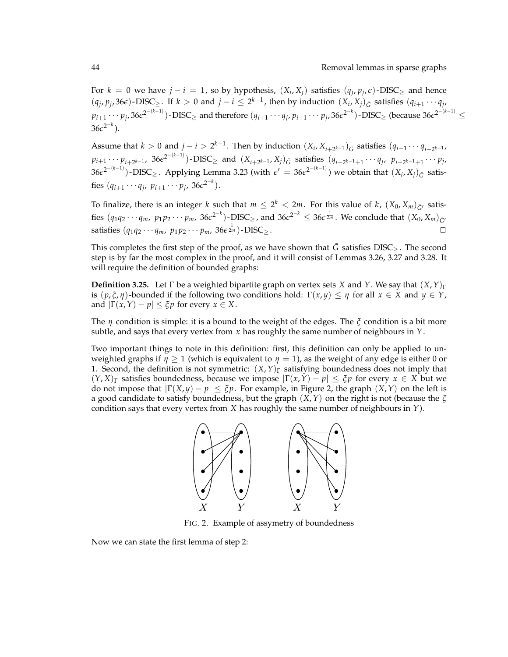For  $k = 0$  we have  $j - i = 1$ , so by hypothesis,  $(X_i, X_j)$  satisfies  $(q_j, p_j, \epsilon)$ -DISC<sub>≥</sub> and hence  $(q_j, p_j, 36\epsilon)$ -DISC<sub> $\geq$ </sub>. If  $k > 0$  and  $j - i \leq 2^{k-1}$ , then by induction  $(X_i, X_j)_{\tilde{G}}$  satisfies  $(q_{i+1} \cdots q_j,$  $p_{i+1}\cdots p_j$ , 36 $\epsilon^{2^{-(k-1)}})$ -DISC $_\geq$  and therefore  $(q_{i+1}\cdots q_j, p_{i+1}\cdots p_j,$  36 $\epsilon^{2^{-k}})$ -DISC $_\geq$  (because 36 $\epsilon^{2^{-(k-1)}}\leq$  $36\varepsilon^{2^{-k}}$ ).

Assume that  $k > 0$  and  $j - i > 2^{k-1}$ . Then by induction  $(X_i, X_{i+2^{k-1}})_{\tilde{G}}$  satisfies  $(q_{i+1} \cdots q_{i+2^{k-1}})$  $p_{i+1}\cdots p_{i+2^{k-1}}$ , 36 $\epsilon^{2^{-(k-1)}})$ -DISC $_{\geq}$  and  $(X_{i+2^{k-1}} ,X_j)_{\tilde{G}}$  satisfies  $(q_{i+2^{k-1}+1}\cdots q_j, \,\, p_{i+2^{k-1}+1}\cdots p_j,$  $36\epsilon^{2^{-(k-1)}}$ )-DISC≥. Applying Lemma [3.23](#page-49-0) (with  $\epsilon' = 36\epsilon^{2^{-(k-1)}}$ ) we obtain that  $(X_i, X_j)_{\tilde{G}}$  satisfies  $(q_{i+1} \cdots q_j, p_{i+1} \cdots p_j, 36 \epsilon^{2^{-k}})$ .

To finalize, there is an integer *k* such that  $m \leq 2^k < 2m$ . For this value of *k*,  $(X_0, X_m)_{\tilde{G}}$  satisfies  $(q_1q_2\cdots q_m$ ,  $p_1p_2\cdots p_m$ ,  $36\varepsilon^{2^{-k}})$ -DISC<sub> $\geq$ </sub>, and  $36\varepsilon^{2^{-k}}\leq 36\varepsilon^{\frac{1}{2m}}$ . We conclude that  $(X_0, X_m)_{\tilde{G}'}$ satisfies  $(q_1q_2 \cdots q_m, p_1p_2 \cdots p_m, 36\epsilon^{\frac{1}{2m}})$ -DISC<sub>≥</sub>.

This completes the first step of the proof, as we have shown that  $\tilde{G}$  satisfies  $DISC_{\geq}$ . The second step is by far the most complex in the proof, and it will consist of Lemmas [3.26,](#page-52-0) [3.27](#page-54-0) and [3.28.](#page-55-0) It will require the definition of bounded graphs:

**Definition 3.25.** Let Γ be a weighted bipartite graph on vertex sets *X* and *Y*. We say that  $(X, Y)<sub>Γ</sub>$ is  $(p, \xi, \eta)$ -bounded if the following two conditions hold:  $\Gamma(x, y) \leq \eta$  for all  $x \in X$  and  $y \in Y$ , and  $|\Gamma(x, Y) - p| \leq \xi p$  for every  $x \in X$ .

The *η* condition is simple: it is a bound to the weight of the edges. The *ξ* condition is a bit more subtle, and says that every vertex from *x* has roughly the same number of neighbours in *Y*.

<span id="page-51-0"></span>Two important things to note in this definition: first, this definition can only be applied to unweighted graphs if  $\eta \geq 1$  (which is equivalent to  $\eta = 1$ ), as the weight of any edge is either 0 or 1. Second, the definition is not symmetric:  $(X, Y)<sub>Γ</sub>$  satisfying boundedness does not imply that  $(Y, X)$ <sub>Γ</sub> satisfies boundedness, because we impose  $|\Gamma(x, Y) - p| \leq \xi p$  for every  $x \in X$  but we do not impose that  $|\Gamma(X, y) - p| \leq \xi p$ . For example, in Figure [2,](#page-51-0) the graph  $(X, Y)$  on the left is a good candidate to satisfy boundedness, but the graph (*X*,*Y*) on the right is not (because the *ξ* condition says that every vertex from *X* has roughly the same number of neighbours in *Y*).



FIG. 2. Example of assymetry of boundedness

Now we can state the first lemma of step 2: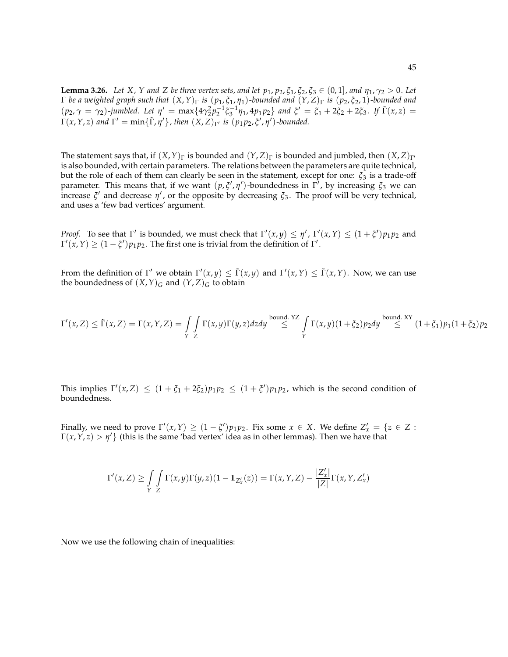<span id="page-52-0"></span>**Lemma 3.26.** *Let X, Y and Z be three vertex sets, and let*  $p_1$ *,*  $p_2$ *,*  $\zeta_1$ *,*  $\zeta_2$ *,*  $\zeta_3 \in (0,1]$ *, and*  $\eta_1$ *,*  $\gamma_2 > 0$ *. Let* Γ *be a weighted graph such that* (*X*,*Y*)<sup>Γ</sup> *is* (*p*1, *ξ*1, *η*1)*-bounded and* (*Y*, *Z*)<sup>Γ</sup> *is* (*p*2, *ξ*2, 1)*-bounded and*  $(p_2, \gamma = \gamma_2)$ -jumbled. Let  $\eta' = \max\{4\gamma_2^2 p_2^{-1} \xi_3^{-1} \eta_1, 4p_1p_2\}$  and  $\xi' = \xi_1 + 2\xi_2 + 2\xi_3$ . If  $\tilde{\Gamma}(x, z) =$  $\Gamma(x, Y, z)$  and  $\Gamma' = \min{\{\tilde{\Gamma}, \eta'\}}$ , then  $(X, Z)_{\Gamma'}$  is  $(p_1p_2, \xi', \eta')$ -bounded.

The statement says that, if  $(X, Y)_{\Gamma}$  is bounded and  $(Y, Z)_{\Gamma}$  is bounded and jumbled, then  $(X, Z)_{\Gamma'}$ is also bounded, with certain parameters. The relations between the parameters are quite technical, but the role of each of them can clearly be seen in the statement, except for one: *ξ*<sup>3</sup> is a trade-off parameter. This means that, if we want  $(p, \xi', \eta')$ -boundedness in Γ<sup>7</sup>, by increasing  $\xi_3$  we can increase  $\xi'$  and decrease  $\eta'$ , or the opposite by decreasing  $\xi_3$ . The proof will be very technical, and uses a 'few bad vertices' argument.

*Proof.* To see that  $\Gamma'$  is bounded, we must check that  $\Gamma'(x,y) \leq \eta'$ ,  $\Gamma'(x,Y) \leq (1+\xi')p_1p_2$  and  $\Gamma'(x, Y) \ge (1 - \xi') p_1 p_2$ . The first one is trivial from the definition of  $\Gamma'$ .

From the definition of  $\Gamma'$  we obtain  $\Gamma'(x,y) \leq \tilde{\Gamma}(x,y)$  and  $\Gamma'(x,Y) \leq \tilde{\Gamma}(x,Y)$ . Now, we can use the boundedness of  $(X, Y)_G$  and  $(Y, Z)_G$  to obtain

$$
\Gamma'(x,Z) \leq \tilde{\Gamma}(x,Z) = \Gamma(x,Y,Z) = \int\limits_{Y} \int\limits_{Z} \Gamma(x,y) \Gamma(y,z) dz dy \stackrel{\text{bound. YZ}}{\leq} \int\limits_{Y} \Gamma(x,y) (1+\xi_2) p_2 dy \stackrel{\text{bound. XY}}{\leq} (1+\xi_1) p_1 (1+\xi_2) p_2
$$

This implies  $\Gamma'(x, Z) \leq (1 + \xi_1 + 2\xi_2)p_1p_2 \leq (1 + \xi')p_1p_2$ , which is the second condition of boundedness.

Finally, we need to prove  $\Gamma'(x, Y) \ge (1 - \xi')p_1p_2$ . Fix some  $x \in X$ . We define  $Z'_x = \{z \in Z : Z \ne \emptyset\}$  $\Gamma(x, Y, z) > \eta'$ } (this is the same 'bad vertex' idea as in other lemmas). Then we have that

$$
\Gamma'(x,Z) \geq \int\limits_Y\int\limits_Z \Gamma(x,y)\Gamma(y,z)(1-\mathbb{1}_{Z'_x}(z)) = \Gamma(x,Y,Z) - \frac{|Z'_x|}{|Z|}\Gamma(x,Y,Z'_x)
$$

Now we use the following chain of inequalities: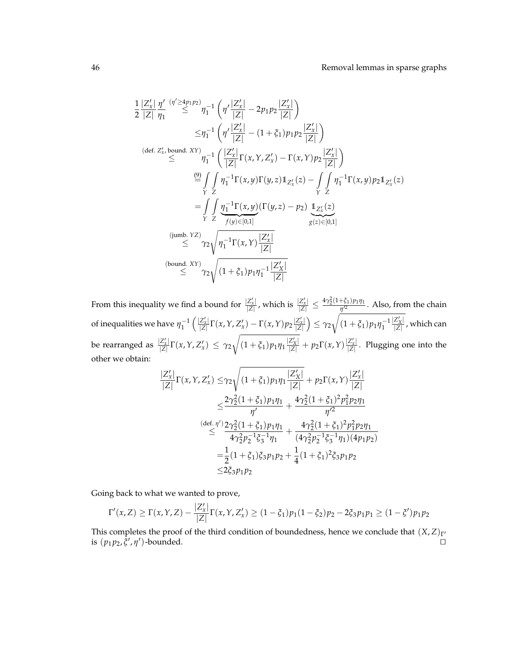$$
\frac{1}{2} \frac{|Z'_x|}{|Z|} \frac{\eta'}{\eta_1} \stackrel{(\eta' \ge 4p_1p_2)}{\le} \eta_1^{-1} \left( \eta' \frac{|Z'_x|}{|Z|} - 2p_1p_2 \frac{|Z'_x|}{|Z|} \right)
$$
\n
$$
\le \eta_1^{-1} \left( \eta' \frac{|Z'_x|}{|Z|} - (1 + \xi_1)p_1p_2 \frac{|Z'_x|}{|Z|} \right)
$$
\n(def.  $Z'_x$ , bound.  $XY$ )\n
$$
\le \eta_1^{-1} \left( \frac{|Z'_x|}{|Z|} \Gamma(x, Y, Z'_x) - \Gamma(x, Y)p_2 \frac{|Z'_x|}{|Z|} \right)
$$
\n
$$
\stackrel{\text{(def.  $Z'_x$ , bound.  $XY$ )}\n
$$
\le \eta_1^{-1} \Gamma(x, y) \Gamma(y, z) 1_{Z'_x}(z) - \int_Y \int_{Y} \eta_1^{-1} \Gamma(x, y) p_2 1_{Z'_x}(z)
$$
\n
$$
= \int_Y \int_{Y} \eta_1^{-1} \Gamma(x, y) \left( \Gamma(y, z) - p_2 \right) \underbrace{1_{Z'_x}(z)}_{g(z) \in [0, 1]}
$$
\n
$$
\text{(jumb.  $YZ$ )}\n
$$
\le \eta_2 \sqrt{\eta_1^{-1} \Gamma(x, Y) \frac{|Z'_x|}{|Z|}}
$$
\n(bound.  $XY$ )\n
$$
\le \eta_2 \sqrt{(1 + \xi_1) p_1 \eta_1^{-1} \frac{|Z'_x|}{|Z|}}
$$
$$
$$

From this inequality we find a bound for  $\frac{|Z'_x|}{|Z|}$  $\frac{Z'_x}{|Z|}$ , which is  $\frac{|Z'_x|}{|Z|} \le \frac{4\gamma_2^2(1+\xi_1)p_1\eta_1}{\eta'^2}$ <sup>+51/*P<sup>141</sup>*</sup>. Also, from the chain of inequalities we have  $\eta_1^{-1} \left( \frac{|Z'_x|}{|Z|} \right)$  $\frac{Z'_x}{|Z|}\Gamma(x,Y,Z'_x) - \Gamma(x,Y)p_2\frac{|Z'_x|}{|Z|}$  $\left(\frac{Z'_\chi\vert}{\vert Z \vert}\right) \leq \gamma_2 \sqrt{(1+\xi_1)p_1\eta_1^{-1}}$  $|Z'_X|$  $\frac{2|X|}{|Z|}$  , which can be rearranged as  $\frac{|Z'_x|}{|Z|}$  $\frac{Z'_x}{|Z|}\Gamma(x,Y,Z'_x) \leq \gamma_2\sqrt{(1+\xi_1)p_1\eta_1\frac{|Z'_x|}{|Z|}} + p_2\Gamma(x,Y)\frac{|Z'_x|}{|Z|}$  $\frac{Z_{x|}}{|Z|}$ . Plugging one into the other we obtain:

$$
\frac{|Z'_x|}{|Z|}\Gamma(x, Y, Z'_x) \leq \gamma_2 \sqrt{(1+\xi_1)p_1\eta_1 \frac{|Z'_x|}{|Z|} + p_2\Gamma(x, Y)\frac{|Z'_x|}{|Z|} \n\leq \frac{2\gamma_2^2(1+\xi_1)p_1\eta_1}{\eta'} + \frac{4\gamma_2^2(1+\xi_1)^2p_1^2p_2\eta_1}{\eta'^2} \n\leq \frac{(\det \eta')}{4\gamma_2^2p_2^{-1}\xi_3^{-1}\eta_1} + \frac{4\gamma_2^2(1+\xi_1)^2p_1^2p_2\eta_1}{(4\gamma_2^2p_2^{-1}\xi_3^{-1}\eta_1)(4p_1p_2)} \n= \frac{1}{2}(1+\xi_1)\xi_3p_1p_2 + \frac{1}{4}(1+\xi_1)^2\xi_3p_1p_2 \n\leq 2\xi_3p_1p_2
$$

Going back to what we wanted to prove,

$$
\Gamma'(x,Z) \geq \Gamma(x,Y,Z) - \frac{|Z'_x|}{|Z|} \Gamma(x,Y,Z'_x) \geq (1-\xi_1)p_1(1-\xi_2)p_2 - 2\xi_3p_1p_1 \geq (1-\xi')p_1p_2
$$

This completes the proof of the third condition of boundedness, hence we conclude that  $(X, Z)<sub>Γ'</sub>$ is  $(p_1 p_2, \hat{\xi}', \eta')$ -bounded.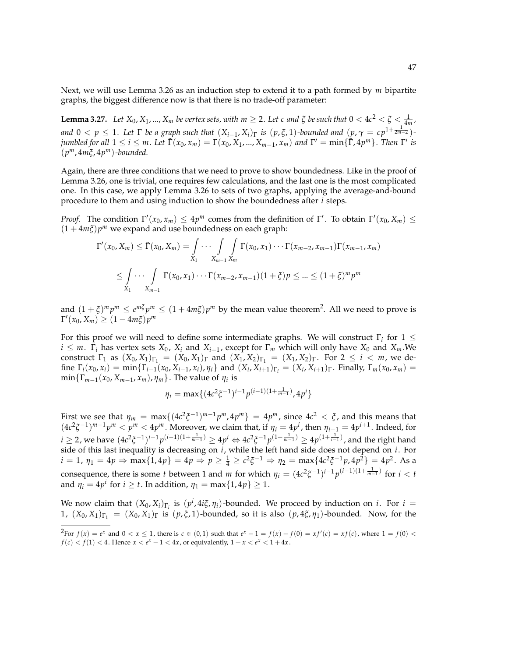Next, we will use Lemma [3.26](#page-52-0) as an induction step to extend it to a path formed by *m* bipartite graphs, the biggest difference now is that there is no trade-off parameter:

<span id="page-54-0"></span>**Lemma 3.27.** Let  $X_0, X_1, ..., X_m$  be vertex sets, with  $m \geq 2$ . Let c and  $\xi$  be such that  $0 < 4c^2 < \xi < \frac{1}{4m}$ , *and*  $0 < p \leq 1$ . Let  $\Gamma$  be a graph such that  $(X_{i-1}, X_i)_{\Gamma}$  is  $(p, \xi, 1)$ -bounded and  $(p, \gamma = c p^{1 + \frac{1}{2m-2}})$ *jumbled for all*  $1 \le i \le m$ . Let  $\tilde{\Gamma}(x_0, x_m) = \Gamma(x_0, X_1, ..., X_{m-1}, x_m)$  and  $\Gamma' = \min{\{\tilde{\Gamma}, 4p^m\}}$ . Then  $\Gamma'$  is (*p <sup>m</sup>*, 4*mξ*, 4*p <sup>m</sup>*)*-bounded.*

Again, there are three conditions that we need to prove to show boundedness. Like in the proof of Lemma [3.26,](#page-52-0) one is trivial, one requires few calculations, and the last one is the most complicated one. In this case, we apply Lemma [3.26](#page-52-0) to sets of two graphs, applying the average-and-bound procedure to them and using induction to show the boundedness after *i* steps.

*Proof.* The condition  $\Gamma'(x_0, x_m) \le 4p^m$  comes from the definition of  $\Gamma'$ . To obtain  $\Gamma'(x_0, X_m) \le$  $(1 + 4m\zeta)p^m$  we expand and use boundedness on each graph:

$$
\Gamma'(x_0, X_m) \leq \tilde{\Gamma}(x_0, X_m) = \int_{X_1} \cdots \int_{X_{m-1}} \int_{X_m} \Gamma(x_0, x_1) \cdots \Gamma(x_{m-2}, x_{m-1}) \Gamma(x_{m-1}, x_m)
$$
  

$$
\leq \int_{X_1} \cdots \int_{X_{m-1}} \Gamma(x_0, x_1) \cdots \Gamma(x_{m-2}, x_{m-1}) (1 + \xi) p \leq \dots \leq (1 + \xi)^m p^m
$$

and  $(1+\xi)^m p^m \leq e^{m\xi} p^m \leq (1+4m\xi)p^m$  by the mean value theorem<sup>[2](#page-54-1)</sup>. All we need to prove is  $\Gamma'(x_0, X_m)$  ≥  $(1 - 4mξ)p^m$ 

For this proof we will need to define some intermediate graphs. We will construct  $\Gamma_i$  for  $1 \leq$  $i \leq m$ .  $\Gamma_i$  has vertex sets  $X_0$ ,  $X_i$  and  $X_{i+1}$ , except for  $\Gamma_m$  which will only have  $X_0$  and  $X_m$ . We construct  $\Gamma_1$  as  $(X_0, X_1)_{\Gamma_1} = (X_0, X_1)_{\Gamma}$  and  $(X_1, X_2)_{\Gamma_1} = (X_1, X_2)_{\Gamma}$ . For  $2 \le i \le m$ , we define  $\Gamma_i(x_0, x_i) = \min\{\Gamma_{i-1}(x_0, X_{i-1}, x_i), \eta_i\}$  and  $(X_i, X_{i+1})_{\Gamma_i} = (X_i, X_{i+1})_{\Gamma}$ . Finally,  $\Gamma_m(x_0, x_m) =$  $\min\{\Gamma_{m-1}(x_0, X_{m-1}, x_m), \eta_m\}$ . The value of  $\eta_i$  is

$$
\eta_i = \max\{(4c^2\xi^{-1})^{i-1}p^{(i-1)(1+\frac{1}{m-1})}, 4p^i\}
$$

First we see that  $\eta_m = \max\{(4c^2\xi^{-1})^{m-1}p^m, 4p^m\} = 4p^m$ , since  $4c^2 < \xi$ , and this means that  $(4c^2\xi^{-1})^{m-1}p^m < p^m < 4p^m$ . Moreover, we claim that, if  $\eta_i = 4p^i$ , then  $\eta_{i+1} = 4p^{i+1}$ . Indeed, for  $i\geq 2$ , we have  $(4c^2\xi^{-1})^{i-1}p^{(i-1)(1+\frac{1}{m-1})}\geq 4p^i\Leftrightarrow 4c^2\xi^{-1}p^{(1+\frac{1}{m-1})}\geq 4p^{(1+\frac{1}{i-1})}$ , and the right hand side of this last inequality is decreasing on *i*, while the left hand side does not depend on *i*. For *i* = 1, *η*<sub>1</sub> = 4*p* ⇒ max{1,4*p*} = 4*p* ⇒ *p* ≥  $\frac{1}{4}$  ≥  $c^2 \xi^{-1}$  ⇒ *η*<sub>2</sub> = max{4 $c^2 \xi^{-1} p$ ,4*p*<sup>2</sup>} = 4*p*<sup>2</sup>. As a consequence, there is some *t* between 1 and *m* for which  $\eta_i = (4c^2\xi^{-1})^{i-1}p^{(i-1)(1+\frac{1}{m-1})}$  for  $i < t$ and  $\eta_i = 4p^i$  for  $i \geq t$ . In addition,  $\eta_1 = \max\{1, 4p\} \geq 1$ .

We now claim that  $(X_0, X_i)_{\Gamma_i}$  is  $(p^i, 4i\xi, \eta_i)$ -bounded. We proceed by induction on *i*. For  $i =$ 1,  $(X_0, X_1)_{\Gamma_1} = (X_0, X_1)_{\Gamma}$  is  $(p, \xi, 1)$ -bounded, so it is also  $(p, 4\xi, \eta_1)$ -bounded. Now, for the

<span id="page-54-1"></span> ${}^{2}$ For  $f(x) = e^{x}$  and  $0 < x \le 1$ , there is  $c \in (0,1)$  such that  $e^{x} - 1 = f(x) - f(0) = xf'(c) = xf(c)$ , where  $1 = f(0) <$ *f*(*c*) < *f*(1) < 4. Hence  $x < e^x - 1 < 4x$ , or equivalently,  $1 + x < e^x < 1 + 4x$ .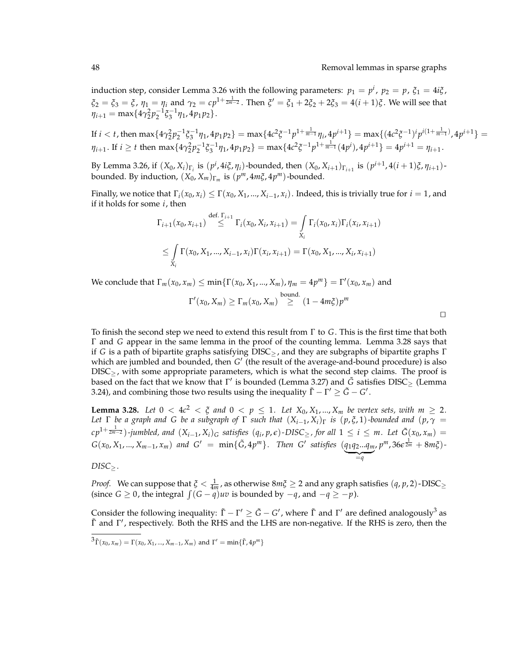induction step, consider Lemma [3.26](#page-52-0) with the following parameters:  $p_1 = p^i$ ,  $p_2 = p$ ,  $\xi_1 = 4i\xi$ , *ξ*<sub>2</sub> = *ξ*<sub>3</sub> = *ξ*, *η*<sub>1</sub> = *η*<sub>*i*</sub> and *γ*<sub>2</sub> = *cp*<sup>1+</sup><sub>2</sub><sup>*m*</sup>-2</sub>. Then *ξ'* = *ξ*<sub>1</sub> + 2*ξ*<sub>2</sub> + 2*ξ*<sub>3</sub> = 4(*i* + 1)*ξ*. We will see that  $\eta_{i+1} = \max\{4\gamma_2^2 p_2^{-1} \xi_3^{-1} \eta_1, 4p_1p_2\}.$ 

If  $i < t$ , then  $\max\{4\gamma_2^2p_2^{-1}\xi_3^{-1}\eta_1, 4p_1p_2\} = \max\{4c^2\xi^{-1}p^{1+\frac{1}{m-1}}\eta_i, 4p^{i+1}\} = \max\{(4c^2\xi^{-1})^ip^{i(1+\frac{1}{m-1})}, 4p^{i+1}\} =$  $\eta_{i+1}$ . If  $i \geq t$  then  $\max\{4\gamma_2^2p_2^{-1}\xi_3^{-1}\eta_1, 4p_1p_2\} = \max\{4c^2\xi^{-1}p^{1+\frac{1}{m-1}}(4p^i), 4p^{i+1}\} = 4p^{i+1} = \eta_{i+1}$ .

By Lemma [3.26,](#page-52-0) if  $(X_0, X_i)_{\Gamma_i}$  is  $(p^i, 4i\xi, \eta_i)$ -bounded, then  $(X_0, X_{i+1})_{\Gamma_{i+1}}$  is  $(p^{i+1}, 4(i+1)\xi, \eta_{i+1})$ bounded. By induction, (*X*0, *Xm*)Γ*<sup>m</sup>* is (*p <sup>m</sup>*, 4*mξ*, 4*p <sup>m</sup>*)-bounded.

Finally, we notice that  $\Gamma_i(x_0, x_i) \leq \Gamma(x_0, X_1, ..., X_{i-1}, x_i)$ . Indeed, this is trivially true for  $i = 1$ , and if it holds for some *i*, then

$$
\Gamma_{i+1}(x_0, x_{i+1}) \stackrel{\text{def. } \Gamma_{i+1}}{\leq} \Gamma_i(x_0, X_i, x_{i+1}) = \int_{X_i} \Gamma_i(x_0, x_i) \Gamma_i(x_i, x_{i+1})
$$
\n
$$
\leq \int_{X_i} \Gamma(x_0, X_1, ..., X_{i-1}, x_i) \Gamma(x_i, x_{i+1}) = \Gamma(x_0, X_1, ..., X_i, x_{i+1})
$$

 $\mathsf{W}\text{e}$  conclude that  $\Gamma_m(x_0, x_m) \leq \min\{\Gamma(x_0, X_1, ..., X_m), \eta_m = 4p^m\} = \Gamma'(x_0, x_m)$  and

$$
\Gamma'(x_0, X_m) \geq \Gamma_m(x_0, X_m) \stackrel{\text{bound.}}{\geq} (1 - 4m\xi)p^m
$$

To finish the second step we need to extend this result from Γ to *G*. This is the first time that both Γ and *G* appear in the same lemma in the proof of the counting lemma. Lemma [3.28](#page-55-0) says that if *G* is a path of bipartite graphs satisfying DISC≥ , and they are subgraphs of bipartite graphs Γ which are jumbled and bounded, then *G'* (the result of the average-and-bound procedure) is also DISC>, with some appropriate parameters, which is what the second step claims. The proof is based on the fact that we know that Γ' is bounded (Lemma [3.27\)](#page-54-0) and *G* satisfies DISC<sub>≥</sub> (Lemma [3.24\)](#page-50-0), and combining those two results using the inequality  $\tilde{\Gamma} - \Gamma' \geq \tilde{G} - G'$ .

<span id="page-55-0"></span>**Lemma 3.28.** Let  $0 < 4c^2 < \xi$  and  $0 < p \le 1$ . Let  $X_0, X_1, ..., X_m$  be vertex sets, with  $m \ge 2$ . *Let*  $\Gamma$  *be a graph and*  $G$  *be a subgraph of*  $\Gamma$  *such that*  $(X_{i-1}, X_i)_{\Gamma}$  *is*  $(p, \xi, 1)$ *-bounded and*  $(p, \gamma)$  $\epsilon p^{1+\frac{1}{2m-2}}$ )-jumbled, and  $(X_{i-1},X_i)_G$  satisfies  $(q_i,p,\epsilon)$ -DISC<sub>≥</sub>, for all  $1\leq i\leq m$ . Let  $\tilde{G}(x_0,x_m)=1$  $G(x_0, X_1, ..., X_{m-1}, x_m)$  and  $G' = \min\{\tilde{G}, 4p^m\}$ . Then G' satisfies  $(q_1q_2...q_m, p^m, 36\epsilon^{\frac{1}{2m}} + 8m\zeta)$ - $\equiv q$ =*q*

 $DISC$ <sub>></sub>.

*Proof.* We can suppose that  $\frac{z}{\zeta}<\frac{1}{4m}$ , as otherwise  $8m\zeta\geq2$  and any graph satisfies  $(q, p, 2)$ -DISC $\geq$ (since *G* ≥ 0, the integral  $\int (G - q)uv$  is bounded by  $-q$ , and  $-q$  ≥ −*p*).

Consider the following inequality:  $\tilde{\Gamma} - \Gamma' \geq \tilde{G} - G'$ , where  $\tilde{\Gamma}$  and  $\Gamma'$  are defined analogously<sup>[3](#page-55-1)</sup> as Γ˜ and Γ 0 , respectively. Both the RHS and the LHS are non-negative. If the RHS is zero, then the

<span id="page-55-1"></span> ${}^{3}\tilde{\Gamma}(x_{0}, x_{m}) = \Gamma(x_{0}, X_{1}, ..., X_{m-1}, X_{m})$  and  $\Gamma' = \min\{\tilde{\Gamma}, 4p^{m}\}$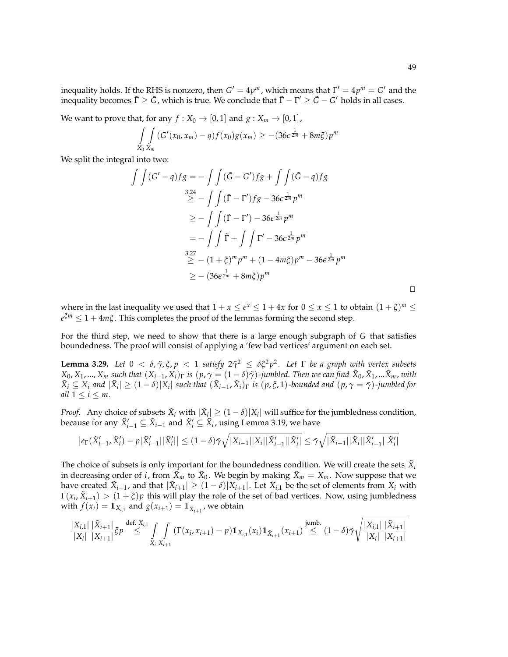inequality holds. If the RHS is nonzero, then  $G' = 4p^m$ , which means that  $\Gamma' = 4p^m = G'$  and the inequality becomes  $\tilde{\Gamma} \geq \tilde{G}$ , which is true. We conclude that  $\tilde{\Gamma} - \Gamma' \geq \tilde{G} - G'$  holds in all cases.

We want to prove that, for any  $f: X_0 \to [0,1]$  and  $g: X_m \to [0,1]$ ,

$$
\int\limits_{X_0} \int\limits_{X_m} (G'(x_0, x_m) - q) f(x_0) g(x_m) \geq -(36\epsilon^{\frac{1}{2m}} + 8m\xi) p^m
$$

We split the integral into two:

$$
\int \int (G'-q)fg = -\int \int (\tilde{G} - G')fg + \int \int (\tilde{G} - q)fg
$$
  
\n
$$
\geq -\int \int (\tilde{\Gamma} - \Gamma')fg - 36\epsilon^{\frac{1}{2m}}p^m
$$
  
\n
$$
\geq -\int \int (\tilde{\Gamma} - \Gamma') - 36\epsilon^{\frac{1}{2m}}p^m
$$
  
\n
$$
= -\int \int \tilde{\Gamma} + \int \int \Gamma' - 36\epsilon^{\frac{1}{2m}}p^m
$$
  
\n
$$
\geq - (1 + \xi)^m p^m + (1 - 4m\xi)p^m - 36\epsilon^{\frac{1}{2m}}p^m
$$
  
\n
$$
\geq - (36\epsilon^{\frac{1}{2m}} + 8m\xi)p^m
$$

where in the last inequality we used that  $1 + x \le e^x \le 1 + 4x$  for  $0 \le x \le 1$  to obtain  $(1 + \xi)^m \le$  $e^{\tilde{\zeta} m} \leq 1+4m\tilde{\zeta}$  . This completes the proof of the lemmas forming the second step.

For the third step, we need to show that there is a large enough subgraph of *G* that satisfies boundedness. The proof will consist of applying a 'few bad vertices' argument on each set.

<span id="page-56-0"></span>**Lemma 3.29.** Let  $0 < \delta$ ,  $\tilde{\gamma}$ ,  $\zeta$ ,  $p < 1$  satisfy  $2\tilde{\gamma}^2 \le \delta \tilde{\zeta}^2 p^2$ . Let  $\Gamma$  be a graph with vertex subsets  $X_0, X_1, ..., X_m$  such that  $(X_{i-1}, X_i)$ <sub> $\Gamma$ </sub> is  $(p, \gamma = (1-\delta)\tilde{\gamma})$ -jumbled. Then we can find  $\tilde{X}_0, \tilde{X}_1, ... \tilde{X}_m$ , with  $\tilde{X}_i\subseteq X_i$  and  $|\tilde{X}_i|\geq (1-\delta)|X_i|$  such that  $(\tilde{X}_{i-1},\tilde{X}_i)_{\Gamma}$  is  $(p,\xi,1)$ -bounded and  $(p,\gamma=\tilde{\gamma})$ -jumbled for *all*  $1 \leq i \leq m$ .

*Proof.* Any choice of subsets  $\tilde{X}_i$  with  $|\tilde{X}_i| \geq (1 - \delta)|X_i|$  will suffice for the jumbledness condition, because for any  $\tilde{X}'_{i-1} \subseteq \tilde{X}_{i-1}$  and  $\tilde{X}'_i \subseteq \tilde{X}_i$ , using Lemma [3.19,](#page-46-2) we have

$$
\left| e_{\Gamma}(\tilde{X}'_{i-1}, \tilde{X}'_i) - p|\tilde{X}'_{i-1}||\tilde{X}'_i|\right| \leq (1-\delta)\tilde{\gamma}\sqrt{|X_{i-1}||X_i||\tilde{X}'_{i-1}||\tilde{X}'_i|} \leq \tilde{\gamma}\sqrt{|\tilde{X}_{i-1}||\tilde{X}_i||\tilde{X}'_{i-1}||\tilde{X}'_i|}
$$

The choice of subsets is only important for the boundedness condition. We will create the sets  $\tilde{X}_i$ in decreasing order of *i*, from  $\tilde{X}_m$  to  $\tilde{X}_0$ . We begin by making  $\tilde{X}_m = X_m$ . Now suppose that we have created  $\tilde{X}_{i+1}$ , and that  $|\tilde{X}_{i+1}| \geq (1 - \delta)|X_{i+1}|$ . Let  $X_{i,1}$  be the set of elements from  $X_i$  with  $\Gamma(x_i, \tilde{X}_{i+1}) > (1+\xi)p$  this will play the role of the set of bad vertices. Now, using jumbledness with  $f(x_i) = 1_{X_{i,1}}$  and  $g(x_{i+1}) = 1_{\tilde{X}_{i+1}}$ , we obtain

$$
\frac{|X_{i,1}|}{|X_i|}\frac{|\tilde{X}_{i+1}|}{|X_{i+1}|}\xi p \stackrel{\text{def. } X_{i,1}}{\leq} \int\limits_{X_i} \int\limits_{X_{i+1}} (\Gamma(x_i,x_{i+1}) - p) \mathbb{1}_{X_{i,1}}(x_i) \mathbb{1}_{\tilde{X}_{i+1}}(x_{i+1}) \stackrel{\text{jumb.}}{\leq} (1-\delta) \tilde{\gamma} \sqrt{\frac{|X_{i,1}|}{|X_i|} \frac{|\tilde{X}_{i+1}|}{|X_{i+1}|}}
$$

 $\Box$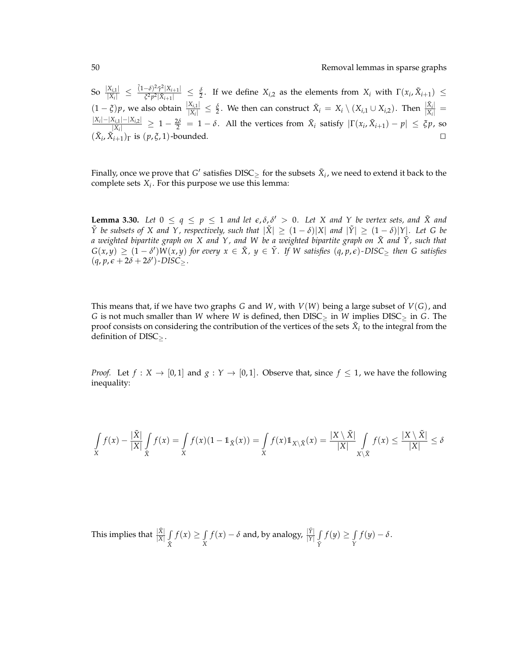$\text{So } \frac{|X_{i,1}|}{|X_i|} \leq \frac{(\tilde{1}-\delta)^2 \tilde{\gamma}^2 |X_{i+1}|}{\tilde{\zeta}^2 p^2 |\tilde{X}_{i+1}|}$  $\frac{\partial}{\partial \zeta^2} p^2 |\tilde{X}_{i+1}|$  ≤  $\frac{\delta}{2}$ . If we define *X*<sub>*i*,2</sub> as the elements from *X<sub>i</sub>* with Γ(*x<sub>i</sub>*,  $\tilde{X}_{i+1}$ ) ≤  $(1-\xi)p$ , we also obtain  $\frac{|X_{i,1}|}{|X_i|} \leq \frac{\delta}{2}$ . We then can construct  $\tilde{X}_i = X_i \setminus (X_{i,1} \cup X_{i,2})$ . Then  $\frac{|\tilde{X}_i|}{|X_i|}$  $\frac{|X_i|}{|X_i|} =$ |*X<sup>i</sup>* |−|*Xi*,1|−|*Xi*,2|  $\frac{|X_{i,1}|-|X_{i,2}|}{|X_i|} \geq 1-\frac{2\delta}{2} = 1-\delta$ . All the vertices from  $\tilde{X}_i$  satisfy  $|\Gamma(x_i, \tilde{X}_{i+1}) - p| \leq \xi p$ , so  $(\tilde{X}_i, \tilde{X}_{i+1})$ <sub>Γ</sub> is  $(p, \xi, 1)$ -bounded.  $\square$ 

Finally, once we prove that  $G'$  satisfies  $\text{DISC}_{\geq}$  for the subsets  $\tilde{X}_i$ , we need to extend it back to the complete sets *X<sup>i</sup>* . For this purpose we use this lemma:

<span id="page-57-0"></span>**Lemma 3.30.** Let  $0 \le q \le p \le 1$  and let  $\epsilon, \delta, \delta' > 0$ . Let X and Y be vertex sets, and  $\tilde{X}$  and  $\tilde{Y}$  be subsets of X and Y, respectively, such that  $|\tilde{X}|\geq (1-\delta)|X|$  and  $|\tilde{Y}|\geq (1-\delta)|Y|$ . Let G be *a weighted bipartite graph on X and Y, and W be a weighted bipartite graph on X and* ˜ *Y, such that* ˜  $G(x,y) \geq (1-\delta')W(x,y)$  for every  $x \in \tilde{X}$ ,  $y \in \tilde{Y}$ . If W satisfies  $(q, p, \epsilon)$ -DISC<sub>≥</sub> then G satisfies  $(q, p, \epsilon + 2\delta + 2\delta')$ -DISC<sub>≥</sub>.

This means that, if we have two graphs *G* and *W*, with *V*(*W*) being a large subset of *V*(*G*), and *G* is not much smaller than *W* where *W* is defined, then DISC≥ in *W* implies DISC≥ in *G*. The proof consists on considering the contribution of the vertices of the sets  $\tilde{X}_i$  to the integral from the definition of DISC>.

*Proof.* Let  $f: X \to [0,1]$  and  $g: Y \to [0,1]$ . Observe that, since  $f \leq 1$ , we have the following inequality:

$$
\int_{X} f(x) - \frac{|\tilde{X}|}{|X|} \int_{\tilde{X}} f(x) dx = \int_{X} f(x) (1 - \mathbb{1}_{\tilde{X}}(x)) = \int_{X} f(x) \mathbb{1}_{X \setminus \tilde{X}}(x) dx = \frac{|X \setminus \tilde{X}|}{|X|} \int_{X \setminus \tilde{X}} f(x) dx \le \frac{|X \setminus \tilde{X}|}{|X|} \le \delta
$$

This implies that  $\frac{|\tilde{X}|}{|X|} \int$ *X*˜  $f(x) \geq \int$ *X*  $f(x)-\delta$  and, by analogy,  $\frac{|\tilde{Y}|}{|Y|}\int\limits_{Y}$ *Y*˜  $f(y) \geq \int$ *Y*  $f(y) - \delta$ .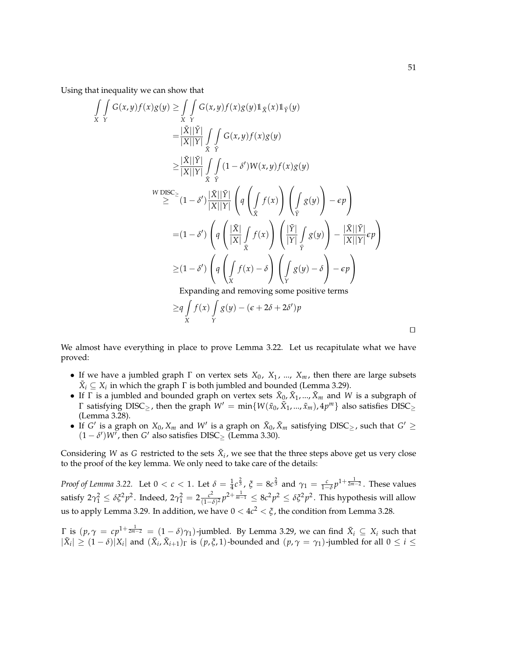Using that inequality we can show that

Z

$$
\iint_{X} G(x,y)f(x)g(y) \geq \iint_{X} G(x,y)f(x)g(y)1\bar{x}(x)1\bar{y}(y)
$$
\n
$$
= \frac{|\tilde{X}||\tilde{Y}|}{|X||Y|} \iint_{\tilde{X}} G(x,y)f(x)g(y)
$$
\n
$$
\geq \frac{|\tilde{X}||\tilde{Y}|}{|X||Y|} \int_{\tilde{X}} \int_{\tilde{Y}} (1-\delta')W(x,y)f(x)g(y)
$$
\n
$$
\leq \frac{|\tilde{X}||\tilde{Y}|}{|X||Y|} \left( q \left( \int_{\tilde{X}} f(x) \right) \left( \int_{\tilde{Y}} g(y) \right) - \epsilon p \right)
$$
\n
$$
= (1-\delta') \left( q \left( \frac{|\tilde{X}|}{|X|} \int_{\tilde{X}} f(x) \right) \left( \frac{|\tilde{Y}|}{|Y|} \int_{\tilde{Y}} g(y) \right) - \frac{|\tilde{X}||\tilde{Y}|}{|X||Y|} \epsilon p \right)
$$
\n
$$
\geq (1-\delta') \left( q \left( \int_{X} f(x) - \delta \right) \left( \int_{Y} g(y) - \delta \right) - \epsilon p \right)
$$
\nExpanding and removing some positive terms

$$
\geq q \int\limits_X f(x) \int\limits_Y g(y) - (\epsilon + 2\delta + 2\delta') p
$$

We almost have everything in place to prove Lemma [3.22.](#page-47-1) Let us recapitulate what we have proved:

- If we have a jumbled graph  $\Gamma$  on vertex sets  $X_0$ ,  $X_1$ , ...,  $X_m$ , then there are large subsets  $\tilde{X}_i \subseteq X_i$  in which the graph Γ is both jumbled and bounded (Lemma [3.29\)](#page-56-0).
- If Γ is a jumbled and bounded graph on vertex sets  $\tilde{X}_0$ ,  $\tilde{X}_1$ , ...,  $\tilde{X}_m$  and *W* is a subgraph of Γ satisfying DISC<sub>≥</sub>, then the graph  $W' = min\{W(\tilde{x}_0, \tilde{X}_1, ..., \tilde{x}_m), 4p^m\}$  also satisfies DISC<sub>≥</sub> (Lemma [3.28\)](#page-55-0).
- If *G'* is a graph on  $X_0$ ,  $X_m$  and *W'* is a graph on  $\tilde{X}_0$ ,  $\tilde{X}_m$  satisfying DISC<sub>≥</sub>, such that  $G' \geq$  $(1 - \delta')W'$ , then *G'* also satisfies DISC<sub>≥</sub> (Lemma [3.30\)](#page-57-0).

Considering W as G restricted to the sets  $\tilde{X}_i$ , we see that the three steps above get us very close to the proof of the key lemma. We only need to take care of the details:

*Proof of Lemma* [3.22.](#page-47-1) Let  $0 < c < 1$ . Let  $\delta = \frac{1}{4}c^{\frac{2}{3}}$ ,  $\xi = 8c^{\frac{2}{3}}$  and  $\gamma_1 = \frac{c}{1-\delta}p^{1+\frac{1}{2m-2}}$ . These values satisfy  $2\gamma_1^2 \le \delta \xi^2 p^2$ . Indeed,  $2\gamma_1^2 = 2 \frac{c^2}{(1-c)^2}$  $\frac{c^2}{(1-\delta)^2}p^{2+\frac{1}{m-1}}$  ≤  $8c^2p^2$  ≤  $\delta \xi^2p^2$ . This hypothesis will allow us to apply Lemma [3.29.](#page-56-0) In addition, we have  $0 < 4c^2 < \xi$ , the condition from Lemma [3.28.](#page-55-0)

 $\Gamma$  is  $(p, \gamma = c p^{1+\frac{1}{2m-2}} = (1-\delta)\gamma_1)$ -jumbled. By Lemma [3.29,](#page-56-0) we can find  $\tilde{X}_i \subseteq X_i$  such that  $|\tilde{X}_i| \geq (1-\delta)|X_i|$  and  $(\tilde{X}_i, \tilde{X}_{i+1})$ <sub>I</sub> is  $(p, \xi, 1)$ -bounded and  $(p, \gamma = \gamma_1)$ -jumbled for all  $0 \leq i \leq$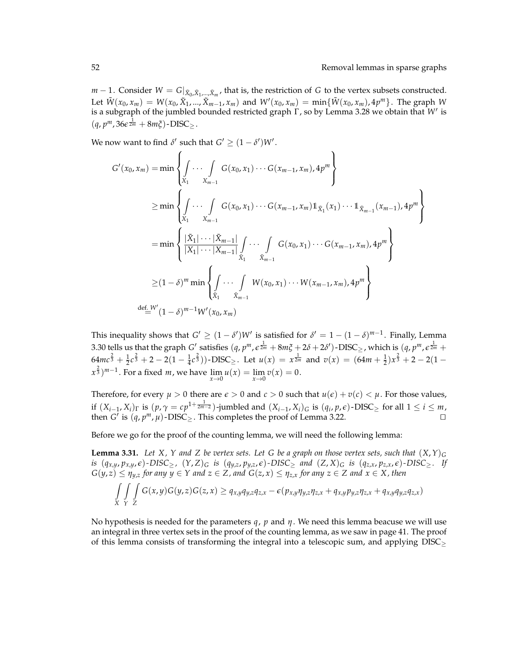*m* − 1. Consider  $W = G|_{\tilde{X}_0, \tilde{X}_1, ..., \tilde{X}_m}$ , that is, the restriction of *G* to the vertex subsets constructed. Let  $\tilde{W}(x_0, x_m) = W(x_0, \tilde{X}_1, ..., \tilde{X}_{m-1}, x_m)$  and  $W'(x_0, x_m) = \min{\{\tilde{W}(x_0, x_m), 4p^m\}}$ . The graph W is a subgraph of the jumbled bounded restricted graph Γ, so by Lemma [3.28](#page-55-0) we obtain that *W'* is  $(q, p^m, 36\epsilon^{\frac{1}{2m}} + 8m\zeta)$ -DISC<sub>≥</sub>.

We now want to find  $\delta'$  such that  $G' \geq (1 - \delta')W'$ .

$$
G'(x_0, x_m) = \min \left\{ \int_{X_1} \cdots \int_{X_{m-1}} G(x_0, x_1) \cdots G(x_{m-1}, x_m), 4p^m \right\}
$$
  
\n
$$
\geq \min \left\{ \int_{X_1} \cdots \int_{X_{m-1}} G(x_0, x_1) \cdots G(x_{m-1}, x_m) 1_{\tilde{X}_1}(x_1) \cdots 1_{\tilde{X}_{m-1}}(x_{m-1}), 4p^m \right\}
$$
  
\n
$$
= \min \left\{ \frac{|\tilde{X}_1| \cdots |\tilde{X}_{m-1}|}{|X_1| \cdots |X_{m-1}|} \int_{\tilde{X}_1} \cdots \int_{\tilde{X}_{m-1}} G(x_0, x_1) \cdots G(x_{m-1}, x_m), 4p^m \right\}
$$
  
\n
$$
\geq (1 - \delta)^m \min \left\{ \int_{\tilde{X}_1} \cdots \int_{\tilde{X}_{m-1}} W(x_0, x_1) \cdots W(x_{m-1}, x_m), 4p^m \right\}
$$
  
\n
$$
\stackrel{\text{def. } W'}{=} (1 - \delta)^{m-1} W'(x_0, x_m)
$$

This inequality shows that  $G' \geq (1 - \delta')W'$  is satisfied for  $\delta' = 1 - (1 - \delta)^{m-1}$ . Finally, Lemma [3.30](#page-57-0) tells us that the graph  $G'$  satisfies  $(q,p^m,\epsilon^{\frac{1}{2m}}+8m\xi+2\delta+2\delta')$ -DISC $_\geq$  , which is  $(q,p^m,\epsilon^{\frac{1}{2m}}+2\delta')$  $64mc^{\frac{2}{3}} + \frac{1}{2}c^{\frac{2}{3}} + 2 - 2(1 - \frac{1}{4}c^{\frac{2}{3}}))$ -DISC<sub>2</sub>. Let  $u(x) = x^{\frac{1}{2m}}$  and  $v(x) = (64m + \frac{1}{2})x^{\frac{2}{3}} + 2 - 2(1 - \frac{1}{2})x^{\frac{2}{3}}$  $x^{\frac{2}{3}}$ )<sup>*m*−1</sup>. For a fixed *m*, we have  $\lim_{x \to 0} u(x) = \lim_{x \to 0} v(x) = 0$ .

Therefore, for every  $\mu > 0$  there are  $\epsilon > 0$  and  $c > 0$  such that  $u(\epsilon) + v(c) < \mu$ . For those values, if  $(X_{i-1}, X_i)_{\Gamma}$  is  $(p, \gamma = cp^{1+\frac{1}{2m-2}})$ -jumbled and  $(X_{i-1}, X_i)_{G}$  is  $(q_i, p, \epsilon)$ -DISC<sub>2</sub> for all  $1 \leq i \leq m$ , then *G'* is  $(q, p^m, \mu)$ -DISC<sub>≥</sub>. This completes the proof of Lemma [3.22.](#page-47-1)

Before we go for the proof of the counting lemma, we will need the following lemma:

<span id="page-59-0"></span>**Lemma 3.31.** Let X, Y and Z be vertex sets. Let G be a graph on those vertex sets, such that  $(X, Y)$ <sub>G</sub> is  $(q_{x,y},p_{x,y},\epsilon)$ -DISC<sub> $\geq$ </sub>,  $(Y,Z)_G$  is  $(q_{y,z},p_{y,z},\epsilon)$ -DISC $\geq$  and  $(Z,X)_G$  is  $(q_{z,x},p_{z,x},\epsilon)$ -DISC $\geq$ . If  $G(y, z) \leq \eta_{y, z}$  for any  $y \in Y$  and  $z \in Z$ , and  $G(z, x) \leq \eta_{z, x}$  for any  $z \in Z$  and  $x \in X$ , then

$$
\iint\limits_X \int\limits_Y \int\limits_Z G(x,y)G(y,z)G(z,x) \geq q_{x,y}q_{y,z}q_{z,x} - \epsilon(p_{x,y}\eta_{y,z}\eta_{z,x} + q_{x,y}p_{y,z}\eta_{z,x} + q_{x,y}q_{y,z}q_{z,x})
$$

No hypothesis is needed for the parameters  $q$ ,  $p$  and  $\eta$ . We need this lemma beacuse we will use an integral in three vertex sets in the proof of the counting lemma, as we saw in page [41.](#page-47-1) The proof of this lemma consists of transforming the integral into a telescopic sum, and applying DISC≥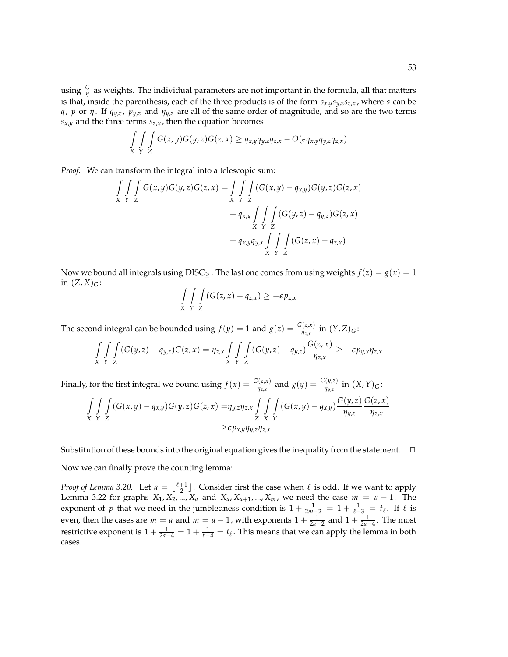using  $\frac{G}{\eta}$  as weights. The individual parameters are not important in the formula, all that matters is that, inside the parenthesis, each of the three products is of the form *sx*,*ysy*,*zsz*,*<sup>x</sup>* , where *s* can be *q*, *p* or *η*. If *qy*,*<sup>z</sup>* , *py*,*<sup>z</sup>* and *ηy*,*<sup>z</sup>* are all of the same order of magnitude, and so are the two terms  $s_{x,y}$  and the three terms  $s_{z,x}$ , then the equation becomes

$$
\iint\limits_X \int\limits_Y \int\limits_Z G(x,y)G(y,z)G(z,x) \geq q_{x,y}q_{y,z}q_{z,x} - O(\epsilon q_{x,y}q_{y,z}q_{z,x})
$$

*Proof.* We can transform the integral into a telescopic sum:

$$
\iint\limits_{X} \iint\limits_{Y} G(x,y)G(y,z)G(z,x) = \iint\limits_{X} \iint\limits_{Y} (G(x,y) - q_{x,y})G(y,z)G(z,x)
$$

$$
+ q_{x,y} \iint\limits_{X} \iint\limits_{Y} (G(y,z) - q_{y,z})G(z,x)
$$

$$
+ q_{x,y}q_{y,x} \iint\limits_{X} \iint\limits_{Y} (G(z,x) - q_{z,x})
$$

Now we bound all integrals using DISC $\geq$ . The last one comes from using weights  $f(z) = g(x) = 1$ in  $(Z, X)_G$ :

$$
\int\limits_X \int\limits_Y \int\limits_Z (G(z,x) - q_{z,x}) \geq -\epsilon p_{z,x}
$$

The second integral can be bounded using  $f(y) = 1$  and  $g(z) = \frac{G(z, x)}{\eta_{z, x}}$  in  $(Y, Z)$ <sub>*G*</sub>:

$$
\int\limits_X \int\limits_Y \int\limits_Z (G(y,z) - q_{y,z})G(z,x) = \eta_{z,x} \int\limits_X \int\limits_Y \int\limits_Z (G(y,z) - q_{y,z}) \frac{G(z,x)}{\eta_{z,x}} \ge -\epsilon p_{y,x} \eta_{z,x}
$$

Finally, for the first integral we bound using  $f(x) = \frac{G(z,x)}{\eta_{z,x}}$  and  $g(y) = \frac{G(y,z)}{\eta_{y,z}}$  in  $(X,Y)_G$ :

$$
\iint\limits_{X \ Y} \int\limits_{Z} (G(x,y) - q_{x,y}) G(y,z) G(z,x) = \eta_{y,z} \eta_{z,x} \iint\limits_{Z \ X} \int\limits_{Y} (G(x,y) - q_{x,y}) \frac{G(y,z)}{\eta_{y,z}} \frac{G(z,x)}{\eta_{z,x}} \newline \ge \epsilon p_{x,y} \eta_{y,z} \eta_{z,x}
$$

Substitution of these bounds into the original equation gives the inequality from the statement.  $\square$ 

Now we can finally prove the counting lemma:

*Proof of Lemma* [3.20.](#page-47-0) Let  $a = \lfloor \frac{\ell+1}{2} \rfloor$ . Consider first the case when  $\ell$  is odd. If we want to apply Lemma [3.22](#page-47-1) for graphs  $X_1, X_2, ..., X_a$  and  $X_a, X_{a+1}, ..., X_m$ , we need the case  $m = a - 1$ . The exponent of *p* that we need in the jumbledness condition is  $1 + \frac{1}{2m-2} = 1 + \frac{1}{\ell-3} = t_{\ell}$ . If  $\ell$  is even, then the cases are  $m = a$  and  $m = a - 1$ , with exponents  $1 + \frac{1}{2a-2}$  and  $1 + \frac{1}{2a-4}$ . The most restrictive exponent is  $1 + \frac{1}{2a-4} = 1 + \frac{1}{\ell-4} = t_{\ell}$ . This means that we can apply the lemma in both cases.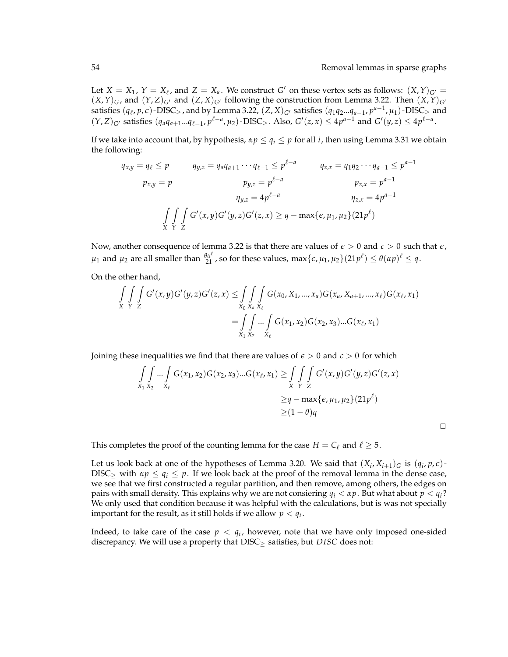*a*−1

 $\Box$ 

Let  $X = X_1$ ,  $Y = X_\ell$ , and  $Z = X_a$ . We construct  $G'$  on these vertex sets as follows:  $(X,Y)_{G'} =$  $(X,Y)_G$ , and  $(Y,Z)_{G}$  and  $(Z,X)_{G}$  following the construction from Lemma [3.22.](#page-47-1) Then  $(X,Y)_{G}$ satisfies  $(q_\ell, p, \epsilon)$ -DISC $_\ge$ , and by Lemma [3.22,](#page-47-1)  $(Z, X)_{G'}$  satisfies  $(q_1q_2...q_{a-1}, p^{a-1}, \mu_1)$ -DISC $_\geq$  and  $(Y,Z)_{G'}$  satisfies  $(q_aq_{a+1}...q_{\ell-1},p^{\ell-a},\mu_2)$ -DISC $\geq$ . Also,  $G'(z,x) \leq 4p^{a-1}$  and  $G'(y,z) \leq 4p^{\ell-a}$ .

If we take into account that, by hypothesis,  $\alpha p \leq q_i \leq p$  for all *i*, then using Lemma [3.31](#page-59-0) we obtain the following:

$$
q_{x,y} = q_{\ell} \le p \qquad q_{y,z} = q_a q_{a+1} \cdots q_{\ell-1} \le p^{\ell-a} \qquad q_{z,x} = q_1 q_2 \cdots q_{a-1} \le p^{a-1}
$$
  
\n
$$
p_{x,y} = p \qquad p_{y,z} = p^{\ell-a} \qquad p_{z,x} = p^{a-1}
$$
  
\n
$$
\iiint\limits_X \int\limits_Y G'(x,y)G'(y,z)G'(z,x) \ge q - \max\{\epsilon, \mu_1, \mu_2\}(21p^{\ell})
$$

Now, another consequence of lemma [3.22](#page-47-1) is that there are values of  $\epsilon > 0$  and  $c > 0$  such that  $\epsilon$ ,  $\mu_1$  and  $\mu_2$  are all smaller than  $\frac{\theta \alpha^{\ell}}{21}$ , so for these values, max $\{\epsilon, \mu_1, \mu_2\}(21p^{\ell}) \leq \theta(\alpha p)^{\ell} \leq q$ .

On the other hand,

$$
\iint_{X} \iint_{Y} G'(x,y)G'(y,z)G'(z,x) \leq \iint_{X_0} \iint_{X_a} G(x_0,X_1,...,x_a)G(x_a,X_{a+1},...,x_\ell)G(x_\ell,x_1)
$$
  
= 
$$
\iint_{X_1} \iint_{X_2} G(x_1,x_2)G(x_2,x_3)...G(x_\ell,x_1)
$$

Joining these inequalities we find that there are values of  $\epsilon > 0$  and  $c > 0$  for which

$$
\iint\limits_{X_1} \iint\limits_{X_2} \cdots \iint\limits_{X_\ell} G(x_1, x_2) G(x_2, x_3) \dots G(x_\ell, x_1) \ge \iint\limits_{X} \iint\limits_{Y} G'(x, y) G'(y, z) G'(z, x)
$$
  
\n
$$
\ge q - \max\{\epsilon, \mu_1, \mu_2\}(21p^\ell)
$$
  
\n
$$
\ge (1 - \theta)q
$$

This completes the proof of the counting lemma for the case  $H = C_\ell$  and  $\ell \geq 5$ .

Let us look back at one of the hypotheses of Lemma [3.20.](#page-47-0) We said that  $(X_i, X_{i+1})_G$  is  $(q_i, p, \epsilon)$ - $DISC<sub>≥</sub>$  with  $\alpha p \leq q_i \leq p$ . If we look back at the proof of the removal lemma in the dense case, we see that we first constructed a regular partition, and then remove, among others, the edges on pairs with small density. This explains why we are not consiering  $q_i < \alpha p$ . But what about  $p < q_i$ ? We only used that condition because it was helpful with the calculations, but is was not specially important for the result, as it still holds if we allow  $p < q_i$ .

Indeed, to take care of the case  $p < q_i$ , however, note that we have only imposed one-sided discrepancy. We will use a property that DISC≥ satisfies, but *D ISC* does not: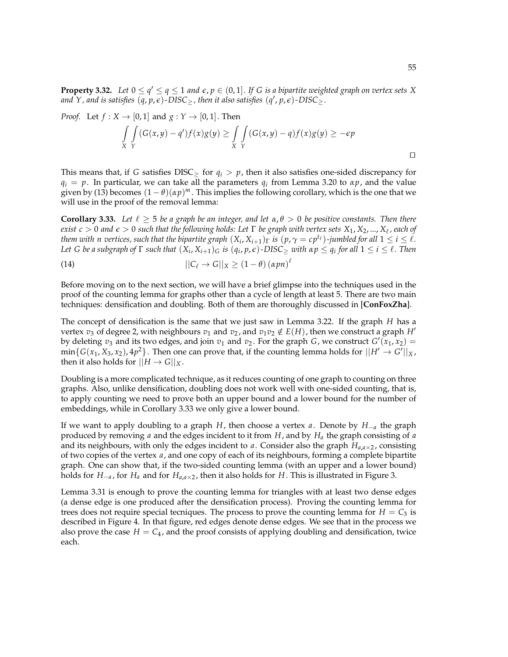**Property 3.32.** Let  $0 \le q' \le q \le 1$  and  $\epsilon, p \in (0, 1]$ . If G is a bipartite weighted graph on vertex sets X and  $Y$  , and is satisfies  $(q, p, \epsilon)$  -DISC $_{\geq}$  , then it also satisfies  $(q', p, \epsilon)$ -DISC $_{\geq}$  .

*Proof.* Let  $f: X \to [0,1]$  and  $g: Y \to [0,1]$ . Then

$$
\int_{X} \int_{Y} (G(x,y) - q') f(x) g(y) \ge \int_{X} \int_{Y} (G(x,y) - q) f(x) g(y) \ge -\epsilon p
$$

This means that, if *G* satisfies DISC> for  $q_i > p$ , then it also satisfies one-sided discrepancy for  $q_i = p$ . In particular, we can take all the parameters  $q_i$  from Lemma [3.20](#page-47-0) to  $\alpha p$ , and the value given by [\(13\)](#page-47-2) becomes  $(1 - \theta)(\alpha p)^m$ . This implies the following corollary, which is the one that we will use in the proof of the removal lemma:

<span id="page-62-0"></span>**Corollary 3.33.** *Let*  $\ell \geq 5$  *be a graph be an integer, and let*  $\alpha, \theta > 0$  *be positive constants. Then there exist c* > 0 *and e* > 0 *such that the following holds: Let* Γ *be graph with vertex sets X*1, *X*2, ..., *X*` *, each of them with n vertices, such that the bipartite graph*  $(X_i, X_{i+1})_\Gamma$  *is*  $(p, \gamma = c p^{t_\ell})$ *-jumbled for all*  $1 \leq i \leq \ell$ *.* Let G be a subgraph of  $\Gamma$  such that  $(X_i,X_{i+1})_G$  is  $(q_i,p,\epsilon)$ -DISC $_\geq$  with  $\alpha p\leq q_i$  for all  $1\leq i\leq \ell$ . Then

(14) 
$$
||C_{\ell} \rightarrow G||_{X} \ge (1 - \theta) (\alpha pn)^{\ell}
$$

Before moving on to the next section, we will have a brief glimpse into the techniques used in the proof of the counting lemma for graphs other than a cycle of length at least 5. There are two main techniques: densification and doubling. Both of them are thoroughly discussed in [**ConFoxZha**].

The concept of densification is the same that we just saw in Lemma [3.22.](#page-47-1) If the graph *H* has a vertex  $v_3$  of degree 2, with neighbours  $v_1$  and  $v_2$ , and  $v_1v_2 \notin E(H)$ , then we construct a graph  $H'$ by deleting  $v_3$  and its two edges, and join  $v_1$  and  $v_2$ . For the graph *G*, we construct  $G'(x_1, x_2) =$  $\min\{G(x_1, X_3, x_2), 4p^2\}$ . Then one can prove that, if the counting lemma holds for  $||H' \to G'||_X$ , then it also holds for  $||H \rightarrow G||_X$ .

Doubling is a more complicated technique, as it reduces counting of one graph to counting on three graphs. Also, unlike densification, doubling does not work well with one-sided counting, that is, to apply counting we need to prove both an upper bound and a lower bound for the number of embeddings, while in Corollary [3.33](#page-62-0) we only give a lower bound.

If we want to apply doubling to a graph *H*, then choose a vertex *a*. Denote by *H*−*<sup>a</sup>* the graph produced by removing *a* and the edges incident to it from *H*, and by *H<sup>a</sup>* the graph consisting of *a* and its neighbours, with only the edges incident to *a*. Consider also the graph *Ha*,*a*×<sup>2</sup> , consisting of two copies of the vertex *a*, and one copy of each of its neighbours, forming a complete bipartite graph. One can show that, if the two-sided counting lemma (with an upper and a lower bound) holds for  $H_{-a}$ , for  $H_a$  and for  $H_{a,a\times 2}$ , then it also holds for *H*. This is illustrated in Figure [3.](#page-63-2)

Lemma [3.31](#page-59-0) is enough to prove the counting lemma for triangles with at least two dense edges (a dense edge is one produced after the densification process). Proving the counting lemma for trees does not require special tecniques. The process to prove the counting lemma for  $H = C_3$  is described in Figure [4.](#page-63-3) In that figure, red edges denote dense edges. We see that in the process we also prove the case  $H = C_4$ , and the proof consists of applying doubling and densification, twice each.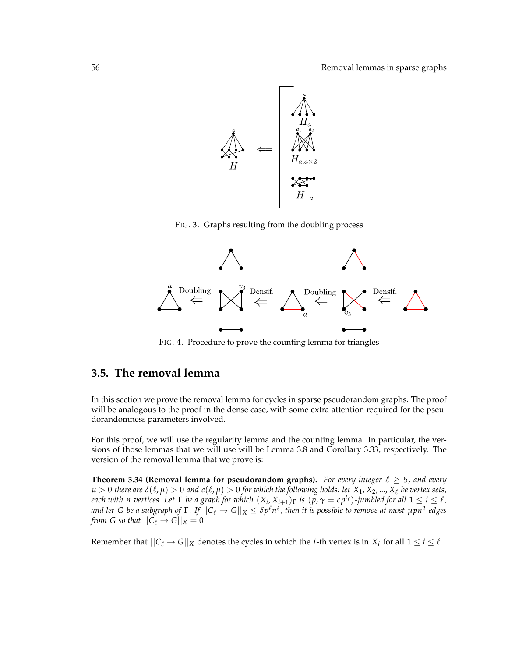<span id="page-63-2"></span>56 Removal lemmas in sparse graphs



FIG. 3. Graphs resulting from the doubling process

<span id="page-63-3"></span>

FIG. 4. Procedure to prove the counting lemma for triangles

#### <span id="page-63-0"></span>**3.5. The removal lemma**

In this section we prove the removal lemma for cycles in sparse pseudorandom graphs. The proof will be analogous to the proof in the dense case, with some extra attention required for the pseudorandomness parameters involved.

For this proof, we will use the regularity lemma and the counting lemma. In particular, the versions of those lemmas that we will use will be Lemma [3.8](#page-33-2) and Corollary [3.33,](#page-62-0) respectively. The version of the removal lemma that we prove is:

<span id="page-63-1"></span>**Theorem 3.34 (Removal lemma for pseudorandom graphs).** *For every integer*  $\ell \geq 5$ , and every  $\mu > 0$  *there are*  $\delta(\ell, \mu) > 0$  *and*  $c(\ell, \mu) > 0$  *for which the following holds: let*  $X_1, X_2, ..., X_\ell$  *be vertex sets, each with n vertices. Let*  $\Gamma$  *be a graph for which*  $(X_i, X_{i+1})_\Gamma$  *is*  $(p, \gamma = c p^{t_\ell})$ -jumbled for all  $1 \leq i \leq \ell$ , *and let G be a subgraph of*  $\Gamma$ *. If*  $||C_\ell \to G||_X \leq \delta p^\ell n^\ell$ *, then it is possible to remove at most*  $\mu pn^2$  *edges from G* so that  $\left|\left|C_{\ell} \to G\right|\right|_X = 0$ .

Remember that  $||C_\ell \to G||_X$  denotes the cycles in which the *i*-th vertex is in  $X_i$  for all  $1 \leq i \leq \ell$ .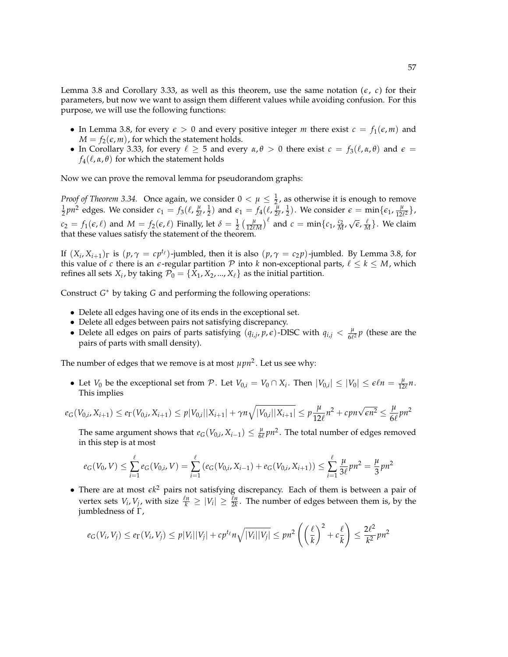Lemma [3.8](#page-33-2) and Corollary [3.33,](#page-62-0) as well as this theorem, use the same notation  $(\epsilon, c)$  for their parameters, but now we want to assign them different values while avoiding confusion. For this purpose, we will use the following functions:

- In Lemma [3.8,](#page-33-2) for every  $\epsilon > 0$  and every positive integer *m* there exist  $c = f_1(\epsilon, m)$  and  $M = f_2(\epsilon, m)$ , for which the statement holds.
- In Corollary [3.33,](#page-62-0) for every  $\ell \geq 5$  and every  $\alpha, \theta > 0$  there exist  $c = f_3(\ell, \alpha, \theta)$  and  $\epsilon =$  $f_4(\ell, \alpha, \theta)$  for which the statement holds

Now we can prove the removal lemma for pseudorandom graphs:

*Proof of Theorem [3.34.](#page-63-1)* Once again, we consider  $0 < \mu \leq \frac{1}{2}$ , as otherwise it is enough to remove  $\frac{1}{2}pn^2$  edges. We consider  $c_1 = f_3(\ell, \frac{\mu}{2\ell}, \frac{1}{2})$  and  $\epsilon_1 = f_4(\ell, \frac{\mu}{2\ell}, \frac{1}{2})$ . We consider  $\epsilon = \min\{\epsilon_1, \frac{\mu}{12\ell}\}$  $\frac{\mu}{12\ell^2}\}$ ,  $c_2 = f_1(\epsilon, \ell)$  and  $M = f_2(\epsilon, \ell)$  Finally, let  $\delta = \frac{1}{2} \left(\frac{\mu}{12\ell M}\right)^{\ell}$  and  $c = \min\{c_1, \frac{c_2}{M}$ , √  $\overline{\epsilon}$ ,  $\frac{\ell}{M}$  }. We claim that these values satisfy the statement of the theorem.

If  $(X_i, X_{i+1})$ <sub>I</sub> is  $(p, \gamma = cp^{t_\ell})$ -jumbled, then it is also  $(p, \gamma = c_2 p)$ -jumbled. By Lemma [3.8,](#page-33-2) for this value of *c* there is an *e*-regular partition  $P$  into *k* non-exceptional parts,  $\ell \leq k \leq M$ , which refines all sets  $X_i$ , by taking  $\mathcal{P}_0 = \{X_1, X_2, ..., X_\ell\}$  as the initial partition.

Construct *G* <sup>∗</sup> by taking *G* and performing the following operations:

- Delete all edges having one of its ends in the exceptional set.
- Delete all edges between pairs not satisfying discrepancy.
- Delete all edges on pairs of parts satisfying  $(q_{i,j}, p, \epsilon)$ -DISC with  $q_{i,j} < \frac{\mu}{6\ell}$  $\frac{\mu}{6\ell^2}$ *p* (these are the pairs of parts with small density).

The number of edges that we remove is at most  $\mu pn^2$ . Let us see why:

• Let  $V_0$  be the exceptional set from  $P$ . Let  $V_{0,i} = V_0 \cap X_i$ . Then  $|V_{0,i}| \leq |V_0| \leq \varepsilon \ell n = \frac{\mu}{12\ell} n$ . This implies

$$
e_G(V_{0,i}, X_{i+1}) \le e_T(V_{0,i}, X_{i+1}) \le p|V_{0,i}||X_{i+1}| + \gamma n \sqrt{|V_{0,i}||X_{i+1}|} \le p \frac{\mu}{12\ell} n^2 + c p n \sqrt{\epsilon n^2} \le \frac{\mu}{6\ell} p n^2
$$

The same argument shows that  $e_G(V_{0,i}, X_{i-1}) \leq \frac{\mu}{6\ell}pn^2$ . The total number of edges removed in this step is at most

$$
e_G(V_0,V) \le \sum_{i=1}^{\ell} e_G(V_{0,i},V) = \sum_{i=1}^{\ell} \left( e_G(V_{0,i},X_{i-1}) + e_G(V_{0,i},X_{i+1}) \right) \le \sum_{i=1}^{\ell} \frac{\mu}{3\ell} p n^2 = \frac{\mu}{3} p n^2
$$

• There are at most  $\epsilon k^2$  pairs not satisfying discrepancy. Each of them is between a pair of vertex sets  $V_i$ ,  $V_j$ , with size  $\frac{\ell n}{k} \geq |V_i| \geq \frac{\ell n}{2k}$ . The number of edges between them is, by the jumbledness of Γ,

$$
e_G(V_i,V_j) \leq e_{\Gamma}(V_i,V_j) \leq p|V_i||V_j| + cp^{t_{\ell}}n\sqrt{|V_i||V_j|} \leq pn^2\left(\left(\frac{\ell}{k}\right)^2 + c\frac{\ell}{k}\right) \leq \frac{2\ell^2}{k^2}pn^2
$$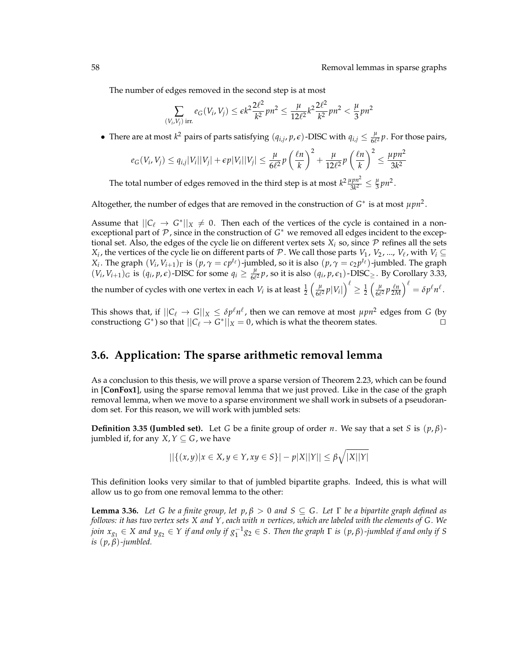The number of edges removed in the second step is at most

$$
\sum_{(V_i, V_j) \text{ irr.}} e_G(V_i, V_j) \le \epsilon k^2 \frac{2\ell^2}{k^2} p n^2 \le \frac{\mu}{12\ell^2} k^2 \frac{2\ell^2}{k^2} p n^2 < \frac{\mu}{3} p n^2
$$

• There are at most  $k^2$  pairs of parts satisfying  $(q_{i,j}, p, \epsilon)$ -DISC with  $q_{i,j} \leq \frac{\mu}{6\ell}$  $\frac{\mu}{6\ell^2}$ *p*. For those pairs,

$$
e_G(V_i,V_j) \le q_{i,j}|V_i||V_j| + \epsilon p|V_i||V_j| \le \frac{\mu}{6\ell^2}p\left(\frac{\ell n}{k}\right)^2 + \frac{\mu}{12\ell^2}p\left(\frac{\ell n}{k}\right)^2 \le \frac{\mu pn^2}{3k^2}
$$

The total number of edges removed in the third step is at most  $k^2 \frac{\mu p n^2}{3k^2} \leq \frac{\mu}{3}$ 3 *pn*<sup>2</sup> .

Altogether, the number of edges that are removed in the construction of  $G^*$  is at most  $\mu pn^2$ .

Assume that  $||C_\ell \to G^*||_X \neq 0$ . Then each of the vertices of the cycle is contained in a nonexceptional part of  $P$ , since in the construction of  $G^*$  we removed all edges incident to the exceptional set. Also, the edges of the cycle lie on different vertex sets  $X_i$  so, since  $P$  refines all the sets  $X_i$ , the vertices of the cycle lie on different parts of  $P$ . We call those parts  $V_1$ ,  $V_2$ , ...,  $V_\ell$ , with  $V_i \subseteq$ *X*<sub>i</sub>. The graph  $(V_i, V_{i+1})$ <sub> $\Gamma$ </sub> is  $(p, \gamma = cp^{t_{\ell}})$ -jumbled, so it is also  $(p, \gamma = c_2 p^{t_{\ell}})$ -jumbled. The graph  $(V_i, V_{i+1})_G$  is  $(q_i, p, \epsilon)$ -DISC for some  $q_i \ge \frac{\mu}{6\ell}$  $\frac{\mu}{6\ell^2}p$ , so it is also  $(q_i, p, \epsilon_1)$ -DISC<sub>≥</sub>. By Corollary [3.33,](#page-62-0) the number of cycles with one vertex in each  $V_i$  is at least  $\frac{1}{2} \left( \frac{\mu}{6\ell} \right)$  $\frac{\mu}{6\ell^2}p|V_i|\Big)^\ell\geq\frac{1}{2}\left(\frac{\mu}{6\ell^2}\right)$  $\frac{\mu}{6\ell^2}p\frac{\ell n}{2M}\Big)^\ell=\delta p^\ell n^\ell.$ 

This shows that, if  $||C_\ell \to G||_X \leq \delta p^\ell n^\ell$ , then we can remove at most  $\mu pn^2$  edges from  $G$  (by constructiong  $G^*$ ) so that  $||C_\ell \to G^*||_X = 0$ , which is what the theorem states.

#### <span id="page-65-0"></span>**3.6. Application: The sparse arithmetic removal lemma**

As a conclusion to this thesis, we will prove a sparse version of Theorem [2.23,](#page-26-1) which can be found in [**ConFox1**], using the sparse removal lemma that we just proved. Like in the case of the graph removal lemma, when we move to a sparse environment we shall work in subsets of a pseudorandom set. For this reason, we will work with jumbled sets:

**Definition 3.35 (Jumbled set).** Let *G* be a finite group of order *n*. We say that a set *S* is  $(p, \beta)$ jumbled if, for any  $X, Y \subseteq G$ , we have

$$
||\{(x,y)|x\in X, y\in Y, xy\in S\}|-p|X||Y||\leq \beta\sqrt{|X||Y|}
$$

This definition looks very similar to that of jumbled bipartite graphs. Indeed, this is what will allow us to go from one removal lemma to the other:

**Lemma 3.36.** *Let G be a finite group, let p*, *β* > 0 *and S* ⊆ *G. Let* Γ *be a bipartite graph defined as follows: it has two vertex sets X and Y, each with n vertices, which are labeled with the elements of G. We*  $j$ *oin*  $x_{g_1} \in X$  and  $y_{g_2} \in Y$  if and only if  $g_1^{-1}g_2 \in S$ . Then the graph  $\Gamma$  is  $(p, \beta)$ -jumbled if and only if  $S$ *is* (*p*, *β*)*-jumbled.*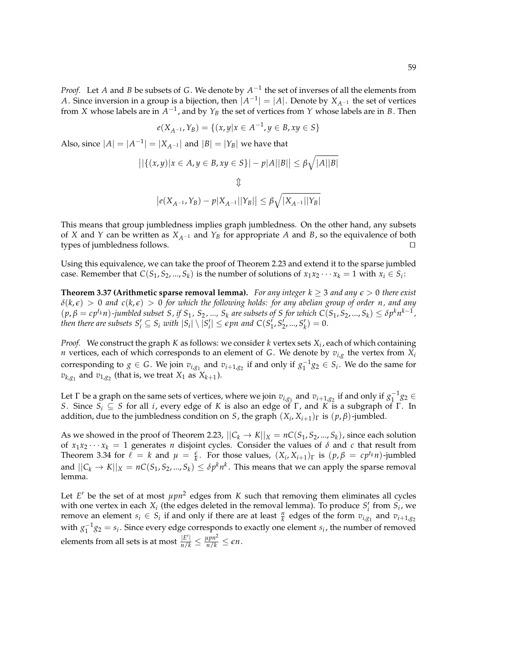*Proof.* Let *A* and *B* be subsets of *G*. We denote by  $A^{-1}$  the set of inverses of all the elements from *A*. Since inversion in a group is a bijection, then  $|A^{-1}| = |A|$ . Denote by  $X_{A^{-1}}$  the set of vertices from *X* whose labels are in  $A^{-1}$  , and by  $Y_B$  the set of vertices from *Y* whose labels are in *B* . Then

$$
e(X_{A^{-1}}, Y_B) = \{(x, y | x \in A^{-1}, y \in B, xy \in S\}
$$

Also, since  $|A| = |A^{-1}| = |X_{A^{-1}}|$  and  $|B| = |Y_B|$  we have that

$$
||\{(x,y)|x \in A, y \in B, xy \in S\}| - p|A||B|| \le \beta \sqrt{|A||B|}
$$
  

$$
\Downarrow
$$
  

$$
|e(X_{A^{-1}}, Y_B) - p|X_{A^{-1}}||Y_B|| \le \beta \sqrt{|X_{A^{-1}}||Y_B|}
$$

This means that group jumbledness implies graph jumbledness. On the other hand, any subsets of *X* and *Y* can be written as  $X_{A^{-1}}$  and  $Y_B$  for appropriate *A* and *B*, so the equivalence of both types of jumbledness follows. □ types of jumbledness follows.

Using this equivalence, we can take the proof of Theorem [2.23](#page-26-1) and extend it to the sparse jumbled case. Remember that  $C(S_1, S_2, ..., S_k)$  is the number of solutions of  $x_1x_2 \cdots x_k = 1$  with  $x_i \in S_i$ :

**Theorem 3.37 (Arithmetic sparse removal lemma).** *For any integer*  $k \geq 3$  *and any*  $\epsilon > 0$  *there exist δ*(*k*, *e*) > 0 *and c*(*k*, *e*) > 0 *for which the following holds: for any abelian group of order n, and any*  $(p, \beta = c p^{t_k} n)$ -jumbled subset S, if  $S_1$ ,  $S_2$ , ...,  $S_k$  are subsets of S for which  $C(S_1, S_2, ..., S_k) \leq \delta p^k n^{k-1}$ , *i then there are subsets*  $S'_i \subseteq S_i$  *<i>with*  $|S_i| \setminus |S'_i| \leq \epsilon$ *pn and*  $C(S'_1, S'_2, ..., S'_k) = 0$ .

*Proof.* We construct the graph *K* as follows: we consider *k* vertex sets *X<sup>i</sup>* , each of which containing *n* vertices, each of which corresponds to an element of *G*. We denote by *vi*,*<sup>g</sup>* the vertex from *X<sup>i</sup>* corresponding to  $g \in G$ . We join  $v_{i,g_1}$  and  $v_{i+1,g_2}$  if and only if  $g_1^{-1}g_2 \in S_i$ . We do the same for  $v_{k,g_1}$  and  $v_{1,g_2}$  (that is, we treat  $X_1$  as  $X_{k+1}$ ).

Let  $\Gamma$  be a graph on the same sets of vertices, where we join  $v_{i,g_1}$  and  $v_{i+1,g_2}$  if and only if  $g_1^{-1}g_2 \in$ *S*. Since *S<sup>i</sup>* ⊆ *S* for all *i*, every edge of *K* is also an edge of Γ, and *K* is a subgraph of Γ. In addition, due to the jumbledness condition on *S*, the graph  $(X_i, X_{i+1})$ <sub>r</sub> is  $(p, \beta)$ -jumbled.

As we showed in the proof of Theorem [2.23,](#page-26-1)  $||C_k \to K||_X = nC(S_1, S_2, ..., S_k)$ , since each solution of  $x_1x_2 \cdots x_k = 1$  generates *n* disjoint cycles. Consider the values of  $\delta$  and  $c$  that result from Theorem [3.34](#page-63-1) for  $\ell = k$  and  $\mu = \frac{\epsilon}{k}$ . For those values,  $(X_i, X_{i+1})$ <sub>Γ</sub> is  $(p, \beta = cp^{t_k}n)$ -jumbled and  $||C_k \to K||_X = nC(S_1, S_2, ..., S_k) \leq \delta p^k n^k$ . This means that we can apply the sparse removal lemma.

Let  $E'$  be the set of at most  $\mu pn^2$  edges from  $K$  such that removing them eliminates all cycles with one vertex in each  $X_i$  (the edges deleted in the removal lemma). To produce  $S_i'$  from  $S_i$ , we remove an element  $s_i \in S_i$  if and only if there are at least  $\frac{n}{k}$  edges of the form  $v_{i,g_1}$  and  $v_{i+1,g_2}$ with  $g_1^{-1}g_2 = s_i$ . Since every edge corresponds to exactly one element  $s_i$ , the number of removed elements from all sets is at most  $\frac{|E'|}{n/k} \leq \frac{\mu pn^2}{n/k} \leq \epsilon n$ .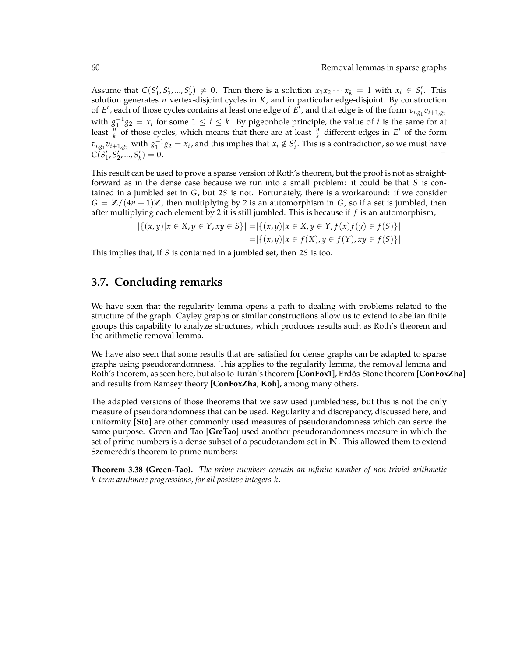Assume that  $C(S'_1, S'_2, ..., S'_k) \neq 0$ . Then there is a solution  $x_1x_2 \cdots x_k = 1$  with  $x_i \in S'_i$ . This Assume that  $C(\frac{3}{1}, \frac{3}{2}, ..., \frac{3}{k}) \neq 0$ . Then there is a solution  $\frac{3}{4}\frac{1}{2}, \cdots, \frac{3}{k} = 1$  with  $\frac{3}{4} \in \frac{3}{i}$ . This solution generates *n* vertex-disjoint cycles in *K*, and in particular edge-disjoint. By co of *E'*, each of those cycles contains at least one edge of  $E'$ , and that edge is of the form  $v_{i,g_1}v_{i+1,g_2}$ with  $g_1^{-1}g_2 = x_i$  for some  $1 \le i \le k$ . By pigeonhole principle, the value of *i* is the same for at least  $\frac{n}{k}$  of those cycles, which means that there are at least  $\frac{n}{k}$  different edges in *E'* of the form  $v_{i,g_1}v_{i+1,g_2}$  with  $g_1^{-1}g_2 = x_i$ , and this implies that  $x_i \notin S'_i$ . This is a contradiction, so we must have  $C(S_1', S_2', ..., S_k')$  $) = 0.$ 

This result can be used to prove a sparse version of Roth's theorem, but the proof is not as straightforward as in the dense case because we run into a small problem: it could be that *S* is contained in a jumbled set in *G*, but 2*S* is not. Fortunately, there is a workaround: if we consider  $G = \mathbb{Z}/(4n+1)\mathbb{Z}$ , then multiplying by 2 is an automorphism in *G*, so if a set is jumbled, then after multiplying each element by 2 it is still jumbled. This is because if *f* is an automorphism,

$$
|\{(x,y)|x \in X, y \in Y, xy \in S\}| = |\{(x,y)|x \in X, y \in Y, f(x)f(y) \in f(S)\}|
$$
  
= |\{(x,y)|x \in f(X), y \in f(Y), xy \in f(S)\}|

This implies that, if *S* is contained in a jumbled set, then 2*S* is too.

#### <span id="page-67-0"></span>**3.7. Concluding remarks**

We have seen that the regularity lemma opens a path to dealing with problems related to the structure of the graph. Cayley graphs or similar constructions allow us to extend to abelian finite groups this capability to analyze structures, which produces results such as Roth's theorem and the arithmetic removal lemma.

We have also seen that some results that are satisfied for dense graphs can be adapted to sparse graphs using pseudorandomness. This applies to the regularity lemma, the removal lemma and Roth's theorem, as seen here, but also to Turán's theorem [**ConFox1**], Erdős-Stone theorem [**ConFoxZha**] and results from Ramsey theory [**ConFoxZha**, **Koh**], among many others.

The adapted versions of those theorems that we saw used jumbledness, but this is not the only measure of pseudorandomness that can be used. Regularity and discrepancy, discussed here, and uniformity [**Sto**] are other commonly used measures of pseudorandomness which can serve the same purpose. Green and Tao [**GreTao**] used another pseudorandomness measure in which the set of prime numbers is a dense subset of a pseudorandom set in **N**. This allowed them to extend Szemerédi's theorem to prime numbers:

**Theorem 3.38 (Green-Tao).** *The prime numbers contain an infinite number of non-trivial arithmetic k -term arithmeic progressions, for all positive integers k.*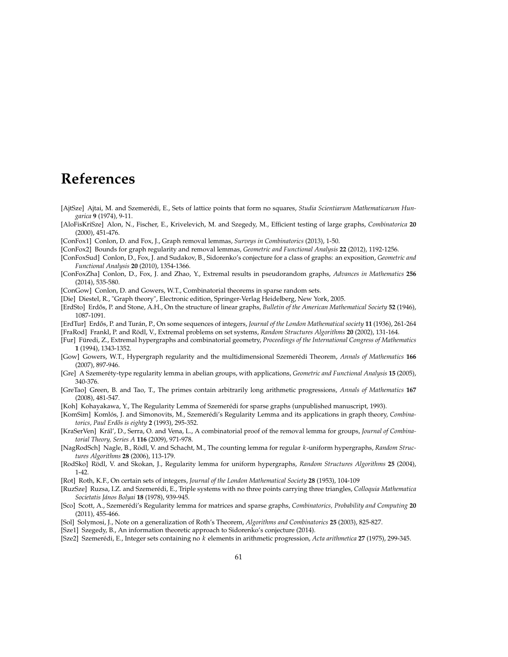### <span id="page-68-0"></span>**References**

- [AjtSze] Ajtai, M. and Szemerédi, E., Sets of lattice points that form no squares, *Studia Scientiarum Mathematicarum Hungarica* **9** (1974), 9-11.
- [AloFisKriSze] Alon, N., Fischer, E., Krivelevich, M. and Szegedy, M., Efficient testing of large graphs, *Combinatorica* **20** (2000), 451-476.
- [ConFox1] Conlon, D. and Fox, J., Graph removal lemmas, *Surveys in Combinatorics* (2013), 1-50.
- [ConFox2] Bounds for graph regularity and removal lemmas, *Geometric and Functional Analysis* **22** (2012), 1192-1256.
- [ConFoxSud] Conlon, D., Fox, J. and Sudakov, B., Sidorenko's conjecture for a class of graphs: an exposition, *Geometric and Functional Analysis* **20** (2010), 1354-1366.
- [ConFoxZha] Conlon, D., Fox, J. and Zhao, Y., Extremal results in pseudorandom graphs, *Advances in Mathematics* **256** (2014), 535-580.
- [ConGow] Conlon, D. and Gowers, W.T., Combinatorial theorems in sparse random sets.
- [Die] Diestel, R., "Graph theory", Electronic edition, Springer-Verlag Heidelberg, New York, 2005.
- [ErdSto] Erd˝os, P. and Stone, A.H., On the structure of linear graphs, *Bulletin of the American Mathematical Society* **52** (1946), 1087-1091.
- [ErdTur] Erd˝os, P. and Turán, P., On some sequences of integers, *Journal of the London Mathematical society* **11** (1936), 261-264 [FraRod] Frankl, P. and Rödl, V., Extremal problems on set systems, *Random Structures Algorithms* **20** (2002), 131-164.
- [Fur] Füredi, Z., Extremal hypergraphs and combinatorial geometry, *Proceedings of the International Congress of Mathematics*
- **1** (1994), 1343-1352.
- [Gow] Gowers, W.T., Hypergraph regularity and the multidimensional Szemerédi Theorem, *Annals of Mathematics* **166** (2007), 897-946.
- [Gre] A Szemeréty-type regularity lemma in abelian groups, with applications, *Geometric and Functional Analysis* **15** (2005), 340-376.
- [GreTao] Green, B. and Tao, T., The primes contain arbitrarily long arithmetic progressions, *Annals of Mathematics* **167** (2008), 481-547.
- [Koh] Kohayakawa, Y., The Regularity Lemma of Szemerédi for sparse graphs (unpublished manuscript, 1993).
- [KomSim] Komlós, J. and Simonovits, M., Szemerédi's Regularity Lemma and its applications in graph theory, *Combinatorics, Paul Erd˝os is eighty* **2** (1993), 295-352.
- [KraSerVen] Král', D., Serra, O. and Vena, L., A combinatorial proof of the removal lemma for groups, *Journal of Combinatorial Theory, Series A* **116** (2009), 971-978.
- [NagRodSch] Nagle, B., Rödl, V. and Schacht, M., The counting lemma for regular *k* -uniform hypergraphs, *Random Structures Algorithms* **28** (2006), 113-179.
- [RodSko] Rödl, V. and Skokan, J., Regularity lemma for uniform hypergraphs, *Random Structures Algorithms* **25** (2004), 1-42.
- [Rot] Roth, K.F., On certain sets of integers, *Journal of the London Mathematical Society* **28** (1953), 104-109
- [RuzSze] Ruzsa, I.Z. and Szemerédi, E., Triple systems with no three points carrying three triangles, *Colloquia Mathematica Societatis János Bolyai* **18** (1978), 939-945.
- [Sco] Scott, A., Szemerédi's Regularity lemma for matrices and sparse graphs, *Combinatorics, Probability and Computing* **20** (2011), 455-466.
- [Sol] Solymosi, J., Note on a generalization of Roth's Theorem, *Algorithms and Combinatorics* **25** (2003), 825-827.
- [Sze1] Szegedy, B., An information theoretic approach to Sidorenko's conjecture (2014).
- [Sze2] Szemerédi, E., Integer sets containing no *k* elements in arithmetic progression, *Acta arithmetica* **27** (1975), 299-345.